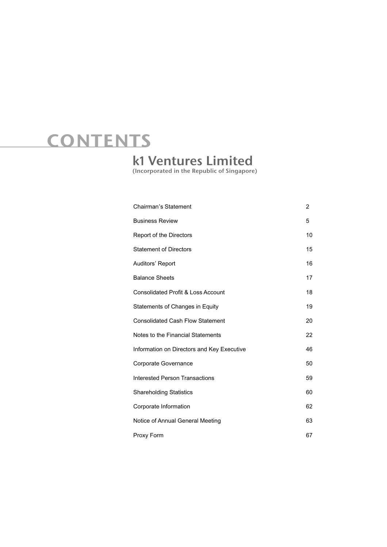# CONTENTS

# k1 Ventures Limited

(Incorporated in the Republic of Singapore)

| <b>Chairman's Statement</b>                   | 2  |
|-----------------------------------------------|----|
| <b>Business Review</b>                        | 5  |
| Report of the Directors                       | 10 |
| <b>Statement of Directors</b>                 | 15 |
| Auditors' Report                              | 16 |
| <b>Balance Sheets</b>                         | 17 |
| <b>Consolidated Profit &amp; Loss Account</b> | 18 |
| Statements of Changes in Equity               | 19 |
| <b>Consolidated Cash Flow Statement</b>       | 20 |
| Notes to the Financial Statements             | 22 |
| Information on Directors and Key Executive    | 46 |
| Corporate Governance                          | 50 |
| <b>Interested Person Transactions</b>         | 59 |
| <b>Shareholding Statistics</b>                | 60 |
| Corporate Information                         | 62 |
| Notice of Annual General Meeting              | 63 |
| Proxy Form                                    | 67 |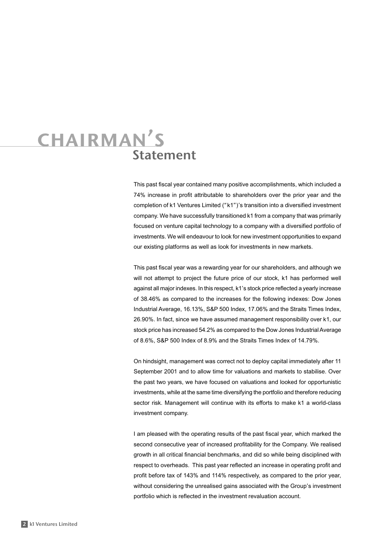# Statement chairman's

This past fiscal year contained many positive accomplishments, which included a 74% increase in profit attributable to shareholders over the prior year and the completion of k1 Ventures Limited ("k1")'s transition into a diversified investment company. We have successfully transitioned k1 from a company that was primarily focused on venture capital technology to a company with a diversified portfolio of investments. We will endeavour to look for new investment opportunities to expand our existing platforms as well as look for investments in new markets.

This past fiscal year was a rewarding year for our shareholders, and although we will not attempt to project the future price of our stock, k1 has performed well against all major indexes. In this respect, k1's stock price reflected a yearly increase of 38.46% as compared to the increases for the following indexes: Dow Jones Industrial Average, 16.13%, S&P 500 Index, 17.06% and the Straits Times Index, 26.90%. In fact, since we have assumed management responsibility over k1, our stock price has increased 54.2% as compared to the Dow Jones Industrial Average of 8.6%, S&P 500 Index of 8.9% and the Straits Times Index of 14.79%.

On hindsight, management was correct not to deploy capital immediately after 11 September 2001 and to allow time for valuations and markets to stabilise. Over the past two years, we have focused on valuations and looked for opportunistic investments, while at the same time diversifying the portfolio and therefore reducing sector risk. Management will continue with its efforts to make k1 a world-class investment company.

I am pleased with the operating results of the past fiscal year, which marked the second consecutive year of increased profitability for the Company. We realised growth in all critical financial benchmarks, and did so while being disciplined with respect to overheads. This past year reflected an increase in operating profit and profit before tax of 143% and 114% respectively, as compared to the prior year, without considering the unrealised gains associated with the Group's investment portfolio which is reflected in the investment revaluation account.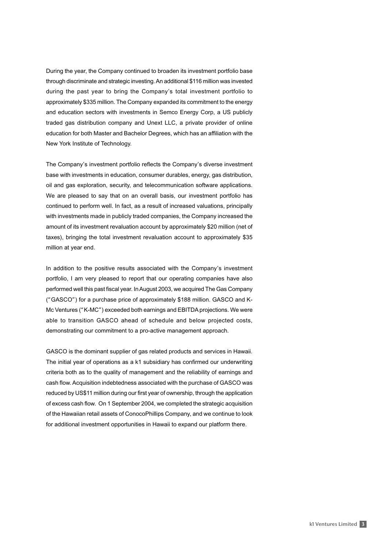During the year, the Company continued to broaden its investment portfolio base through discriminate and strategic investing. An additional \$116 million was invested during the past year to bring the Company's total investment portfolio to approximately \$335 million. The Company expanded its commitment to the energy and education sectors with investments in Semco Energy Corp, a US publicly traded gas distribution company and Unext LLC, a private provider of online education for both Master and Bachelor Degrees, which has an affiliation with the New York Institute of Technology.

The Company's investment portfolio reflects the Company's diverse investment base with investments in education, consumer durables, energy, gas distribution, oil and gas exploration, security, and telecommunication software applications. We are pleased to say that on an overall basis, our investment portfolio has continued to perform well. In fact, as a result of increased valuations, principally with investments made in publicly traded companies, the Company increased the amount of its investment revaluation account by approximately \$20 million (net of taxes), bringing the total investment revaluation account to approximately \$35 million at year end.

In addition to the positive results associated with the Company's investment portfolio, I am very pleased to report that our operating companies have also performed well this past fiscal year. In August 2003, we acquired The Gas Company ("GASCO") for a purchase price of approximately \$188 million. GASCO and K-Mc Ventures ("K-MC") exceeded both earnings and EBITDA projections. We were able to transition GASCO ahead of schedule and below projected costs, demonstrating our commitment to a pro-active management approach.

GASCO is the dominant supplier of gas related products and services in Hawaii. The initial year of operations as a k1 subsidiary has confirmed our underwriting criteria both as to the quality of management and the reliability of earnings and cash flow. Acquisition indebtedness associated with the purchase of GASCO was reduced by US\$11 million during our first year of ownership, through the application of excess cash flow. On 1 September 2004, we completed the strategic acquisition of the Hawaiian retail assets of ConocoPhillips Company, and we continue to look for additional investment opportunities in Hawaii to expand our platform there.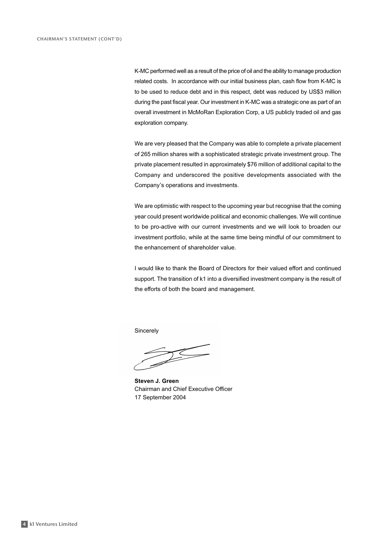K-MC performed well as a result of the price of oil and the ability to manage production related costs. In accordance with our initial business plan, cash flow from K-MC is to be used to reduce debt and in this respect, debt was reduced by US\$3 million during the past fiscal year. Our investment in K-MC was a strategic one as part of an overall investment in McMoRan Exploration Corp, a US publicly traded oil and gas exploration company.

We are very pleased that the Company was able to complete a private placement of 265 million shares with a sophisticated strategic private investment group. The private placement resulted in approximately \$76 million of additional capital to the Company and underscored the positive developments associated with the Company's operations and investments.

We are optimistic with respect to the upcoming year but recognise that the coming year could present worldwide political and economic challenges. We will continue to be pro-active with our current investments and we will look to broaden our investment portfolio, while at the same time being mindful of our commitment to the enhancement of shareholder value.

I would like to thank the Board of Directors for their valued effort and continued support. The transition of k1 into a diversified investment company is the result of the efforts of both the board and management.

Sincerely

**Steven J. Green** Chairman and Chief Executive Officer 17 September 2004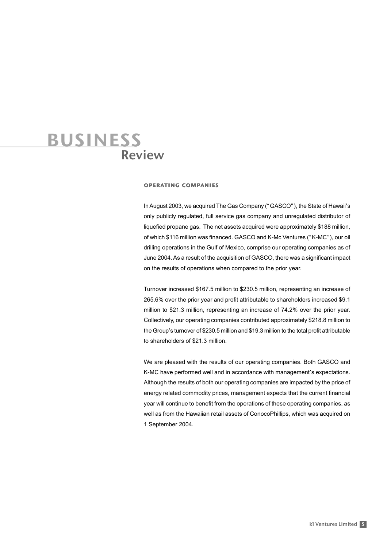### Review business

#### operating companies

In August 2003, we acquired The Gas Company ("GASCO"), the State of Hawaii's only publicly regulated, full service gas company and unregulated distributor of liquefied propane gas. The net assets acquired were approximately \$188 million, of which \$116 million was financed. GASCO and K-Mc Ventures ("K-MC"), our oil drilling operations in the Gulf of Mexico, comprise our operating companies as of June 2004. As a result of the acquisition of GASCO, there was a significant impact on the results of operations when compared to the prior year.

Turnover increased \$167.5 million to \$230.5 million, representing an increase of 265.6% over the prior year and profit attributable to shareholders increased \$9.1 million to \$21.3 million, representing an increase of 74.2% over the prior year. Collectively, our operating companies contributed approximately \$218.8 million to the Group's turnover of \$230.5 million and \$19.3 million to the total profit attributable to shareholders of \$21.3 million.

We are pleased with the results of our operating companies. Both GASCO and K-MC have performed well and in accordance with management's expectations. Although the results of both our operating companies are impacted by the price of energy related commodity prices, management expects that the current financial year will continue to benefit from the operations of these operating companies, as well as from the Hawaiian retail assets of ConocoPhillips, which was acquired on 1 September 2004.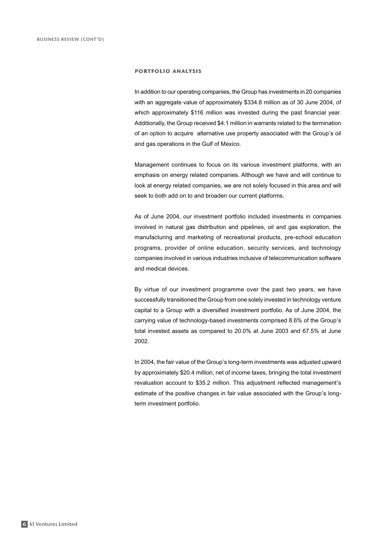#### portfolio analysis

In addition to our operating companies, the Group has investments in 20 companies with an aggregate value of approximately \$334.8 million as of 30 June 2004, of which approximately \$116 million was invested during the past financial year. Additionally, the Group received \$4.1 million in warrants related to the termination of an option to acquire alternative use property associated with the Group's oil and gas operations in the Gulf of Mexico.

Management continues to focus on its various investment platforms, with an emphasis on energy related companies. Although we have and will continue to look at energy related companies, we are not solely focused in this area and will seek to both add on to and broaden our current platforms.

As of June 2004, our investment portfolio included investments in companies involved in natural gas distribution and pipelines, oil and gas exploration, the manufacturing and marketing of recreational products, pre-school education programs, provider of online education, security services, and technology companies involved in various industries inclusive of telecommunication software and medical devices.

By virtue of our investment programme over the past two years, we have successfully transitioned the Group from one solely invested in technology venture capital to a Group with a diversified investment portfolio. As of June 2004, the carrying value of technology-based investments comprised 8.6% of the Group's total invested assets as compared to 20.0% at June 2003 and 67.5% at June 2002.

In 2004, the fair value of the Group's long-term investments was adjusted upward by approximately \$20.4 million, net of income taxes, bringing the total investment revaluation account to \$35.2 million. This adjustment reflected management's estimate of the positive changes in fair value associated with the Group's longterm investment portfolio.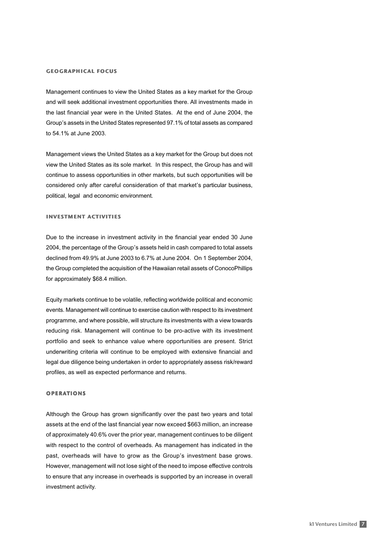#### geographical focus

Management continues to view the United States as a key market for the Group and will seek additional investment opportunities there. All investments made in the last financial year were in the United States. At the end of June 2004, the Group's assets in the United States represented 97.1% of total assets as compared to 54.1% at June 2003.

Management views the United States as a key market for the Group but does not view the United States as its sole market. In this respect, the Group has and will continue to assess opportunities in other markets, but such opportunities will be considered only after careful consideration of that market's particular business, political, legal and economic environment.

#### investment activities

Due to the increase in investment activity in the financial year ended 30 June 2004, the percentage of the Group's assets held in cash compared to total assets declined from 49.9% at June 2003 to 6.7% at June 2004. On 1 September 2004, the Group completed the acquisition of the Hawaiian retail assets of ConocoPhillips for approximately \$68.4 million.

Equity markets continue to be volatile, reflecting worldwide political and economic events. Management will continue to exercise caution with respect to its investment programme, and where possible, will structure its investments with a view towards reducing risk. Management will continue to be pro-active with its investment portfolio and seek to enhance value where opportunities are present. Strict underwriting criteria will continue to be employed with extensive financial and legal due diligence being undertaken in order to appropriately assess risk/reward profiles, as well as expected performance and returns.

#### **OPERATIONS**

Although the Group has grown significantly over the past two years and total assets at the end of the last financial year now exceed \$663 million, an increase of approximately 40.6% over the prior year, management continues to be diligent with respect to the control of overheads. As management has indicated in the past, overheads will have to grow as the Group's investment base grows. However, management will not lose sight of the need to impose effective controls to ensure that any increase in overheads is supported by an increase in overall investment activity.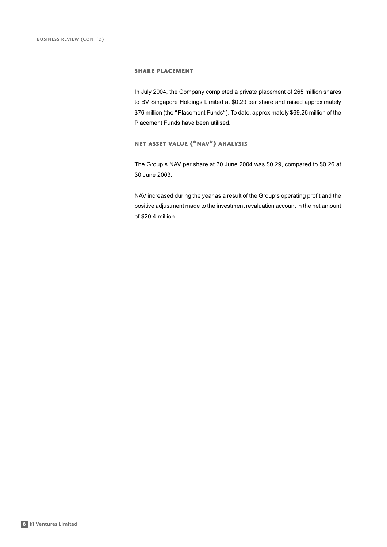#### share placement

In July 2004, the Company completed a private placement of 265 million shares to BV Singapore Holdings Limited at \$0.29 per share and raised approximately \$76 million (the "Placement Funds"). To date, approximately \$69.26 million of the Placement Funds have been utilised.

### net asset value ("nav") analysis

The Group's NAV per share at 30 June 2004 was \$0.29, compared to \$0.26 at 30 June 2003.

NAV increased during the year as a result of the Group's operating profit and the positive adjustment made to the investment revaluation account in the net amount of \$20.4 million.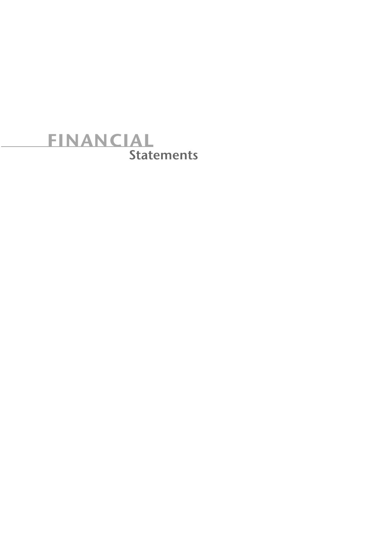# **Statements** financial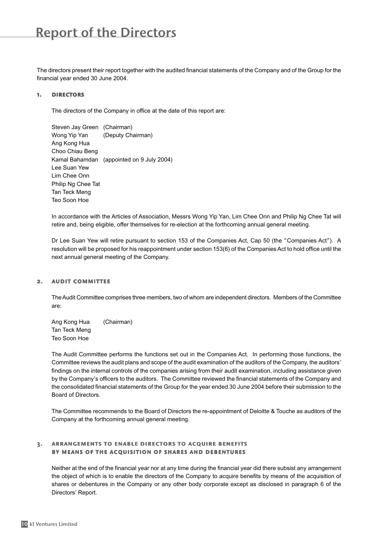The directors present their report together with the audited financial statements of the Company and of the Group for the financial year ended 30 June 2004.

#### 1. directors

The directors of the Company in office at the date of this report are:

Steven Jay Green (Chairman) Wong Yip Yan (Deputy Chairman) Ang Kong Hua Choo Chiau Beng Kamal Bahamdan (appointed on 9 July 2004) Lee Suan Yew Lim Chee Onn Philip Ng Chee Tat Tan Teck Meng Teo Soon Hoe

In accordance with the Articles of Association, Messrs Wong Yip Yan, Lim Chee Onn and Philip Ng Chee Tat will retire and, being eligible, offer themselves for re-election at the forthcoming annual general meeting.

Dr Lee Suan Yew will retire pursuant to section 153 of the Companies Act, Cap 50 (the "Companies Act"). A resolution will be proposed for his reappointment under section 153(6) of the Companies Act to hold office until the next annual general meeting of the Company.

#### 2. audit committee

The Audit Committee comprises three members, two of whom are independent directors. Members of the Committee are:

Ang Kong Hua (Chairman) Tan Teck Meng Teo Soon Hoe

The Audit Committee performs the functions set out in the Companies Act. In performing those functions, the Committee reviews the audit plans and scope of the audit examination of the auditors of the Company, the auditors' findings on the internal controls of the companies arising from their audit examination, including assistance given by the Company's officers to the auditors. The Committee reviewed the financial statements of the Company and the consolidated financial statements of the Group for the year ended 30 June 2004 before their submission to the Board of Directors.

The Committee recommends to the Board of Directors the re-appointment of Deloitte & Touche as auditors of the Company at the forthcoming annual general meeting.

#### 3. arrangements to enable directors to acquire benefits by means of the acquisition of shares and debentures

Neither at the end of the financial year nor at any time during the financial year did there subsist any arrangement the object of which is to enable the directors of the Company to acquire benefits by means of the acquisition of shares or debentures in the Company or any other body corporate except as disclosed in paragraph 6 of the Directors' Report.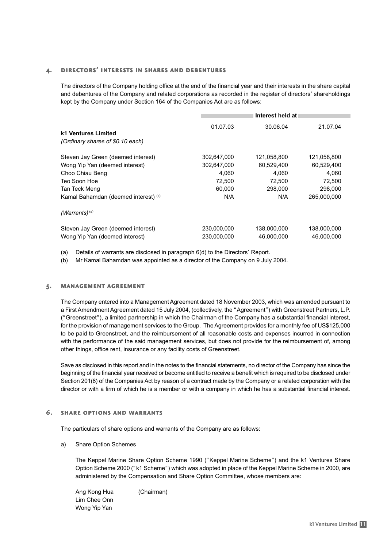#### 4. directors' interests in shares and debentures

The directors of the Company holding office at the end of the financial year and their interests in the share capital and debentures of the Company and related corporations as recorded in the register of directors' shareholdings kept by the Company under Section 164 of the Companies Act are as follows:

|                                                         | Interest held at |             |             |  |  |
|---------------------------------------------------------|------------------|-------------|-------------|--|--|
| k1 Ventures Limited<br>(Ordinary shares of \$0.10 each) | 01.07.03         | 30.06.04    | 21.07.04    |  |  |
| Steven Jay Green (deemed interest)                      | 302,647,000      | 121,058,800 | 121,058,800 |  |  |
| Wong Yip Yan (deemed interest)                          | 302.647.000      | 60,529,400  | 60,529,400  |  |  |
| Choo Chiau Beng                                         | 4,060            | 4,060       | 4,060       |  |  |
| Teo Soon Hoe                                            | 72,500           | 72.500      | 72.500      |  |  |
| Tan Teck Meng                                           | 60,000           | 298,000     | 298,000     |  |  |
| Kamal Bahamdan (deemed interest) (b)                    | N/A              | N/A         | 265,000,000 |  |  |
| $(Warrants)^{(a)}$                                      |                  |             |             |  |  |
| Steven Jay Green (deemed interest)                      | 230,000,000      | 138,000,000 | 138,000,000 |  |  |
| Wong Yip Yan (deemed interest)                          | 230.000.000      | 46.000.000  | 46.000.000  |  |  |

(a) Details of warrants are disclosed in paragraph 6(d) to the Directors' Report.

(b) Mr Kamal Bahamdan was appointed as a director of the Company on 9 July 2004.

#### 5. management agreement

The Company entered into a Management Agreement dated 18 November 2003, which was amended pursuant to a First Amendment Agreement dated 15 July 2004, (collectively, the "Agreement") with Greenstreet Partners, L.P. ("Greenstreet"), a limited partnership in which the Chairman of the Company has a substantial financial interest, for the provision of management services to the Group. The Agreement provides for a monthly fee of US\$125,000 to be paid to Greenstreet, and the reimbursement of all reasonable costs and expenses incurred in connection with the performance of the said management services, but does not provide for the reimbursement of, among other things, office rent, insurance or any facility costs of Greenstreet.

Save as disclosed in this report and in the notes to the financial statements, no director of the Company has since the beginning of the financial year received or become entitled to receive a benefit which is required to be disclosed under Section 201(8) of the Companies Act by reason of a contract made by the Company or a related corporation with the director or with a firm of which he is a member or with a company in which he has a substantial financial interest.

#### 6. share options and warrants

The particulars of share options and warrants of the Company are as follows:

a) Share Option Schemes

The Keppel Marine Share Option Scheme 1990 ("Keppel Marine Scheme") and the k1 Ventures Share Option Scheme 2000 ("k1 Scheme") which was adopted in place of the Keppel Marine Scheme in 2000, are administered by the Compensation and Share Option Committee, whose members are:

Ang Kong Hua (Chairman) Lim Chee Onn Wong Yip Yan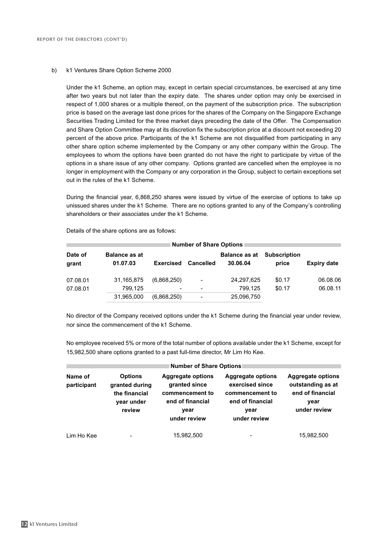#### b) k1 Ventures Share Option Scheme 2000

Under the k1 Scheme, an option may, except in certain special circumstances, be exercised at any time after two years but not later than the expiry date. The shares under option may only be exercised in respect of 1,000 shares or a multiple thereof, on the payment of the subscription price. The subscription price is based on the average last done prices for the shares of the Company on the Singapore Exchange Securities Trading Limited for the three market days preceding the date of the Offer. The Compensation and Share Option Committee may at its discretion fix the subscription price at a discount not exceeding 20 percent of the above price. Participants of the k1 Scheme are not disqualified from participating in any other share option scheme implemented by the Company or any other company within the Group. The employees to whom the options have been granted do not have the right to participate by virtue of the options in a share issue of any other company. Options granted are cancelled when the employee is no longer in employment with the Company or any corporation in the Group, subject to certain exceptions set out in the rules of the k1 Scheme.

During the financial year, 6,868,250 shares were issued by virtue of the exercise of options to take up unissued shares under the k1 Scheme. There are no options granted to any of the Company's controlling shareholders or their associates under the k1 Scheme.

| Number of Share Options |                                  |                  |                  |                                  |                              |                    |  |  |
|-------------------------|----------------------------------|------------------|------------------|----------------------------------|------------------------------|--------------------|--|--|
| Date of<br>grant        | <b>Balance as at</b><br>01.07.03 | <b>Exercised</b> | <b>Cancelled</b> | <b>Balance as at</b><br>30.06.04 | <b>Subscription</b><br>price | <b>Expiry date</b> |  |  |
| 07.08.01                | 31.165.875                       | (6,868,250)      | $\qquad \qquad$  | 24,297,625                       | \$0.17                       | 06.08.06           |  |  |
| 07.08.01                | 799.125                          |                  | $\blacksquare$   | 799.125                          | \$0.17                       | 06.08.11           |  |  |
|                         | 31,965,000                       | (6,868,250)      | $\blacksquare$   | 25,096,750                       |                              |                    |  |  |

Details of the share options are as follows:

No director of the Company received options under the k1 Scheme during the financial year under review, nor since the commencement of the k1 Scheme.

No employee received 5% or more of the total number of options available under the k1 Scheme, except for 15,982,500 share options granted to a past full-time director, Mr Lim Ho Kee.

| Number of Share Options |                                                                           |                                                                                                          |                                                                                                            |                                                                                           |  |  |  |
|-------------------------|---------------------------------------------------------------------------|----------------------------------------------------------------------------------------------------------|------------------------------------------------------------------------------------------------------------|-------------------------------------------------------------------------------------------|--|--|--|
| Name of<br>participant  | <b>Options</b><br>granted during<br>the financial<br>year under<br>review | <b>Aggregate options</b><br>granted since<br>commencement to<br>end of financial<br>vear<br>under review | <b>Aggregate options</b><br>exercised since<br>commencement to<br>end of financial<br>vear<br>under review | <b>Aggregate options</b><br>outstanding as at<br>end of financial<br>vear<br>under review |  |  |  |
| Lim Ho Kee              | $\blacksquare$                                                            | 15,982,500                                                                                               | -                                                                                                          | 15,982,500                                                                                |  |  |  |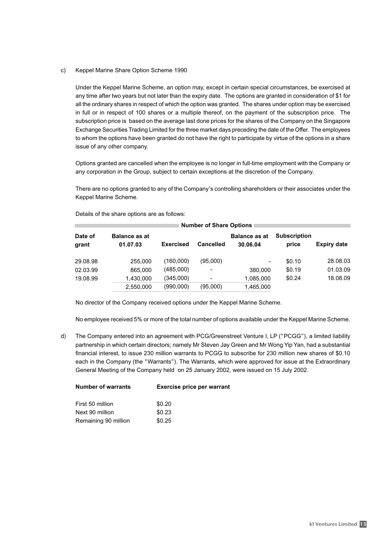c) Keppel Marine Share Option Scheme 1990

Under the Keppel Marine Scheme, an option may, except in certain special circumstances, be exercised at any time after two years but not later than the expiry date. The options are granted in consideration of \$1 for all the ordinary shares in respect of which the option was granted. The shares under option may be exercised in full or in respect of 100 shares or a multiple thereof, on the payment of the subscription price. The subscription price is based on the average last done prices for the shares of the Company on the Singapore Exchange Securities Trading Limited for the three market days preceding the date of the Offer. The employees to whom the options have been granted do not have the right to participate by virtue of the options in a share issue of any other company.

Options granted are cancelled when the employee is no longer in full-time employment with the Company or any corporation in the Group, subject to certain exceptions at the discretion of the Company.

There are no options granted to any of the Company's controlling shareholders or their associates under the Keppel Marine Scheme.

| <b>Number of Share Options</b> |                                  |                  |                  |                                  |                              |                    |  |
|--------------------------------|----------------------------------|------------------|------------------|----------------------------------|------------------------------|--------------------|--|
| Date of<br>grant               | <b>Balance as at</b><br>01.07.03 | <b>Exercised</b> | <b>Cancelled</b> | <b>Balance as at</b><br>30.06.04 | <b>Subscription</b><br>price | <b>Expiry date</b> |  |
| 29.08.98                       | 255,000                          | (160,000)        | (95,000)         | $\overline{\phantom{a}}$         | \$0.10                       | 28.08.03           |  |
| 02.03.99                       | 865,000                          | (485,000)        |                  | 380,000                          | \$0.19                       | 01.03.09           |  |
| 19.08.99                       | 1,430,000                        | (345,000)        |                  | 1,085,000                        | \$0.24                       | 18.08.09           |  |
|                                | 2,550,000                        | (990,000)        | (95,000)         | 1,465,000                        |                              |                    |  |

Details of the share options are as follows:

No director of the Company received options under the Keppel Marine Scheme.

No employee received 5% or more of the total number of options available under the Keppel Marine Scheme.

d) The Company entered into an agreement with PCG/Greenstreet Venture I, LP ("PCGG"), a limited liability partnership in which certain directors; namely Mr Steven Jay Green and Mr Wong Yip Yan, had a substantial financial interest, to issue 230 million warrants to PCGG to subscribe for 230 million new shares of \$0.10 each in the Company (the "Warrants"). The Warrants, which were approved for issue at the Extraordinary General Meeting of the Company held on 25 January 2002, were issued on 15 July 2002.

| <b>Exercise price per warrant</b> |
|-----------------------------------|
| \$0.20                            |
| \$0.23                            |
| \$0.25                            |
|                                   |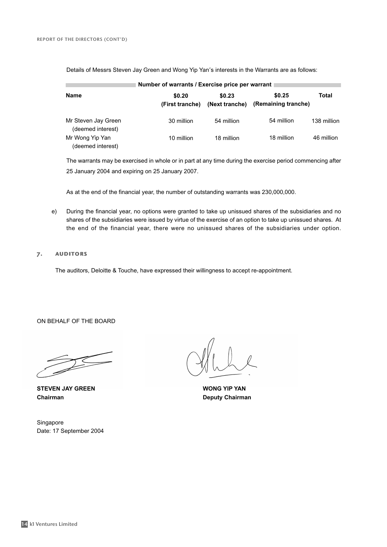| Number of warrants / Exercise price per warrant |                           |                          |                               |             |  |  |  |  |
|-------------------------------------------------|---------------------------|--------------------------|-------------------------------|-------------|--|--|--|--|
| <b>Name</b>                                     | \$0.20<br>(First tranche) | \$0.23<br>(Next tranche) | \$0.25<br>(Remaining tranche) | Total       |  |  |  |  |
| Mr Steven Jay Green<br>(deemed interest)        | 30 million                | 54 million               | 54 million                    | 138 million |  |  |  |  |
| Mr Wong Yip Yan<br>(deemed interest)            | 10 million                | 18 million               | 18 million                    | 46 million  |  |  |  |  |

Details of Messrs Steven Jay Green and Wong Yip Yan's interests in the Warrants are as follows:

The warrants may be exercised in whole or in part at any time during the exercise period commencing after 25 January 2004 and expiring on 25 January 2007.

As at the end of the financial year, the number of outstanding warrants was 230,000,000.

e) During the financial year, no options were granted to take up unissued shares of the subsidiaries and no shares of the subsidiaries were issued by virtue of the exercise of an option to take up unissued shares. At the end of the financial year, there were no unissued shares of the subsidiaries under option.

#### 7. auditors

The auditors, Deloitte & Touche, have expressed their willingness to accept re-appointment.

ON BEHALF OF THE BOARD

**STEVEN JAY GREEN WONG YIP YAN Chairman Deputy Chairman**

Singapore Date: 17 September 2004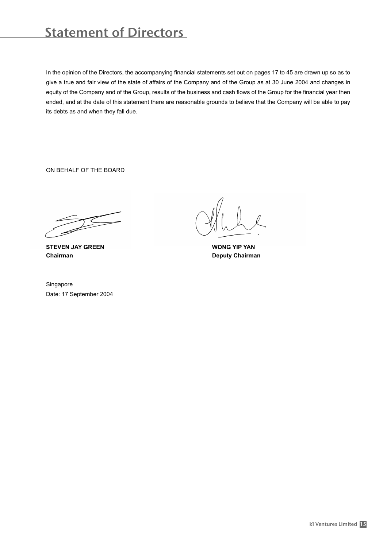# Statement of Directors

In the opinion of the Directors, the accompanying financial statements set out on pages 17 to 45 are drawn up so as to give a true and fair view of the state of affairs of the Company and of the Group as at 30 June 2004 and changes in equity of the Company and of the Group, results of the business and cash flows of the Group for the financial year then ended, and at the date of this statement there are reasonable grounds to believe that the Company will be able to pay its debts as and when they fall due.

ON BEHALF OF THE BOARD

**STEVEN JAY GREEN WONG YIP YAN Chairman Deputy Chairman** 

Singapore Date: 17 September 2004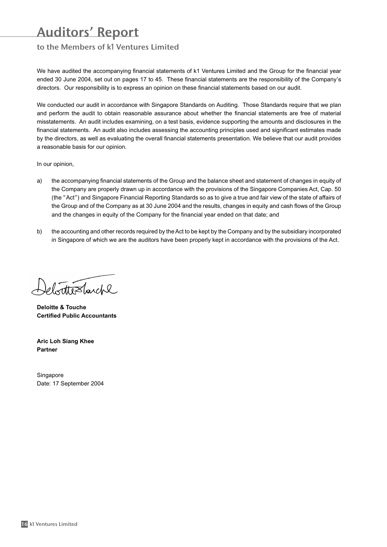### Auditors' Report

### to the Members of k1 Ventures Limited

We have audited the accompanying financial statements of k1 Ventures Limited and the Group for the financial year ended 30 June 2004, set out on pages 17 to 45. These financial statements are the responsibility of the Company's directors. Our responsibility is to express an opinion on these financial statements based on our audit.

We conducted our audit in accordance with Singapore Standards on Auditing. Those Standards require that we plan and perform the audit to obtain reasonable assurance about whether the financial statements are free of material misstatements. An audit includes examining, on a test basis, evidence supporting the amounts and disclosures in the financial statements. An audit also includes assessing the accounting principles used and significant estimates made by the directors, as well as evaluating the overall financial statements presentation. We believe that our audit provides a reasonable basis for our opinion.

In our opinion,

- a) the accompanying financial statements of the Group and the balance sheet and statement of changes in equity of the Company are properly drawn up in accordance with the provisions of the Singapore Companies Act, Cap. 50 (the "Act") and Singapore Financial Reporting Standards so as to give a true and fair view of the state of affairs of the Group and of the Company as at 30 June 2004 and the results, changes in equity and cash flows of the Group and the changes in equity of the Company for the financial year ended on that date; and
- b) the accounting and other records required by the Act to be kept by the Company and by the subsidiary incorporated in Singapore of which we are the auditors have been properly kept in accordance with the provisions of the Act.

ebottestarche

**Deloitte & Touche Certified Public Accountants**

**Aric Loh Siang Khee Partner**

**Singapore** Date: 17 September 2004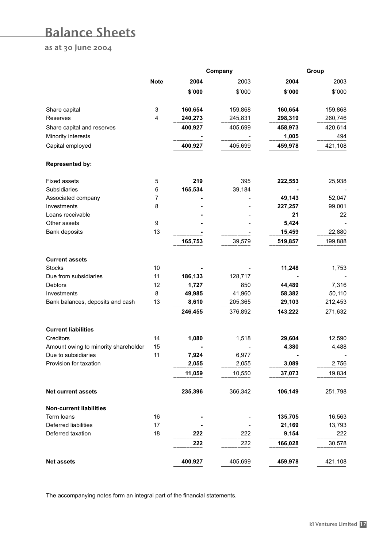### Balance Sheets

as at 30 June 2004

|                                      | Company     |         |         | Group   |         |  |
|--------------------------------------|-------------|---------|---------|---------|---------|--|
|                                      | <b>Note</b> | 2004    | 2003    | 2004    | 2003    |  |
|                                      |             | \$'000  | \$'000  | \$'000  | \$'000  |  |
| Share capital                        | 3           | 160,654 | 159,868 | 160,654 | 159,868 |  |
| <b>Reserves</b>                      | 4           | 240,273 | 245,831 | 298,319 | 260,746 |  |
| Share capital and reserves           |             | 400,927 | 405,699 | 458,973 | 420,614 |  |
| Minority interests                   |             |         |         | 1,005   | 494     |  |
| Capital employed                     |             | 400,927 | 405,699 | 459,978 | 421,108 |  |
| <b>Represented by:</b>               |             |         |         |         |         |  |
| <b>Fixed assets</b>                  | 5           | 219     | 395     | 222,553 | 25,938  |  |
| Subsidiaries                         | 6           | 165,534 | 39,184  |         |         |  |
| Associated company                   | 7           |         |         | 49,143  | 52,047  |  |
| Investments                          | 8           |         |         | 227,257 | 99,001  |  |
| Loans receivable                     |             |         |         | 21      | 22      |  |
| Other assets                         | 9           |         |         | 5,424   |         |  |
| Bank deposits                        | 13          |         |         | 15,459  | 22,880  |  |
|                                      |             | 165,753 | 39,579  | 519,857 | 199,888 |  |
| <b>Current assets</b>                |             |         |         |         |         |  |
| <b>Stocks</b>                        | 10          |         |         | 11,248  | 1,753   |  |
| Due from subsidiaries                | 11          | 186,133 | 128,717 |         |         |  |
| Debtors                              | 12          | 1,727   | 850     | 44,489  | 7,316   |  |
| Investments                          | 8           | 49,985  | 41,960  | 58,382  | 50,110  |  |
| Bank balances, deposits and cash     | 13          | 8,610   | 205,365 | 29,103  | 212,453 |  |
|                                      |             | 246,455 | 376,892 | 143,222 | 271,632 |  |
| <b>Current liabilities</b>           |             |         |         |         |         |  |
| Creditors                            | 14          | 1,080   | 1,518   | 29,604  | 12,590  |  |
| Amount owing to minority shareholder | 15          |         |         | 4,380   | 4,488   |  |
| Due to subsidiaries                  | 11          | 7,924   | 6,977   |         |         |  |
| Provision for taxation               |             | 2,055   | 2,055   | 3,089   | 2,756   |  |
|                                      |             | 11,059  | 10,550  | 37,073  | 19,834  |  |
| Net current assets                   |             | 235,396 | 366,342 | 106,149 | 251,798 |  |
| <b>Non-current liabilities</b>       |             |         |         |         |         |  |
| Term loans                           | 16          |         |         | 135,705 | 16,563  |  |
| Deferred liabilities                 | 17          |         |         | 21,169  | 13,793  |  |
| Deferred taxation                    | 18          | 222     | 222     | 9,154   | 222     |  |
|                                      |             | 222     | 222     | 166,028 | 30,578  |  |
| <b>Net assets</b>                    |             | 400,927 | 405,699 | 459,978 | 421,108 |  |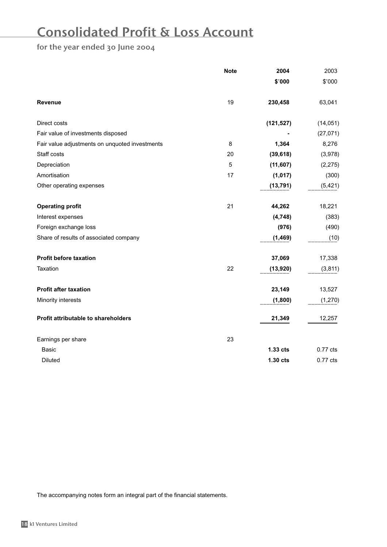### Consolidated Profit & Loss Account

### for the year ended 30 June 2004

|                                                | <b>Note</b> | 2004       | 2003       |
|------------------------------------------------|-------------|------------|------------|
|                                                |             | \$'000     | \$'000     |
| Revenue                                        | 19          | 230,458    | 63,041     |
| Direct costs                                   |             | (121, 527) | (14, 051)  |
| Fair value of investments disposed             |             |            | (27, 071)  |
| Fair value adjustments on unquoted investments | 8           | 1,364      | 8,276      |
| Staff costs                                    | 20          | (39, 618)  | (3,978)    |
| Depreciation                                   | 5           | (11, 607)  | (2, 275)   |
| Amortisation                                   | 17          | (1,017)    | (300)      |
| Other operating expenses                       |             | (13, 791)  | (5, 421)   |
| <b>Operating profit</b>                        | 21          | 44,262     | 18,221     |
| Interest expenses                              |             | (4,748)    | (383)      |
| Foreign exchange loss                          |             | (976)      | (490)      |
| Share of results of associated company         |             | (1, 469)   | (10)       |
| <b>Profit before taxation</b>                  |             | 37,069     | 17,338     |
| Taxation                                       | 22          | (13,920)   | (3, 811)   |
| <b>Profit after taxation</b>                   |             | 23,149     | 13,527     |
| Minority interests                             |             | (1,800)    | (1, 270)   |
| Profit attributable to shareholders            |             | 21,349     | 12,257     |
| Earnings per share                             | 23          |            |            |
| Basic                                          |             | 1.33 cts   | $0.77$ cts |
| <b>Diluted</b>                                 |             | 1.30 cts   | 0.77 cts   |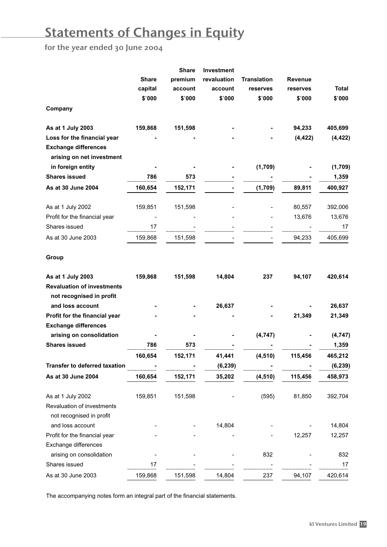# Statements of Changes in Equity

for the year ended 30 June 2004

| <b>Share</b><br>premium<br>revaluation<br><b>Translation</b><br><b>Revenue</b><br>capital<br>account<br>Total<br>account<br>reserves<br>reserves<br>\$'000<br>\$'000<br>\$'000<br>\$'000<br>\$'000<br>\$'000<br>Company<br>As at 1 July 2003<br>159,868<br>151,598<br>94,233<br>405,699<br>(4, 422)<br>(4, 422)<br>Loss for the financial year<br><b>Exchange differences</b><br>arising on net investment<br>in foreign entity<br>(1,709)<br>(1,709)<br><b>Shares issued</b><br>786<br>573<br>1,359<br>As at 30 June 2004<br>160,654<br>152,171<br>(1,709)<br>89,811<br>400,927<br>80,557<br>As at 1 July 2002<br>159,851<br>151,598<br>392,006<br>Profit for the financial year<br>13,676<br>13,676<br>Shares issued<br>17<br>17<br>94,233<br>As at 30 June 2003<br>159,868<br>151,598<br>405,699<br>Group<br>As at 1 July 2003<br>159,868<br>151,598<br>14,804<br>237<br>94,107<br>420,614<br><b>Revaluation of investments</b><br>not recognised in profit<br>and loss account<br>26,637<br>26,637<br>Profit for the financial year<br>21,349<br>21,349<br><b>Exchange differences</b><br>arising on consolidation<br>(4,747)<br>(4,747)<br><b>Shares issued</b><br>786<br>573<br>1,359<br>160,654<br>152,171<br>41,441<br>(4, 510)<br>115,456<br>465,212<br>(6, 239)<br><b>Transfer to deferred taxation</b><br>(6, 239)<br>As at 30 June 2004<br>160,654<br>152,171<br>35,202<br>(4, 510)<br>115,456<br>458,973<br>As at 1 July 2002<br>159,851<br>151,598<br>(595)<br>81,850<br>392,704<br>Revaluation of investments<br>not recognised in profit<br>and loss account<br>14,804<br>14,804<br>Profit for the financial year<br>12,257<br>12,257<br>Exchange differences<br>arising on consolidation<br>832<br>832 |  | <b>Share</b> | <b>Investment</b> |  |  |
|-------------------------------------------------------------------------------------------------------------------------------------------------------------------------------------------------------------------------------------------------------------------------------------------------------------------------------------------------------------------------------------------------------------------------------------------------------------------------------------------------------------------------------------------------------------------------------------------------------------------------------------------------------------------------------------------------------------------------------------------------------------------------------------------------------------------------------------------------------------------------------------------------------------------------------------------------------------------------------------------------------------------------------------------------------------------------------------------------------------------------------------------------------------------------------------------------------------------------------------------------------------------------------------------------------------------------------------------------------------------------------------------------------------------------------------------------------------------------------------------------------------------------------------------------------------------------------------------------------------------------------------------------------------------------------------------------------------------------|--|--------------|-------------------|--|--|
|                                                                                                                                                                                                                                                                                                                                                                                                                                                                                                                                                                                                                                                                                                                                                                                                                                                                                                                                                                                                                                                                                                                                                                                                                                                                                                                                                                                                                                                                                                                                                                                                                                                                                                                         |  |              |                   |  |  |
|                                                                                                                                                                                                                                                                                                                                                                                                                                                                                                                                                                                                                                                                                                                                                                                                                                                                                                                                                                                                                                                                                                                                                                                                                                                                                                                                                                                                                                                                                                                                                                                                                                                                                                                         |  |              |                   |  |  |
|                                                                                                                                                                                                                                                                                                                                                                                                                                                                                                                                                                                                                                                                                                                                                                                                                                                                                                                                                                                                                                                                                                                                                                                                                                                                                                                                                                                                                                                                                                                                                                                                                                                                                                                         |  |              |                   |  |  |
|                                                                                                                                                                                                                                                                                                                                                                                                                                                                                                                                                                                                                                                                                                                                                                                                                                                                                                                                                                                                                                                                                                                                                                                                                                                                                                                                                                                                                                                                                                                                                                                                                                                                                                                         |  |              |                   |  |  |
|                                                                                                                                                                                                                                                                                                                                                                                                                                                                                                                                                                                                                                                                                                                                                                                                                                                                                                                                                                                                                                                                                                                                                                                                                                                                                                                                                                                                                                                                                                                                                                                                                                                                                                                         |  |              |                   |  |  |
|                                                                                                                                                                                                                                                                                                                                                                                                                                                                                                                                                                                                                                                                                                                                                                                                                                                                                                                                                                                                                                                                                                                                                                                                                                                                                                                                                                                                                                                                                                                                                                                                                                                                                                                         |  |              |                   |  |  |
|                                                                                                                                                                                                                                                                                                                                                                                                                                                                                                                                                                                                                                                                                                                                                                                                                                                                                                                                                                                                                                                                                                                                                                                                                                                                                                                                                                                                                                                                                                                                                                                                                                                                                                                         |  |              |                   |  |  |
|                                                                                                                                                                                                                                                                                                                                                                                                                                                                                                                                                                                                                                                                                                                                                                                                                                                                                                                                                                                                                                                                                                                                                                                                                                                                                                                                                                                                                                                                                                                                                                                                                                                                                                                         |  |              |                   |  |  |
|                                                                                                                                                                                                                                                                                                                                                                                                                                                                                                                                                                                                                                                                                                                                                                                                                                                                                                                                                                                                                                                                                                                                                                                                                                                                                                                                                                                                                                                                                                                                                                                                                                                                                                                         |  |              |                   |  |  |
|                                                                                                                                                                                                                                                                                                                                                                                                                                                                                                                                                                                                                                                                                                                                                                                                                                                                                                                                                                                                                                                                                                                                                                                                                                                                                                                                                                                                                                                                                                                                                                                                                                                                                                                         |  |              |                   |  |  |
|                                                                                                                                                                                                                                                                                                                                                                                                                                                                                                                                                                                                                                                                                                                                                                                                                                                                                                                                                                                                                                                                                                                                                                                                                                                                                                                                                                                                                                                                                                                                                                                                                                                                                                                         |  |              |                   |  |  |
|                                                                                                                                                                                                                                                                                                                                                                                                                                                                                                                                                                                                                                                                                                                                                                                                                                                                                                                                                                                                                                                                                                                                                                                                                                                                                                                                                                                                                                                                                                                                                                                                                                                                                                                         |  |              |                   |  |  |
|                                                                                                                                                                                                                                                                                                                                                                                                                                                                                                                                                                                                                                                                                                                                                                                                                                                                                                                                                                                                                                                                                                                                                                                                                                                                                                                                                                                                                                                                                                                                                                                                                                                                                                                         |  |              |                   |  |  |
|                                                                                                                                                                                                                                                                                                                                                                                                                                                                                                                                                                                                                                                                                                                                                                                                                                                                                                                                                                                                                                                                                                                                                                                                                                                                                                                                                                                                                                                                                                                                                                                                                                                                                                                         |  |              |                   |  |  |
|                                                                                                                                                                                                                                                                                                                                                                                                                                                                                                                                                                                                                                                                                                                                                                                                                                                                                                                                                                                                                                                                                                                                                                                                                                                                                                                                                                                                                                                                                                                                                                                                                                                                                                                         |  |              |                   |  |  |
|                                                                                                                                                                                                                                                                                                                                                                                                                                                                                                                                                                                                                                                                                                                                                                                                                                                                                                                                                                                                                                                                                                                                                                                                                                                                                                                                                                                                                                                                                                                                                                                                                                                                                                                         |  |              |                   |  |  |
|                                                                                                                                                                                                                                                                                                                                                                                                                                                                                                                                                                                                                                                                                                                                                                                                                                                                                                                                                                                                                                                                                                                                                                                                                                                                                                                                                                                                                                                                                                                                                                                                                                                                                                                         |  |              |                   |  |  |
|                                                                                                                                                                                                                                                                                                                                                                                                                                                                                                                                                                                                                                                                                                                                                                                                                                                                                                                                                                                                                                                                                                                                                                                                                                                                                                                                                                                                                                                                                                                                                                                                                                                                                                                         |  |              |                   |  |  |
|                                                                                                                                                                                                                                                                                                                                                                                                                                                                                                                                                                                                                                                                                                                                                                                                                                                                                                                                                                                                                                                                                                                                                                                                                                                                                                                                                                                                                                                                                                                                                                                                                                                                                                                         |  |              |                   |  |  |
|                                                                                                                                                                                                                                                                                                                                                                                                                                                                                                                                                                                                                                                                                                                                                                                                                                                                                                                                                                                                                                                                                                                                                                                                                                                                                                                                                                                                                                                                                                                                                                                                                                                                                                                         |  |              |                   |  |  |
|                                                                                                                                                                                                                                                                                                                                                                                                                                                                                                                                                                                                                                                                                                                                                                                                                                                                                                                                                                                                                                                                                                                                                                                                                                                                                                                                                                                                                                                                                                                                                                                                                                                                                                                         |  |              |                   |  |  |
|                                                                                                                                                                                                                                                                                                                                                                                                                                                                                                                                                                                                                                                                                                                                                                                                                                                                                                                                                                                                                                                                                                                                                                                                                                                                                                                                                                                                                                                                                                                                                                                                                                                                                                                         |  |              |                   |  |  |
|                                                                                                                                                                                                                                                                                                                                                                                                                                                                                                                                                                                                                                                                                                                                                                                                                                                                                                                                                                                                                                                                                                                                                                                                                                                                                                                                                                                                                                                                                                                                                                                                                                                                                                                         |  |              |                   |  |  |
|                                                                                                                                                                                                                                                                                                                                                                                                                                                                                                                                                                                                                                                                                                                                                                                                                                                                                                                                                                                                                                                                                                                                                                                                                                                                                                                                                                                                                                                                                                                                                                                                                                                                                                                         |  |              |                   |  |  |
|                                                                                                                                                                                                                                                                                                                                                                                                                                                                                                                                                                                                                                                                                                                                                                                                                                                                                                                                                                                                                                                                                                                                                                                                                                                                                                                                                                                                                                                                                                                                                                                                                                                                                                                         |  |              |                   |  |  |
|                                                                                                                                                                                                                                                                                                                                                                                                                                                                                                                                                                                                                                                                                                                                                                                                                                                                                                                                                                                                                                                                                                                                                                                                                                                                                                                                                                                                                                                                                                                                                                                                                                                                                                                         |  |              |                   |  |  |
|                                                                                                                                                                                                                                                                                                                                                                                                                                                                                                                                                                                                                                                                                                                                                                                                                                                                                                                                                                                                                                                                                                                                                                                                                                                                                                                                                                                                                                                                                                                                                                                                                                                                                                                         |  |              |                   |  |  |
|                                                                                                                                                                                                                                                                                                                                                                                                                                                                                                                                                                                                                                                                                                                                                                                                                                                                                                                                                                                                                                                                                                                                                                                                                                                                                                                                                                                                                                                                                                                                                                                                                                                                                                                         |  |              |                   |  |  |
|                                                                                                                                                                                                                                                                                                                                                                                                                                                                                                                                                                                                                                                                                                                                                                                                                                                                                                                                                                                                                                                                                                                                                                                                                                                                                                                                                                                                                                                                                                                                                                                                                                                                                                                         |  |              |                   |  |  |
|                                                                                                                                                                                                                                                                                                                                                                                                                                                                                                                                                                                                                                                                                                                                                                                                                                                                                                                                                                                                                                                                                                                                                                                                                                                                                                                                                                                                                                                                                                                                                                                                                                                                                                                         |  |              |                   |  |  |
|                                                                                                                                                                                                                                                                                                                                                                                                                                                                                                                                                                                                                                                                                                                                                                                                                                                                                                                                                                                                                                                                                                                                                                                                                                                                                                                                                                                                                                                                                                                                                                                                                                                                                                                         |  |              |                   |  |  |
|                                                                                                                                                                                                                                                                                                                                                                                                                                                                                                                                                                                                                                                                                                                                                                                                                                                                                                                                                                                                                                                                                                                                                                                                                                                                                                                                                                                                                                                                                                                                                                                                                                                                                                                         |  |              |                   |  |  |
|                                                                                                                                                                                                                                                                                                                                                                                                                                                                                                                                                                                                                                                                                                                                                                                                                                                                                                                                                                                                                                                                                                                                                                                                                                                                                                                                                                                                                                                                                                                                                                                                                                                                                                                         |  |              |                   |  |  |
|                                                                                                                                                                                                                                                                                                                                                                                                                                                                                                                                                                                                                                                                                                                                                                                                                                                                                                                                                                                                                                                                                                                                                                                                                                                                                                                                                                                                                                                                                                                                                                                                                                                                                                                         |  |              |                   |  |  |
|                                                                                                                                                                                                                                                                                                                                                                                                                                                                                                                                                                                                                                                                                                                                                                                                                                                                                                                                                                                                                                                                                                                                                                                                                                                                                                                                                                                                                                                                                                                                                                                                                                                                                                                         |  |              |                   |  |  |
| Shares issued<br>17<br>17                                                                                                                                                                                                                                                                                                                                                                                                                                                                                                                                                                                                                                                                                                                                                                                                                                                                                                                                                                                                                                                                                                                                                                                                                                                                                                                                                                                                                                                                                                                                                                                                                                                                                               |  |              |                   |  |  |
| 14,804<br>237<br>94,107<br>420,614<br>As at 30 June 2003<br>159,868<br>151,598                                                                                                                                                                                                                                                                                                                                                                                                                                                                                                                                                                                                                                                                                                                                                                                                                                                                                                                                                                                                                                                                                                                                                                                                                                                                                                                                                                                                                                                                                                                                                                                                                                          |  |              |                   |  |  |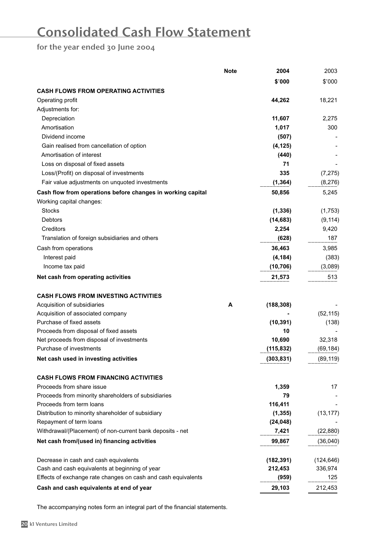# Consolidated Cash Flow Statement

for the year ended 30 June 2004

|                                                               | <b>Note</b> | 2004       | 2003       |
|---------------------------------------------------------------|-------------|------------|------------|
|                                                               |             | \$'000     | \$'000     |
| <b>CASH FLOWS FROM OPERATING ACTIVITIES</b>                   |             |            |            |
| Operating profit                                              |             | 44,262     | 18,221     |
| Adjustments for:                                              |             |            |            |
| Depreciation                                                  |             | 11,607     | 2,275      |
| Amortisation                                                  |             | 1,017      | 300        |
| Dividend income                                               |             | (507)      |            |
| Gain realised from cancellation of option                     |             | (4, 125)   |            |
| Amortisation of interest                                      |             | (440)      |            |
| Loss on disposal of fixed assets                              |             | 71         |            |
| Loss/(Profit) on disposal of investments                      |             | 335        | (7, 275)   |
| Fair value adjustments on unquoted investments                |             | (1, 364)   | (8,276)    |
|                                                               |             |            |            |
| Cash flow from operations before changes in working capital   |             | 50,856     | 5,245      |
| Working capital changes:                                      |             |            |            |
| <b>Stocks</b>                                                 |             | (1, 336)   | (1,753)    |
| Debtors                                                       |             | (14, 683)  | (9, 114)   |
| Creditors                                                     |             | 2,254      | 9,420      |
| Translation of foreign subsidiaries and others                |             | (628)      | 187        |
| Cash from operations                                          |             | 36,463     | 3,985      |
| Interest paid                                                 |             | (4, 184)   | (383)      |
| Income tax paid                                               |             | (10, 706)  | (3,089)    |
| Net cash from operating activities                            |             | 21,573     | 513        |
| <b>CASH FLOWS FROM INVESTING ACTIVITIES</b>                   |             |            |            |
| Acquisition of subsidiaries                                   | A           | (188, 308) |            |
| Acquisition of associated company                             |             |            | (52, 115)  |
| Purchase of fixed assets                                      |             | (10, 391)  | (138)      |
| Proceeds from disposal of fixed assets                        |             | 10         |            |
| Net proceeds from disposal of investments                     |             | 10,690     | 32,318     |
| Purchase of investments                                       |             | (115, 832) | (69, 184)  |
| Net cash used in investing activities                         |             | (303, 831) | (89, 119)  |
| <b>CASH FLOWS FROM FINANCING ACTIVITIES</b>                   |             |            |            |
| Proceeds from share issue                                     |             | 1,359      | 17         |
| Proceeds from minority shareholders of subsidiaries           |             | 79         |            |
| Proceeds from term loans                                      |             | 116,411    |            |
| Distribution to minority shareholder of subsidiary            |             | (1, 355)   | (13, 177)  |
| Repayment of term loans                                       |             | (24, 048)  |            |
| Withdrawal/(Placement) of non-current bank deposits - net     |             | 7,421      | (22, 880)  |
| Net cash from/(used in) financing activities                  |             |            |            |
|                                                               |             | 99,867     | (36,040)   |
|                                                               |             |            |            |
| Decrease in cash and cash equivalents                         |             | (182, 391) | (124, 646) |
| Cash and cash equivalents at beginning of year                |             | 212,453    | 336,974    |
| Effects of exchange rate changes on cash and cash equivalents |             | (959)      | 125        |
| Cash and cash equivalents at end of year                      |             | 29,103     | 212,453    |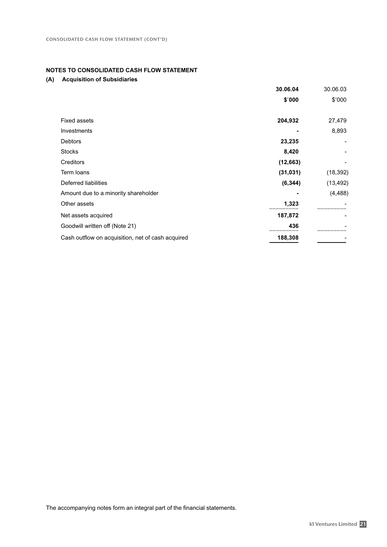#### **NOTES TO CONSOLIDATED CASH FLOW STATEMENT**

|                                                   | 30.06.04  | 30.06.03  |
|---------------------------------------------------|-----------|-----------|
|                                                   | \$'000    | \$'000    |
| <b>Fixed assets</b>                               | 204,932   | 27,479    |
| Investments                                       |           | 8,893     |
| <b>Debtors</b>                                    | 23,235    |           |
| <b>Stocks</b>                                     | 8,420     |           |
| Creditors                                         | (12, 663) |           |
| Term loans                                        | (31, 031) | (18, 392) |
| Deferred liabilities                              | (6, 344)  | (13, 492) |
| Amount due to a minority shareholder              |           | (4, 488)  |
| Other assets                                      | 1,323     |           |
| Net assets acquired                               | 187,872   |           |
| Goodwill written off (Note 21)                    | 436       |           |
| Cash outflow on acquisition, net of cash acquired | 188,308   |           |
|                                                   |           |           |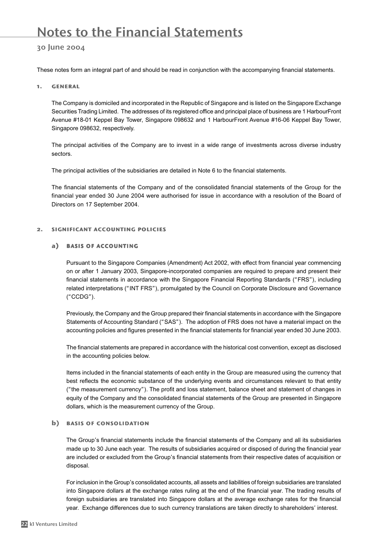### Notes to the Financial Statements

#### 30 June 2004

These notes form an integral part of and should be read in conjunction with the accompanying financial statements.

#### 1. general

The Company is domiciled and incorporated in the Republic of Singapore and is listed on the Singapore Exchange Securities Trading Limited. The addresses of its registered office and principal place of business are 1 HarbourFront Avenue #18-01 Keppel Bay Tower, Singapore 098632 and 1 HarbourFront Avenue #16-06 Keppel Bay Tower, Singapore 098632, respectively.

The principal activities of the Company are to invest in a wide range of investments across diverse industry sectors.

The principal activities of the subsidiaries are detailed in Note 6 to the financial statements.

The financial statements of the Company and of the consolidated financial statements of the Group for the financial year ended 30 June 2004 were authorised for issue in accordance with a resolution of the Board of Directors on 17 September 2004.

#### 2. significant accounting policies

#### **a**) basis of accounting

Pursuant to the Singapore Companies (Amendment) Act 2002, with effect from financial year commencing on or after 1 January 2003, Singapore-incorporated companies are required to prepare and present their financial statements in accordance with the Singapore Financial Reporting Standards ("FRS"), including related interpretations ("INT FRS"), promulgated by the Council on Corporate Disclosure and Governance ("CCDG").

Previously, the Company and the Group prepared their financial statements in accordance with the Singapore Statements of Accounting Standard ("SAS"). The adoption of FRS does not have a material impact on the accounting policies and figures presented in the financial statements for financial year ended 30 June 2003.

The financial statements are prepared in accordance with the historical cost convention, except as disclosed in the accounting policies below.

Items included in the financial statements of each entity in the Group are measured using the currency that best reflects the economic substance of the underlying events and circumstances relevant to that entity ("the measurement currency"). The profit and loss statement, balance sheet and statement of changes in equity of the Company and the consolidated financial statements of the Group are presented in Singapore dollars, which is the measurement currency of the Group.

#### **b**) BASIS OF CONSOLIDATION

The Group's financial statements include the financial statements of the Company and all its subsidiaries made up to 30 June each year. The results of subsidiaries acquired or disposed of during the financial year are included or excluded from the Group's financial statements from their respective dates of acquisition or disposal.

For inclusion in the Group's consolidated accounts, all assets and liabilities of foreign subsidiaries are translated into Singapore dollars at the exchange rates ruling at the end of the financial year. The trading results of foreign subsidiaries are translated into Singapore dollars at the average exchange rates for the financial year. Exchange differences due to such currency translations are taken directly to shareholders' interest.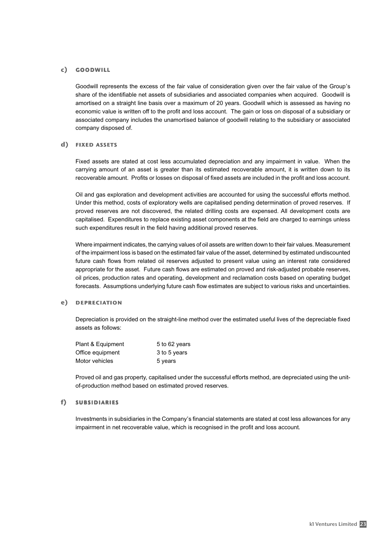#### **c**) goodwill

Goodwill represents the excess of the fair value of consideration given over the fair value of the Group's share of the identifiable net assets of subsidiaries and associated companies when acquired. Goodwill is amortised on a straight line basis over a maximum of 20 years. Goodwill which is assessed as having no economic value is written off to the profit and loss account. The gain or loss on disposal of a subsidiary or associated company includes the unamortised balance of goodwill relating to the subsidiary or associated company disposed of.

#### d) FIXED ASSETS

Fixed assets are stated at cost less accumulated depreciation and any impairment in value. When the carrying amount of an asset is greater than its estimated recoverable amount, it is written down to its recoverable amount. Profits or losses on disposal of fixed assets are included in the profit and loss account.

Oil and gas exploration and development activities are accounted for using the successful efforts method. Under this method, costs of exploratory wells are capitalised pending determination of proved reserves. If proved reserves are not discovered, the related drilling costs are expensed. All development costs are capitalised. Expenditures to replace existing asset components at the field are charged to earnings unless such expenditures result in the field having additional proved reserves.

Where impairment indicates, the carrying values of oil assets are written down to their fair values. Measurement of the impairment loss is based on the estimated fair value of the asset, determined by estimated undiscounted future cash flows from related oil reserves adjusted to present value using an interest rate considered appropriate for the asset. Future cash flows are estimated on proved and risk-adjusted probable reserves, oil prices, production rates and operating, development and reclamation costs based on operating budget forecasts. Assumptions underlying future cash flow estimates are subject to various risks and uncertainties.

#### **e**) depreciation

Depreciation is provided on the straight-line method over the estimated useful lives of the depreciable fixed assets as follows:

| Plant & Equipment | 5 to 62 years |
|-------------------|---------------|
| Office equipment  | 3 to 5 years  |
| Motor vehicles    | 5 years       |

Proved oil and gas property, capitalised under the successful efforts method, are depreciated using the unitof-production method based on estimated proved reserves.

#### f) **SUBSIDIARIES**

Investments in subsidiaries in the Company's financial statements are stated at cost less allowances for any impairment in net recoverable value, which is recognised in the profit and loss account.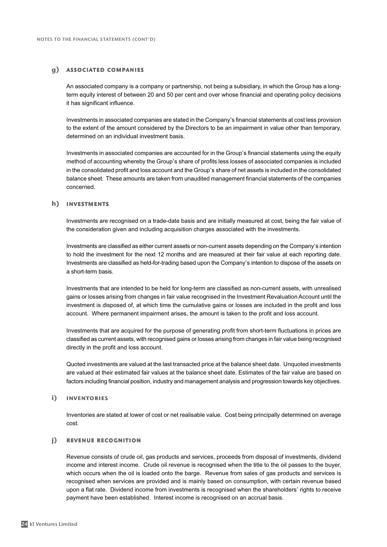#### **g**) associated companies

An associated company is a company or partnership, not being a subsidiary, in which the Group has a longterm equity interest of between 20 and 50 per cent and over whose financial and operating policy decisions it has significant influence.

Investments in associated companies are stated in the Company's financial statements at cost less provision to the extent of the amount considered by the Directors to be an impairment in value other than temporary, determined on an individual investment basis.

Investments in associated companies are accounted for in the Group's financial statements using the equity method of accounting whereby the Group's share of profits less losses of associated companies is included in the consolidated profit and loss account and the Group's share of net assets is included in the consolidated balance sheet. These amounts are taken from unaudited management financial statements of the companies concerned.

#### **h**) investments

Investments are recognised on a trade-date basis and are initially measured at cost, being the fair value of the consideration given and including acquisition charges associated with the investments.

Investments are classified as either current assets or non-current assets depending on the Company's intention to hold the investment for the next 12 months and are measured at their fair value at each reporting date. Investments are classified as held-for-trading based upon the Company's intention to dispose of the assets on a short-term basis.

Investments that are intended to be held for long-term are classified as non-current assets, with unrealised gains or losses arising from changes in fair value recognised in the Investment Revaluation Account until the investment is disposed of, at which time the cumulative gains or losses are included in the profit and loss account. Where permanent impairment arises, the amount is taken to the profit and loss account.

Investments that are acquired for the purpose of generating profit from short-term fluctuations in prices are classified as current assets, with recognised gains or losses arising from changes in fair value being recognised directly in the profit and loss account.

Quoted investments are valued at the last transacted price at the balance sheet date. Unquoted investments are valued at their estimated fair values at the balance sheet date. Estimates of the fair value are based on factors including financial position, industry and management analysis and progression towards key objectives.

#### **i**) inventories

Inventories are stated at lower of cost or net realisable value. Cost being principally determined on average cost.

#### **j)** REVENUE RECOGNITION

Revenue consists of crude oil, gas products and services, proceeds from disposal of investments, dividend income and interest income. Crude oil revenue is recognised when the title to the oil passes to the buyer, which occurs when the oil is loaded onto the barge. Revenue from sales of gas products and services is recognised when services are provided and is mainly based on consumption, with certain revenue based upon a flat rate. Dividend income from investments is recognised when the shareholders' rights to receive payment have been established. Interest income is recognised on an accrual basis.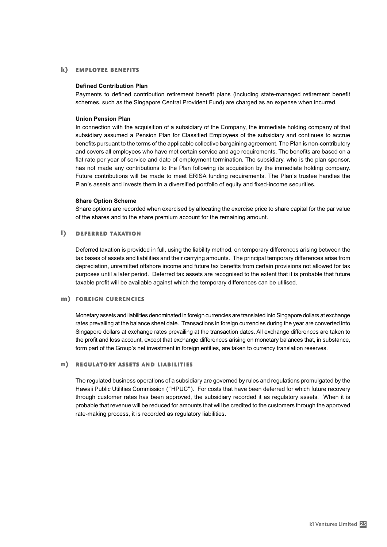#### **k**) employee benefits

#### **Defined Contribution Plan**

Payments to defined contribution retirement benefit plans (including state-managed retirement benefit schemes, such as the Singapore Central Provident Fund) are charged as an expense when incurred.

#### **Union Pension Plan**

In connection with the acquisition of a subsidiary of the Company, the immediate holding company of that subsidiary assumed a Pension Plan for Classified Employees of the subsidiary and continues to accrue benefits pursuant to the terms of the applicable collective bargaining agreement. The Plan is non-contributory and covers all employees who have met certain service and age requirements. The benefits are based on a flat rate per year of service and date of employment termination. The subsidiary, who is the plan sponsor, has not made any contributions to the Plan following its acquisition by the immediate holding company. Future contributions will be made to meet ERISA funding requirements. The Plan's trustee handles the Plan's assets and invests them in a diversified portfolio of equity and fixed-income securities.

#### **Share Option Scheme**

Share options are recorded when exercised by allocating the exercise price to share capital for the par value of the shares and to the share premium account for the remaining amount.

#### **l**) deferred taxation

Deferred taxation is provided in full, using the liability method, on temporary differences arising between the tax bases of assets and liabilities and their carrying amounts. The principal temporary differences arise from depreciation, unremitted offshore income and future tax benefits from certain provisions not allowed for tax purposes until a later period. Deferred tax assets are recognised to the extent that it is probable that future taxable profit will be available against which the temporary differences can be utilised.

#### **m**) foreign currencies

Monetary assets and liabilities denominated in foreign currencies are translated into Singapore dollars at exchange rates prevailing at the balance sheet date. Transactions in foreign currencies during the year are converted into Singapore dollars at exchange rates prevailing at the transaction dates. All exchange differences are taken to the profit and loss account, except that exchange differences arising on monetary balances that, in substance, form part of the Group's net investment in foreign entities, are taken to currency translation reserves.

#### **n**) regulatory assets and liabilities

The regulated business operations of a subsidiary are governed by rules and regulations promulgated by the Hawaii Public Utilities Commission ("HPUC"). For costs that have been deferred for which future recovery through customer rates has been approved, the subsidiary recorded it as regulatory assets. When it is probable that revenue will be reduced for amounts that will be credited to the customers through the approved rate-making process, it is recorded as regulatory liabilities.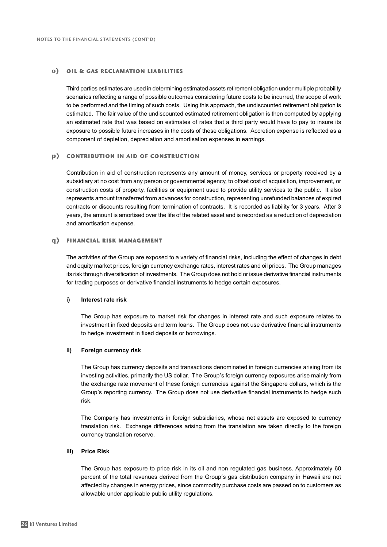#### **o**) oil & gas reclamation liabilities

Third parties estimates are used in determining estimated assets retirement obligation under multiple probability scenarios reflecting a range of possible outcomes considering future costs to be incurred, the scope of work to be performed and the timing of such costs. Using this approach, the undiscounted retirement obligation is estimated. The fair value of the undiscounted estimated retirement obligation is then computed by applying an estimated rate that was based on estimates of rates that a third party would have to pay to insure its exposure to possible future increases in the costs of these obligations. Accretion expense is reflected as a component of depletion, depreciation and amortisation expenses in earnings.

#### **p**) contribution in aid of construction

Contribution in aid of construction represents any amount of money, services or property received by a subsidiary at no cost from any person or governmental agency, to offset cost of acquisition, improvement, or construction costs of property, facilities or equipment used to provide utility services to the public. It also represents amount transferred from advances for construction, representing unrefunded balances of expired contracts or discounts resulting from termination of contracts. It is recorded as liability for 3 years. After 3 years, the amount is amortised over the life of the related asset and is recorded as a reduction of depreciation and amortisation expense.

#### **q**) financial risk management

The activities of the Group are exposed to a variety of financial risks, including the effect of changes in debt and equity market prices, foreign currency exchange rates, interest rates and oil prices. The Group manages its risk through diversification of investments. The Group does not hold or issue derivative financial instruments for trading purposes or derivative financial instruments to hedge certain exposures.

#### **i) Interest rate risk**

The Group has exposure to market risk for changes in interest rate and such exposure relates to investment in fixed deposits and term loans. The Group does not use derivative financial instruments to hedge investment in fixed deposits or borrowings.

#### **ii) Foreign currency risk**

The Group has currency deposits and transactions denominated in foreign currencies arising from its investing activities, primarily the US dollar. The Group's foreign currency exposures arise mainly from the exchange rate movement of these foreign currencies against the Singapore dollars, which is the Group's reporting currency. The Group does not use derivative financial instruments to hedge such risk.

The Company has investments in foreign subsidiaries, whose net assets are exposed to currency translation risk. Exchange differences arising from the translation are taken directly to the foreign currency translation reserve.

#### **iii) Price Risk**

The Group has exposure to price risk in its oil and non regulated gas business. Approximately 60 percent of the total revenues derived from the Group's gas distribution company in Hawaii are not affected by changes in energy prices, since commodity purchase costs are passed on to customers as allowable under applicable public utility regulations.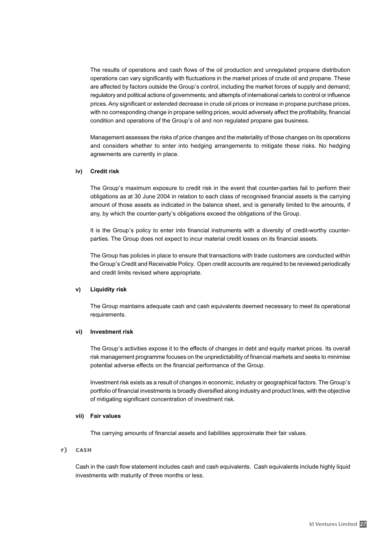The results of operations and cash flows of the oil production and unregulated propane distribution operations can vary significantly with fluctuations in the market prices of crude oil and propane. These are affected by factors outside the Group's control, including the market forces of supply and demand; regulatory and political actions of governments; and attempts of international cartels to control or influence prices. Any significant or extended decrease in crude oil prices or increase in propane purchase prices, with no corresponding change in propane selling prices, would adversely affect the profitability, financial condition and operations of the Group's oil and non regulated propane gas business.

Management assesses the risks of price changes and the materiality of those changes on its operations and considers whether to enter into hedging arrangements to mitigate these risks. No hedging agreements are currently in place.

#### **iv) Credit risk**

The Group's maximum exposure to credit risk in the event that counter-parties fail to perform their obligations as at 30 June 2004 in relation to each class of recognised financial assets is the carrying amount of those assets as indicated in the balance sheet, and is generally limited to the amounts, if any, by which the counter-party's obligations exceed the obligations of the Group.

It is the Group's policy to enter into financial instruments with a diversity of credit-worthy counterparties. The Group does not expect to incur material credit losses on its financial assets.

The Group has policies in place to ensure that transactions with trade customers are conducted within the Group's Credit and Receivable Policy. Open credit accounts are required to be reviewed periodically and credit limits revised where appropriate*.*

#### **v) Liquidity risk**

The Group maintains adequate cash and cash equivalents deemed necessary to meet its operational requirements.

#### **vi) Investment risk**

The Group's activities expose it to the effects of changes in debt and equity market prices. Its overall risk management programme focuses on the unpredictability of financial markets and seeks to minimise potential adverse effects on the financial performance of the Group.

Investment risk exists as a result of changes in economic, industry or geographical factors. The Group's portfolio of financial investments is broadly diversified along industry and product lines, with the objective of mitigating significant concentration of investment risk.

#### **vii) Fair values**

The carrying amounts of financial assets and liabilities approximate their fair values.

#### **r**) cash

Cash in the cash flow statement includes cash and cash equivalents. Cash equivalents include highly liquid investments with maturity of three months or less*.*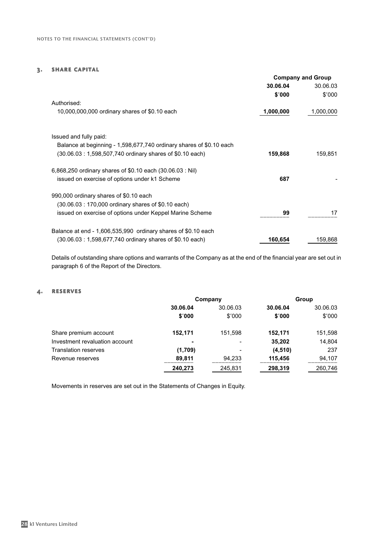#### 3. share capital

|                                                                     | <b>Company and Group</b> |           |
|---------------------------------------------------------------------|--------------------------|-----------|
|                                                                     | 30.06.04                 | 30.06.03  |
|                                                                     | \$′000                   | \$'000    |
| Authorised:                                                         |                          |           |
| 10,000,000,000 ordinary shares of \$0.10 each                       | 1,000,000                | 1,000,000 |
| Issued and fully paid:                                              |                          |           |
| Balance at beginning - 1,598,677,740 ordinary shares of \$0.10 each |                          |           |
| (30.06.03: 1,598,507,740 ordinary shares of \$0.10 each)            | 159,868                  | 159,851   |
|                                                                     |                          |           |
| 6,868,250 ordinary shares of \$0.10 each (30.06.03 : Nil)           |                          |           |
| issued on exercise of options under k1 Scheme                       | 687                      |           |
| 990,000 ordinary shares of \$0.10 each                              |                          |           |
| (30.06.03: 170,000 ordinary shares of \$0.10 each)                  |                          |           |
| issued on exercise of options under Keppel Marine Scheme            | 99                       | 17        |
|                                                                     |                          |           |
| Balance at end - 1,606,535,990 ordinary shares of \$0.10 each       |                          |           |
| (30.06.03: 1,598,677,740 ordinary shares of \$0.10 each)            | 160,654                  | 159,868   |

Details of outstanding share options and warrants of the Company as at the end of the financial year are set out in paragraph 6 of the Report of the Directors.

#### 4. reserves

|                                | Company  |                          | Group    |          |
|--------------------------------|----------|--------------------------|----------|----------|
|                                | 30.06.04 | 30.06.03                 | 30.06.04 | 30.06.03 |
|                                | \$'000   | \$'000                   | \$'000   | \$'000   |
| Share premium account          | 152,171  | 151.598                  | 152,171  | 151,598  |
| Investment revaluation account | ۰        | $\overline{\phantom{a}}$ | 35,202   | 14,804   |
| <b>Translation reserves</b>    | (1,709)  | $\blacksquare$           | (4, 510) | 237      |
| Revenue reserves               | 89,811   | 94.233                   | 115,456  | 94,107   |
|                                | 240,273  | 245,831                  | 298,319  | 260,746  |

Movements in reserves are set out in the Statements of Changes in Equity.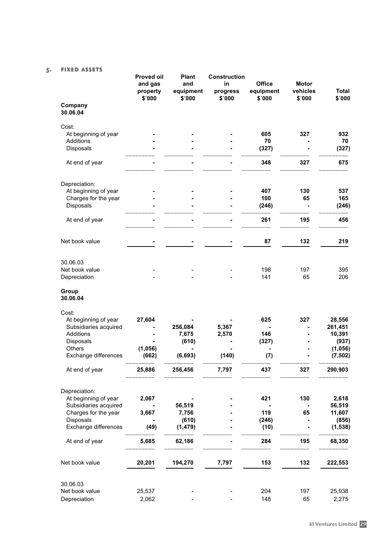### 5. fixed assets

|                        | <b>Proved oil</b><br>and gas<br>property<br>\$'000 | <b>Plant</b><br>and<br>equipment<br>\$'000 | <b>Construction</b><br>in<br>progress<br>\$'000 | <b>Office</b><br>equipment<br>\$'000 | <b>Motor</b><br>vehicles<br>\$'000 | <b>Total</b><br>\$'000 |
|------------------------|----------------------------------------------------|--------------------------------------------|-------------------------------------------------|--------------------------------------|------------------------------------|------------------------|
| Company<br>30.06.04    |                                                    |                                            |                                                 |                                      |                                    |                        |
| Cost:                  |                                                    |                                            |                                                 |                                      |                                    |                        |
| At beginning of year   |                                                    |                                            |                                                 | 605                                  | 327                                | 932                    |
| Additions              |                                                    |                                            |                                                 | 70                                   |                                    | 70                     |
| Disposals              |                                                    |                                            |                                                 | (327)                                |                                    | (327)                  |
| At end of year         |                                                    |                                            |                                                 | 348                                  | 327                                | 675                    |
| Depreciation:          |                                                    |                                            |                                                 |                                      |                                    |                        |
| At beginning of year   |                                                    |                                            |                                                 | 407                                  | 130                                | 537                    |
| Charges for the year   |                                                    |                                            |                                                 | 100                                  | 65                                 | 165                    |
| Disposals              |                                                    |                                            |                                                 | (246)                                |                                    | (246)                  |
| At end of year         |                                                    |                                            |                                                 | 261                                  | 195                                | 456                    |
| Net book value         |                                                    |                                            |                                                 | 87                                   | 132                                | 219                    |
| 30.06.03               |                                                    |                                            |                                                 |                                      |                                    |                        |
| Net book value         |                                                    |                                            |                                                 | 198                                  | 197                                | 395                    |
| Depreciation           |                                                    |                                            |                                                 | 141                                  | 65                                 | 206                    |
| Group<br>30.06.04      |                                                    |                                            |                                                 |                                      |                                    |                        |
| Cost:                  |                                                    |                                            |                                                 |                                      |                                    |                        |
| At beginning of year   | 27,604                                             |                                            |                                                 | 625                                  | 327                                | 28,556                 |
| Subsidiaries acquired  |                                                    | 256,084                                    | 5,367                                           |                                      |                                    | 261,451                |
| Additions<br>Disposals |                                                    | 7,675<br>(610)                             | 2,570                                           | 146<br>(327)                         |                                    | 10,391<br>(937)        |
| Others                 | (1,056)                                            |                                            |                                                 |                                      |                                    | (1,056)                |
| Exchange differences   | (662)                                              | (6, 693)                                   | (140)                                           | (7)                                  |                                    | (7, 502)               |
| At end of year         | 25,886                                             | 256,456                                    | 7,797                                           | 437                                  | 327                                | 290,903                |
| Depreciation:          |                                                    |                                            |                                                 |                                      |                                    |                        |
| At beginning of year   | 2,067                                              |                                            |                                                 | 421                                  | 130                                | 2,618                  |
| Subsidiaries acquired  |                                                    | 56,519                                     |                                                 |                                      |                                    | 56,519                 |
| Charges for the year   | 3,667                                              | 7,756                                      |                                                 | 119                                  | 65                                 | 11,607                 |
| Disposals              |                                                    | (610)                                      |                                                 | (246)                                |                                    | (856)                  |
| Exchange differences   | (49)                                               | (1, 479)                                   |                                                 | (10)                                 |                                    | (1, 538)               |
| At end of year         | 5,685                                              | 62,186                                     |                                                 | 284                                  | 195                                | 68,350                 |
| Net book value         | 20,201                                             | 194,270                                    | 7,797                                           | 153                                  | 132                                | 222,553                |
| 30.06.03               |                                                    |                                            |                                                 |                                      |                                    |                        |
| Net book value         | 25,537                                             |                                            |                                                 | 204                                  | 197                                | 25,938                 |
| Depreciation           | 2,062                                              |                                            |                                                 | 148                                  | 65                                 | 2,275                  |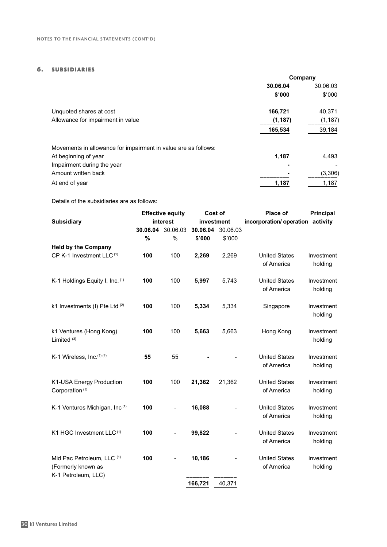#### 6. subsidiaries

|                                                                | Company  |          |
|----------------------------------------------------------------|----------|----------|
|                                                                | 30.06.04 | 30.06.03 |
|                                                                | \$′000   | \$'000   |
| Unquoted shares at cost                                        | 166,721  | 40,371   |
| Allowance for impairment in value                              | (1, 187) | (1, 187) |
|                                                                | 165,534  | 39,184   |
| Movements in allowance for impairment in value are as follows: |          |          |
| At beginning of year                                           | 1,187    | 4,493    |
| Impairment during the year                                     |          |          |
| Amount written back                                            |          | (3,306)  |
| At end of year                                                 | 1,187    | 1,187    |

Details of the subsidiaries are as follows:

|                                                                         |          | <b>Effective equity</b>      |            | Cost of  | Place of                           | Principal             |
|-------------------------------------------------------------------------|----------|------------------------------|------------|----------|------------------------------------|-----------------------|
| <b>Subsidiary</b>                                                       |          | interest                     | investment |          | incorporation/ operation activity  |                       |
|                                                                         | 30.06.04 | 30.06.03                     | 30.06.04   | 30.06.03 |                                    |                       |
|                                                                         | $\%$     | $\%$                         | \$'000     | \$'000   |                                    |                       |
| <b>Held by the Company</b>                                              |          |                              |            |          |                                    |                       |
| CP K-1 Investment LLC <sup>(1)</sup>                                    | 100      | 100                          | 2,269      | 2,269    | <b>United States</b><br>of America | Investment<br>holding |
| K-1 Holdings Equity I, Inc. (1)                                         | 100      | 100                          | 5,997      | 5,743    | <b>United States</b><br>of America | Investment<br>holding |
| k1 Investments (I) Pte Ltd (2)                                          | 100      | 100                          | 5,334      | 5,334    | Singapore                          | Investment<br>holding |
| k1 Ventures (Hong Kong)<br>Limited <sup>(3)</sup>                       | 100      | 100                          | 5,663      | 5,663    | Hong Kong                          | Investment<br>holding |
| K-1 Wireless, Inc.(1)(4)                                                | 55       | 55                           |            |          | <b>United States</b><br>of America | Investment<br>holding |
| K1-USA Energy Production<br>Corporation <sup>(1)</sup>                  | 100      | 100                          | 21,362     | 21,362   | <b>United States</b><br>of America | Investment<br>holding |
| K-1 Ventures Michigan, Inc(1)                                           | 100      |                              | 16,088     |          | <b>United States</b><br>of America | Investment<br>holding |
| K1 HGC Investment LLC <sup>(1)</sup>                                    | 100      |                              | 99,822     |          | <b>United States</b><br>of America | Investment<br>holding |
| Mid Pac Petroleum, LLC (1)<br>(Formerly known as<br>K-1 Petroleum, LLC) | 100      | $\qquad \qquad \blacksquare$ | 10,186     |          | <b>United States</b><br>of America | Investment<br>holding |
|                                                                         |          |                              | 166,721    | 40,371   |                                    |                       |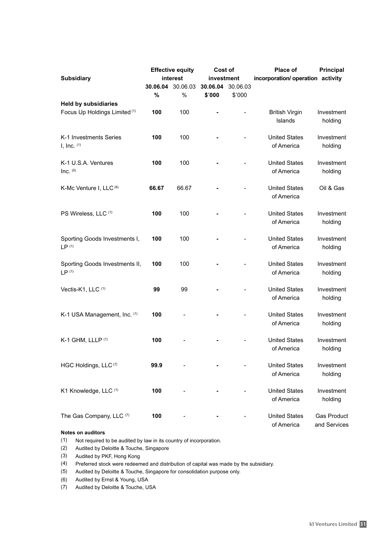|                                          | <b>Effective equity</b> |          | Cost of    |          | <b>Place of</b>                   | <b>Principal</b>   |
|------------------------------------------|-------------------------|----------|------------|----------|-----------------------------------|--------------------|
| <b>Subsidiary</b>                        |                         | interest | investment |          | incorporation/ operation activity |                    |
|                                          | 30.06.04                | 30.06.03 | 30.06.04   | 30.06.03 |                                   |                    |
|                                          | $\%$                    | %        | \$'000     | \$'000   |                                   |                    |
| <b>Held by subsidiaries</b>              |                         |          |            |          |                                   |                    |
| Focus Up Holdings Limited <sup>(1)</sup> | 100                     | 100      |            |          | <b>British Virgin</b>             | Investment         |
|                                          |                         |          |            |          | Islands                           | holding            |
|                                          |                         |          |            |          |                                   |                    |
| K-1 Investments Series                   | 100                     | 100      |            |          | <b>United States</b>              | Investment         |
| $I, Inc.$ (1)                            |                         |          |            |          | of America                        | holding            |
|                                          |                         |          |            |          |                                   |                    |
| K-1 U.S.A. Ventures                      | 100                     | 100      |            |          | <b>United States</b>              | Investment         |
| Inc. $(5)$                               |                         |          |            |          | of America                        | holding            |
|                                          |                         |          |            |          |                                   |                    |
| K-Mc Venture I, LLC (6)                  | 66.67                   | 66.67    |            |          | <b>United States</b>              | Oil & Gas          |
|                                          |                         |          |            |          | of America                        |                    |
|                                          |                         |          |            |          |                                   |                    |
| PS Wireless, LLC (1)                     | 100                     | 100      |            |          | <b>United States</b>              | Investment         |
|                                          |                         |          |            |          | of America                        | holding            |
|                                          |                         |          |            |          |                                   |                    |
| Sporting Goods Investments I,            | 100                     | 100      |            |          | <b>United States</b>              | Investment         |
| LP <sup>(1)</sup>                        |                         |          |            |          | of America                        | holding            |
|                                          |                         |          |            |          |                                   |                    |
| Sporting Goods Investments II,           | 100                     | 100      |            |          | <b>United States</b>              | Investment         |
| LP <sup>(1)</sup>                        |                         |          |            |          | of America                        | holding            |
|                                          |                         |          |            |          |                                   |                    |
| Vectis-K1, LLC <sup>(1)</sup>            | 99                      | 99       |            |          | <b>United States</b>              | Investment         |
|                                          |                         |          |            |          | of America                        | holding            |
|                                          |                         |          |            |          |                                   |                    |
| K-1 USA Management, Inc. (1)             | 100                     |          |            |          | <b>United States</b>              | Investment         |
|                                          |                         |          |            |          | of America                        | holding            |
|                                          |                         |          |            |          |                                   |                    |
| K-1 GHM, LLLP (1)                        | 100                     |          |            |          | <b>United States</b>              | Investment         |
|                                          |                         |          |            |          | of America                        | holding            |
|                                          |                         |          |            |          |                                   |                    |
| HGC Holdings, LLC <sup>(7)</sup>         | 99.9                    |          |            |          | <b>United States</b>              | Investment         |
|                                          |                         |          |            |          | of America                        | holding            |
|                                          |                         |          |            |          |                                   |                    |
| K1 Knowledge, LLC (1)                    | 100                     |          |            |          | <b>United States</b>              | Investment         |
|                                          |                         |          |            |          | of America                        | holding            |
|                                          |                         |          |            |          |                                   |                    |
| The Gas Company, LLC (7)                 | 100                     |          |            |          | <b>United States</b>              | <b>Gas Product</b> |
|                                          |                         |          |            |          | of America                        | and Services       |

#### **Notes on auditors**

- (1) Not required to be audited by law in its country of incorporation.
- (2) Audited by Deloitte & Touche, Singapore
- (3) Audited by PKF, Hong Kong
- (4) Preferred stock were redeemed and distribution of capital was made by the subsidiary.
- (5) Audited by Deloitte & Touche, Singapore for consolidation purpose only.
- (6) Audited by Ernst & Young, USA
- (7) Audited by Deloitte & Touche, USA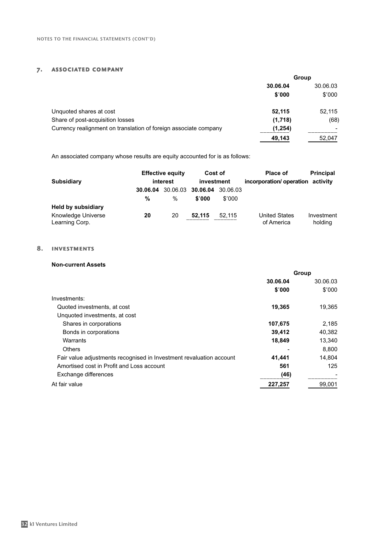#### 7. associated company

|                                                                  | Group    |          |  |
|------------------------------------------------------------------|----------|----------|--|
|                                                                  | 30.06.04 | 30.06.03 |  |
|                                                                  | \$'000   | \$'000   |  |
| Unquoted shares at cost                                          | 52,115   | 52,115   |  |
| Share of post-acquisition losses                                 | (1,718)  | (68)     |  |
| Currency realignment on translation of foreign associate company | (1,254)  |          |  |
|                                                                  | 49,143   | 52.047   |  |

An associated company whose results are equity accounted for is as follows:

| <b>Subsidiary</b>                    |    | <b>Effective equity</b><br>interest | Cost of<br>investment                |                    | <b>Place of</b><br>incorporation/operation activity | <b>Principal</b>      |
|--------------------------------------|----|-------------------------------------|--------------------------------------|--------------------|-----------------------------------------------------|-----------------------|
|                                      | %  | %                                   | 30.06.04 30.06.03 30.06.04<br>\$'000 | 30.06.03<br>\$'000 |                                                     |                       |
| <b>Held by subsidiary</b>            |    |                                     |                                      |                    |                                                     |                       |
| Knowledge Universe<br>Learning Corp. | 20 | 20                                  | 52.115                               | 52.115             | <b>United States</b><br>of America                  | Investment<br>holding |

#### 8. investments

#### **Non-current Assets**

|                                                                     | Group    |          |
|---------------------------------------------------------------------|----------|----------|
|                                                                     | 30.06.04 | 30.06.03 |
|                                                                     | \$'000   | \$'000   |
| Investments:                                                        |          |          |
| Quoted investments, at cost                                         | 19,365   | 19,365   |
| Unquoted investments, at cost                                       |          |          |
| Shares in corporations                                              | 107,675  | 2,185    |
| Bonds in corporations                                               | 39,412   | 40,382   |
| Warrants                                                            | 18,849   | 13,340   |
| <b>Others</b>                                                       |          | 8.800    |
| Fair value adjustments recognised in Investment revaluation account | 41,441   | 14.804   |
| Amortised cost in Profit and Loss account                           | 561      | 125      |
| Exchange differences                                                | (46)     |          |
| At fair value                                                       | 227,257  | 99,001   |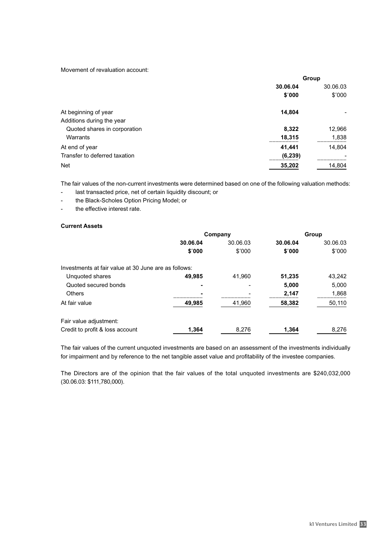Movement of revaluation account:

| Group    |          |  |
|----------|----------|--|
| 30.06.04 | 30.06.03 |  |
| \$'000   | \$'000   |  |
| 14,804   |          |  |
|          |          |  |
| 8,322    | 12,966   |  |
| 18,315   | 1,838    |  |
| 41,441   | 14,804   |  |
| (6, 239) |          |  |
| 35,202   | 14,804   |  |
|          |          |  |

The fair values of the non-current investments were determined based on one of the following valuation methods:

- last transacted price, net of certain liquidity discount; or
- the Black-Scholes Option Pricing Model; or
- the effective interest rate.

#### **Current Assets**

|                                                      | Company  |          | Group    |          |
|------------------------------------------------------|----------|----------|----------|----------|
|                                                      | 30.06.04 | 30.06.03 | 30.06.04 | 30.06.03 |
|                                                      | \$'000   | \$'000   | \$'000   | \$'000   |
| Investments at fair value at 30 June are as follows: |          |          |          |          |
| Unquoted shares                                      | 49.985   | 41.960   | 51,235   | 43,242   |
| Quoted secured bonds                                 | ۰        |          | 5,000    | 5,000    |
| <b>Others</b>                                        |          |          | 2,147    | 1,868    |
| At fair value                                        | 49,985   | 41,960   | 58,382   | 50,110   |
| Fair value adjustment:                               |          |          |          |          |
| Credit to profit & loss account                      | 1,364    | 8,276    | 1,364    | 8,276    |

The fair values of the current unquoted investments are based on an assessment of the investments individually for impairment and by reference to the net tangible asset value and profitability of the investee companies.

The Directors are of the opinion that the fair values of the total unquoted investments are \$240,032,000 (30.06.03: \$111,780,000).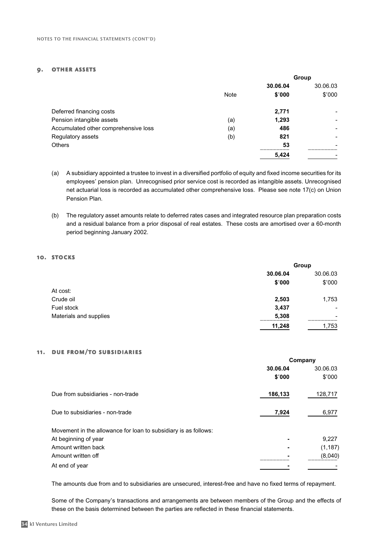#### 9. other assets

|                                      |      | Group    |          |
|--------------------------------------|------|----------|----------|
|                                      |      | 30.06.04 | 30.06.03 |
|                                      | Note | \$'000   | \$'000   |
| Deferred financing costs             |      | 2,771    |          |
| Pension intangible assets            | (a)  | 1,293    |          |
| Accumulated other comprehensive loss | (a)  | 486      |          |
| Regulatory assets                    | (b)  | 821      |          |
| <b>Others</b>                        |      | 53       |          |
|                                      |      | 5,424    |          |

- (a) A subsidiary appointed a trustee to invest in a diversified portfolio of equity and fixed income securities for its employees' pension plan. Unrecognised prior service cost is recorded as intangible assets. Unrecognised net actuarial loss is recorded as accumulated other comprehensive loss. Please see note 17(c) on Union Pension Plan.
- (b) The regulatory asset amounts relate to deferred rates cases and integrated resource plan preparation costs and a residual balance from a prior disposal of real estates. These costs are amortised over a 60-month period beginning January 2002.

#### 10. STOCKS

|                        | Group    |                          |
|------------------------|----------|--------------------------|
|                        | 30.06.04 | 30.06.03                 |
|                        | \$'000   | \$'000                   |
| At cost:               |          |                          |
| Crude oil              | 2,503    | 1,753                    |
| Fuel stock             | 3,437    | ۰.                       |
| Materials and supplies | 5,308    | $\overline{\phantom{a}}$ |
|                        | 11,248   | 1,753                    |

#### 11. due from/to subsidiaries

|                                                                 | Company  |          |  |
|-----------------------------------------------------------------|----------|----------|--|
|                                                                 | 30.06.04 | 30.06.03 |  |
|                                                                 | \$'000   | \$'000   |  |
| Due from subsidiaries - non-trade                               | 186,133  | 128,717  |  |
| Due to subsidiaries - non-trade                                 | 7,924    | 6,977    |  |
| Movement in the allowance for loan to subsidiary is as follows: |          |          |  |
| At beginning of year                                            |          | 9,227    |  |
| Amount written back                                             |          | (1, 187) |  |
| Amount written off                                              |          | (8,040)  |  |
| At end of year                                                  |          |          |  |

The amounts due from and to subsidiaries are unsecured, interest-free and have no fixed terms of repayment.

Some of the Company's transactions and arrangements are between members of the Group and the effects of these on the basis determined between the parties are reflected in these financial statements.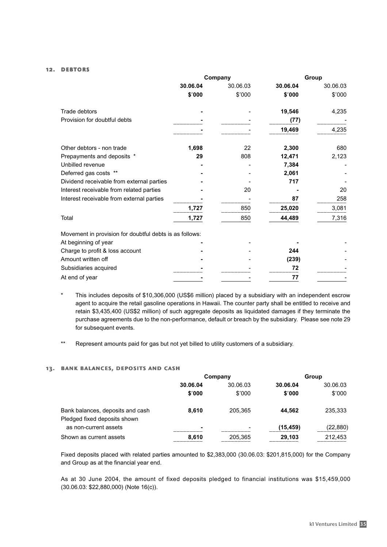#### 12. debtors

|                                                         | Company  |          | Group    |          |
|---------------------------------------------------------|----------|----------|----------|----------|
|                                                         | 30.06.04 | 30.06.03 | 30.06.04 | 30.06.03 |
|                                                         | \$'000   | \$'000   | \$'000   | \$'000   |
| Trade debtors                                           |          |          | 19,546   | 4,235    |
| Provision for doubtful debts                            |          |          | (77)     |          |
|                                                         |          |          | 19,469   | 4,235    |
| Other debtors - non trade                               | 1,698    | 22       | 2,300    | 680      |
| Prepayments and deposits *                              | 29       | 808      | 12,471   | 2,123    |
| Unbilled revenue                                        |          |          | 7,384    |          |
| Deferred gas costs **                                   |          |          | 2,061    |          |
| Dividend receivable from external parties               |          |          | 717      |          |
| Interest receivable from related parties                |          | 20       |          | 20       |
| Interest receivable from external parties               |          |          | 87       | 258      |
|                                                         | 1,727    | 850      | 25,020   | 3,081    |
| Total                                                   | 1,727    | 850      | 44,489   | 7,316    |
| Movement in provision for doubtful debts is as follows: |          |          |          |          |
| At beginning of year                                    |          |          |          |          |
| Charge to profit & loss account                         |          |          | 244      |          |
| Amount written off                                      |          |          | (239)    |          |
| Subsidiaries acquired                                   |          |          | 72       |          |
| At end of year                                          |          |          | 77       |          |

- This includes deposits of \$10,306,000 (US\$6 million) placed by a subsidiary with an independent escrow agent to acquire the retail gasoline operations in Hawaii. The counter party shall be entitled to receive and retain \$3,435,400 (US\$2 million) of such aggregate deposits as liquidated damages if they terminate the purchase agreements due to the non-performance, default or breach by the subsidiary. Please see note 29 for subsequent events.
- \*\* Represent amounts paid for gas but not yet billed to utility customers of a subsidiary.

#### 13. bank balances, deposits and cash

|                                  | Company                  |          | Group     |           |
|----------------------------------|--------------------------|----------|-----------|-----------|
|                                  | 30.06.04                 | 30.06.03 | 30.06.04  | 30.06.03  |
|                                  | \$'000                   | \$'000   | \$'000    | \$'000    |
| Bank balances, deposits and cash | 8.610                    | 205.365  | 44.562    | 235,333   |
| Pledged fixed deposits shown     |                          |          |           |           |
| as non-current assets            | $\overline{\phantom{0}}$ |          | (15, 459) | (22, 880) |
| Shown as current assets          | 8.610                    | 205,365  | 29,103    | 212,453   |

Fixed deposits placed with related parties amounted to \$2,383,000 (30.06.03: \$201,815,000) for the Company and Group as at the financial year end.

As at 30 June 2004, the amount of fixed deposits pledged to financial institutions was \$15,459,000 (30.06.03: \$22,880,000) (Note 16(c)).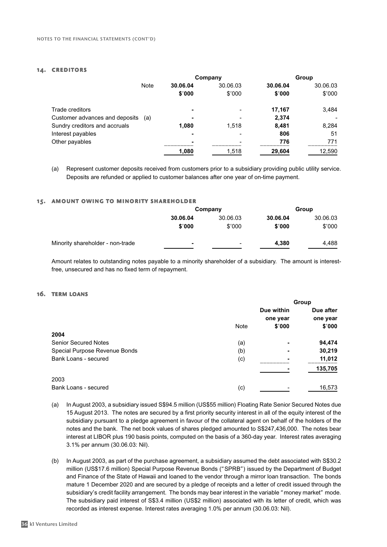#### 14. creditors

|                                |             |                | Company                  |          | Group    |
|--------------------------------|-------------|----------------|--------------------------|----------|----------|
|                                | <b>Note</b> | 30.06.04       | 30.06.03                 | 30.06.04 | 30.06.03 |
|                                |             | \$'000         | \$'000                   | \$'000   | \$'000   |
| Trade creditors                |             | $\blacksquare$ | $\overline{\phantom{0}}$ | 17.167   | 3,484    |
| Customer advances and deposits | (a)         | ۰              |                          | 2,374    |          |
| Sundry creditors and accruals  |             | 1,080          | 1.518                    | 8,481    | 8,284    |
| Interest payables              |             |                |                          | 806      | 51       |
| Other payables                 |             | $\blacksquare$ | $\blacksquare$           | 776      | 771      |
|                                |             | 1,080          | 1,518                    | 29,604   | 12,590   |

(a) Represent customer deposits received from customers prior to a subsidiary providing public utility service. Deposits are refunded or applied to customer balances after one year of on-time payment.

#### 15. amount owing to minority shareholder

|                                  | Company  |          | Group  |        |  |          |  |          |
|----------------------------------|----------|----------|--------|--------|--|----------|--|----------|
|                                  | 30.06.04 | 30.06.03 |        |        |  | 30.06.04 |  | 30.06.03 |
|                                  | \$'000   | \$'000   | \$'000 | \$'000 |  |          |  |          |
| Minority shareholder - non-trade | ۰        | -        | 4,380  | 4.488  |  |          |  |          |

Amount relates to outstanding notes payable to a minority shareholder of a subsidiary. The amount is interestfree, unsecured and has no fixed term of repayment.

#### 16. term loans

|                               |             | Group          |           |
|-------------------------------|-------------|----------------|-----------|
|                               |             | Due within     | Due after |
|                               |             | one year       | one year  |
|                               | <b>Note</b> | \$'000         | \$′000    |
| 2004                          |             |                |           |
| <b>Senior Secured Notes</b>   | (a)         |                | 94,474    |
| Special Purpose Revenue Bonds | (b)         | $\blacksquare$ | 30,219    |
| Bank Loans - secured          | (c)         |                | 11,012    |
|                               |             |                | 135,705   |
| 2003                          |             |                |           |
| Bank Loans - secured          | (c)         |                | 16,573    |

- (a) In August 2003, a subsidiary issued S\$94.5 million (US\$55 million) Floating Rate Senior Secured Notes due 15 August 2013. The notes are secured by a first priority security interest in all of the equity interest of the subsidiary pursuant to a pledge agreement in favour of the collateral agent on behalf of the holders of the notes and the bank. The net book values of shares pledged amounted to S\$247,436,000. The notes bear interest at LIBOR plus 190 basis points, computed on the basis of a 360-day year. Interest rates averaging 3.1% per annum (30.06.03: Nil).
- (b) In August 2003, as part of the purchase agreement, a subsidiary assumed the debt associated with S\$30.2 million (US\$17.6 million) Special Purpose Revenue Bonds ("SPRB") issued by the Department of Budget and Finance of the State of Hawaii and loaned to the vendor through a mirror loan transaction. The bonds mature 1 December 2020 and are secured by a pledge of receipts and a letter of credit issued through the subsidiary's credit facility arrangement. The bonds may bear interest in the variable "money market" mode. The subsidiary paid interest of S\$3.4 million (US\$2 million) associated with its letter of credit, which was recorded as interest expense. Interest rates averaging 1.0% per annum (30.06.03: Nil).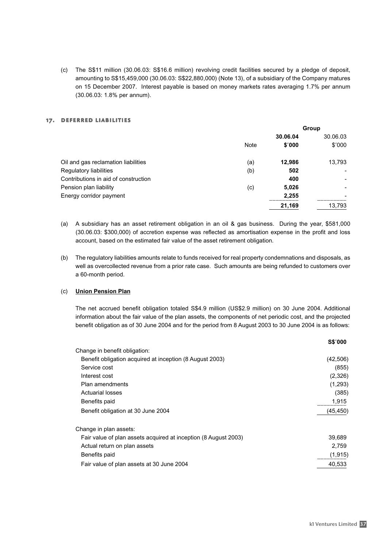(c) The S\$11 million (30.06.03: S\$16.6 million) revolving credit facilities secured by a pledge of deposit, amounting to S\$15,459,000 (30.06.03: S\$22,880,000) (Note 13), of a subsidiary of the Company matures on 15 December 2007. Interest payable is based on money markets rates averaging 1.7% per annum (30.06.03: 1.8% per annum).

#### 17. deferred liabilities

|                                      | Group       |          |          |
|--------------------------------------|-------------|----------|----------|
|                                      |             | 30.06.04 | 30.06.03 |
|                                      | <b>Note</b> | \$'000   | \$'000   |
| Oil and gas reclamation liabilities  | (a)         | 12,986   | 13,793   |
| Regulatory liabilities               | (b)         | 502      |          |
| Contributions in aid of construction |             | 400      |          |
| Pension plan liability               | (c)         | 5,026    |          |
| Energy corridor payment              |             | 2,255    |          |
|                                      |             | 21,169   | 13,793   |
|                                      |             |          |          |

- (a) A subsidiary has an asset retirement obligation in an oil & gas business. During the year, \$581,000 (30.06.03: \$300,000) of accretion expense was reflected as amortisation expense in the profit and loss account, based on the estimated fair value of the asset retirement obligation.
- (b) The regulatory liabilities amounts relate to funds received for real property condemnations and disposals, as well as overcollected revenue from a prior rate case. Such amounts are being refunded to customers over a 60-month period.

#### (c) **Union Pension Plan**

The net accrued benefit obligation totaled S\$4.9 million (US\$2.9 million) on 30 June 2004. Additional information about the fair value of the plan assets, the components of net periodic cost, and the projected benefit obligation as of 30 June 2004 and for the period from 8 August 2003 to 30 June 2004 is as follows:

|                                                                 | 55'000    |
|-----------------------------------------------------------------|-----------|
| Change in benefit obligation:                                   |           |
| Benefit obligation acquired at inception (8 August 2003)        | (42, 506) |
| Service cost                                                    | (855)     |
| Interest cost                                                   | (2,326)   |
| Plan amendments                                                 | (1,293)   |
| Actuarial losses                                                | (385)     |
| Benefits paid                                                   | 1,915     |
| Benefit obligation at 30 June 2004                              | (45, 450) |
| Change in plan assets:                                          |           |
| Fair value of plan assets acquired at inception (8 August 2003) | 39.689    |
| Actual return on plan assets                                    | 2,759     |
| Benefits paid                                                   | (1, 915)  |
| Fair value of plan assets at 30 June 2004                       | 40,533    |
|                                                                 |           |

**S\$**'**000**

**Group**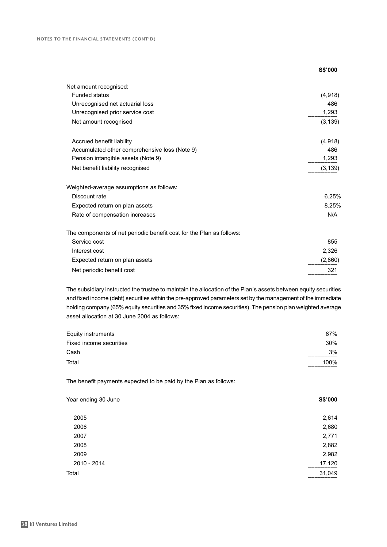|                                                                      | S\$'000  |
|----------------------------------------------------------------------|----------|
| Net amount recognised:                                               |          |
| <b>Funded status</b>                                                 | (4,918)  |
| Unrecognised net actuarial loss                                      | 486      |
| Unrecognised prior service cost                                      | 1,293    |
| Net amount recognised                                                | (3, 139) |
| Accrued benefit liability                                            | (4,918)  |
| Accumulated other comprehensive loss (Note 9)                        | 486      |
| Pension intangible assets (Note 9)                                   | 1,293    |
| Net benefit liability recognised                                     | (3, 139) |
| Weighted-average assumptions as follows:                             |          |
| Discount rate                                                        | 6.25%    |
| Expected return on plan assets                                       | 8.25%    |
| Rate of compensation increases                                       | N/A      |
| The components of net periodic benefit cost for the Plan as follows: |          |
| Service cost                                                         | 855      |
| Interest cost                                                        | 2,326    |
| Expected return on plan assets                                       | (2,860)  |
| Net periodic benefit cost                                            | 321      |

The subsidiary instructed the trustee to maintain the allocation of the Plan's assets between equity securities and fixed income (debt) securities within the pre-approved parameters set by the management of the immediate holding company (65% equity securities and 35% fixed income securities). The pension plan weighted average asset allocation at 30 June 2004 as follows:

| 67%  |
|------|
| 30%  |
| 3%   |
| 100% |
|      |

The benefit payments expected to be paid by the Plan as follows:

| Year ending 30 June | S\$'000 |
|---------------------|---------|
| 2005                | 2,614   |
| 2006                | 2,680   |
| 2007                | 2,771   |
| 2008                | 2,882   |
| 2009                | 2,982   |
| 2010 - 2014         | 17,120  |
| Total               | 31,049  |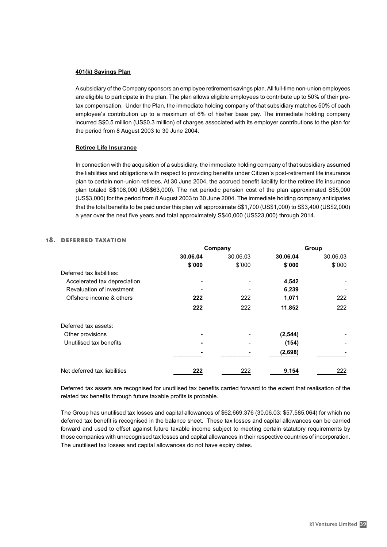#### **401(k) Savings Plan**

A subsidiary of the Company sponsors an employee retirement savings plan. All full-time non-union employees are eligible to participate in the plan. The plan allows eligible employees to contribute up to 50% of their pretax compensation. Under the Plan, the immediate holding company of that subsidiary matches 50% of each employee's contribution up to a maximum of 6% of his/her base pay. The immediate holding company incurred S\$0.5 million (US\$0.3 million) of charges associated with its employer contributions to the plan for the period from 8 August 2003 to 30 June 2004.

#### **Retiree Life Insurance**

In connection with the acquisition of a subsidiary, the immediate holding company of that subsidiary assumed the liabilities and obligations with respect to providing benefits under Citizen's post-retirement life insurance plan to certain non-union retirees. At 30 June 2004, the accrued benefit liability for the retiree life insurance plan totaled S\$108,000 (US\$63,000). The net periodic pension cost of the plan approximated S\$5,000 (US\$3,000) for the period from 8 August 2003 to 30 June 2004. The immediate holding company anticipates that the total benefits to be paid under this plan will approximate S\$1,700 (US\$1,000) to S\$3,400 (US\$2,000) a year over the next five years and total approximately S\$40,000 (US\$23,000) through 2014.

#### 18. deferred taxation

|                              | Company  |          |          | Group    |
|------------------------------|----------|----------|----------|----------|
|                              | 30.06.04 | 30.06.03 | 30.06.04 | 30.06.03 |
|                              | \$′000   | \$'000   | \$'000   | \$'000   |
| Deferred tax liabilities:    |          |          |          |          |
| Accelerated tax depreciation |          |          | 4,542    |          |
| Revaluation of investment    |          |          | 6,239    |          |
| Offshore income & others     | 222      | 222      | 1,071    | 222      |
|                              | 222      | 222      | 11,852   | 222      |
| Deferred tax assets:         |          |          |          |          |
| Other provisions             |          |          | (2, 544) |          |
| Unutilised tax benefits      |          |          | (154)    |          |
|                              |          |          | (2,698)  |          |
| Net deferred tax liabilities | 222      | 222      | 9,154    | 222      |

Deferred tax assets are recognised for unutilised tax benefits carried forward to the extent that realisation of the related tax benefits through future taxable profits is probable.

The Group has unutilised tax losses and capital allowances of \$62,669,376 (30.06.03: \$57,585,064) for which no deferred tax benefit is recognised in the balance sheet. These tax losses and capital allowances can be carried forward and used to offset against future taxable income subject to meeting certain statutory requirements by those companies with unrecognised tax losses and capital allowances in their respective countries of incorporation. The unutilised tax losses and capital allowances do not have expiry dates.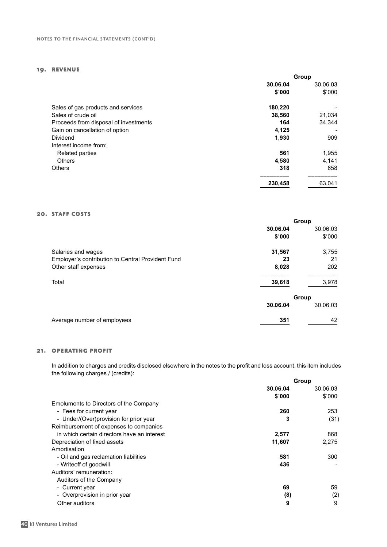#### 19. revenue

|                                       | Group    |          |
|---------------------------------------|----------|----------|
|                                       | 30.06.04 | 30.06.03 |
|                                       | \$'000   | \$'000   |
| Sales of gas products and services    | 180,220  |          |
| Sales of crude oil                    | 38,560   | 21,034   |
| Proceeds from disposal of investments | 164      | 34.344   |
| Gain on cancellation of option        | 4,125    |          |
| Dividend                              | 1,930    | 909      |
| Interest income from:                 |          |          |
| <b>Related parties</b>                | 561      | 1,955    |
| <b>Others</b>                         | 4,580    | 4,141    |
| <b>Others</b>                         | 318      | 658      |
|                                       | 230,458  | 63.041   |

#### 20. STAFF COSTS

|                                                   | Group |          |
|---------------------------------------------------|-------|----------|
| 30.06.04                                          |       | 30.06.03 |
| \$'000                                            |       | \$'000   |
| 31,567<br>Salaries and wages                      |       | 3,755    |
| Employer's contribution to Central Provident Fund | 23    | 21       |
| 8,028<br>Other staff expenses                     |       | 202      |
| Total<br>39,618                                   |       | 3,978    |
|                                                   | Group |          |
| 30.06.04                                          |       | 30.06.03 |
| Average number of employees<br>351                |       | 42       |

#### 21. operating profit

In addition to charges and credits disclosed elsewhere in the notes to the profit and loss account, this item includes the following charges / (credits):

|                                             | Group    |          |
|---------------------------------------------|----------|----------|
|                                             | 30.06.04 | 30.06.03 |
|                                             | \$'000   | \$'000   |
| Emoluments to Directors of the Company      |          |          |
| - Fees for current year                     | 260      | 253      |
| - Under/(Over) provision for prior year     | 3        | (31)     |
| Reimbursement of expenses to companies      |          |          |
| in which certain directors have an interest | 2,577    | 868      |
| Depreciation of fixed assets                | 11,607   | 2,275    |
| Amortisation                                |          |          |
| - Oil and gas reclamation liabilities       | 581      | 300      |
| - Writeoff of goodwill                      | 436      |          |
| Auditors' remuneration:                     |          |          |
| Auditors of the Company                     |          |          |
| - Current year                              | 69       | 59       |
| - Overprovision in prior year               | (8)      | (2)      |
| Other auditors                              | 9        | 9        |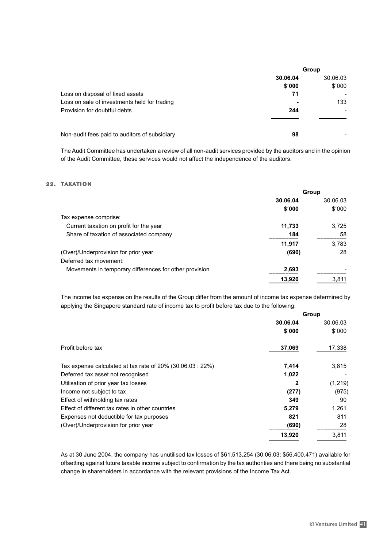|                                               | Group    |                          |
|-----------------------------------------------|----------|--------------------------|
|                                               | 30.06.04 | 30.06.03                 |
|                                               | \$'000   | \$'000                   |
| Loss on disposal of fixed assets              | 71       |                          |
| Loss on sale of investments held for trading  |          | 133                      |
| Provision for doubtful debts                  | 244      | $\overline{\phantom{0}}$ |
|                                               |          |                          |
| Non-audit fees paid to auditors of subsidiary | 98       |                          |

The Audit Committee has undertaken a review of all non-audit services provided by the auditors and in the opinion of the Audit Committee, these services would not affect the independence of the auditors.

#### 22. TAXATION

| Group    |          |
|----------|----------|
| 30.06.04 | 30.06.03 |
| \$'000   | \$'000   |
|          |          |
| 11,733   | 3.725    |
| 184      | 58       |
| 11,917   | 3.783    |
| (690)    | 28       |
|          |          |
| 2,693    |          |
| 13,920   | 3,811    |
|          |          |

The income tax expense on the results of the Group differ from the amount of income tax expense determined by applying the Singapore standard rate of income tax to profit before tax due to the following:

|                                                               | Group    |          |
|---------------------------------------------------------------|----------|----------|
|                                                               | 30.06.04 | 30.06.03 |
|                                                               | \$'000   | \$'000   |
| Profit before tax                                             | 37,069   | 17,338   |
| Tax expense calculated at tax rate of $20\%$ (30.06.03 : 22%) | 7,414    | 3,815    |
| Deferred tax asset not recognised                             | 1,022    |          |
| Utilisation of prior year tax losses                          | 2        | (1,219)  |
| Income not subject to tax                                     | (277)    | (975)    |
| Effect of withholding tax rates                               | 349      | 90       |
| Effect of different tax rates in other countries              | 5,279    | 1,261    |
| Expenses not deductible for tax purposes                      | 821      | 811      |
| (Over)/Underprovision for prior year                          | (690)    | 28       |
|                                                               | 13,920   | 3,811    |

As at 30 June 2004, the company has unutilised tax losses of \$61,513,254 (30.06.03: \$56,400,471) available for offsetting against future taxable income subject to confirmation by the tax authorities and there being no substantial change in shareholders in accordance with the relevant provisions of the Income Tax Act.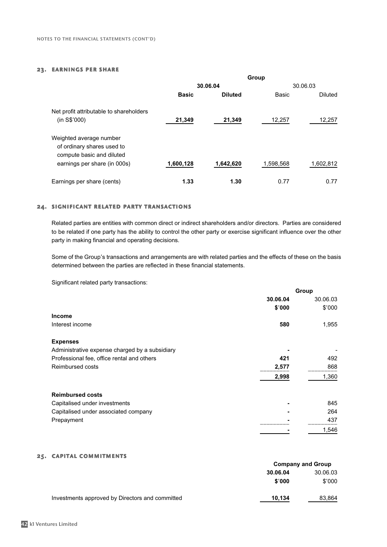#### 23. earnings per share

|                                                                                    | Group        |                |           |                |
|------------------------------------------------------------------------------------|--------------|----------------|-----------|----------------|
|                                                                                    |              | 30.06.04       |           | 30.06.03       |
|                                                                                    | <b>Basic</b> | <b>Diluted</b> | Basic     | <b>Diluted</b> |
| Net profit attributable to shareholders<br>(in S\$'000)                            | 21,349       | 21,349         | 12,257    | 12,257         |
| Weighted average number<br>of ordinary shares used to<br>compute basic and diluted |              |                |           |                |
| earnings per share (in 000s)                                                       | 1,600,128    | 1,642,620      | 1,598,568 | 1,602,812      |
| Earnings per share (cents)                                                         | 1.33         | 1.30           | 0.77      | 0.77           |

#### 24. significant related party transactions

Related parties are entities with common direct or indirect shareholders and/or directors. Parties are considered to be related if one party has the ability to control the other party or exercise significant influence over the other party in making financial and operating decisions.

Some of the Group's transactions and arrangements are with related parties and the effects of these on the basis determined between the parties are reflected in these financial statements.

Significant related party transactions:

|                                                | Group    |          |
|------------------------------------------------|----------|----------|
|                                                | 30.06.04 | 30.06.03 |
|                                                | \$'000   | \$'000   |
| <b>Income</b>                                  |          |          |
| Interest income                                | 580      | 1,955    |
| <b>Expenses</b>                                |          |          |
| Administrative expense charged by a subsidiary |          |          |
| Professional fee, office rental and others     | 421      | 492      |
| Reimbursed costs                               | 2,577    | 868      |
|                                                | 2,998    | 1,360    |
| <b>Reimbursed costs</b>                        |          |          |
| Capitalised under investments                  |          | 845      |
| Capitalised under associated company           |          | 264      |
| Prepayment                                     |          | 437      |
|                                                |          | 1,546    |

#### 25. capital commitments

|                                                 | <b>Company and Group</b> |          |
|-------------------------------------------------|--------------------------|----------|
|                                                 | 30.06.04                 | 30.06.03 |
|                                                 | \$'000                   | \$'000   |
| Investments approved by Directors and committed | 10,134                   | 83,864   |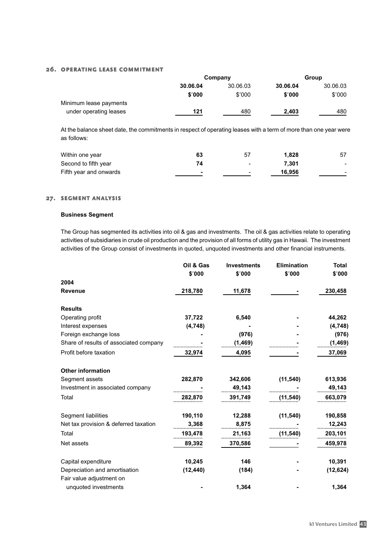#### 26. operating lease commitment

|                        |          | Company  |          | Group    |  |
|------------------------|----------|----------|----------|----------|--|
|                        | 30.06.04 | 30.06.03 | 30.06.04 | 30.06.03 |  |
|                        | \$'000   | \$'000   | \$'000   | \$'000   |  |
| Minimum lease payments |          |          |          |          |  |
| under operating leases | 121      | 480      | 2.403    | 480      |  |

At the balance sheet date, the commitments in respect of operating leases with a term of more than one year were as follows:

| Within one year        | 63                       | 57                       | 1.828  | 57     |
|------------------------|--------------------------|--------------------------|--------|--------|
| Second to fifth year   | 74                       | $\overline{\phantom{0}}$ | 7.301  | $\sim$ |
| Fifth year and onwards | $\overline{\phantom{0}}$ | $\overline{\phantom{0}}$ | 16,956 | $\sim$ |

#### 27. segment analysis

#### **Business Segment**

The Group has segmented its activities into oil & gas and investments. The oil & gas activities relate to operating activities of subsidiaries in crude oil production and the provision of all forms of utility gas in Hawaii. The investment activities of the Group consist of investments in quoted, unquoted investments and other financial instruments.

|                                        | Oil & Gas | <b>Investments</b> | <b>Elimination</b> | <b>Total</b> |
|----------------------------------------|-----------|--------------------|--------------------|--------------|
|                                        | \$'000    | \$'000             | \$'000             | \$′000       |
| 2004                                   |           |                    |                    |              |
| <b>Revenue</b>                         | 218,780   | 11,678             |                    | 230,458      |
| <b>Results</b>                         |           |                    |                    |              |
| Operating profit                       | 37,722    | 6,540              |                    | 44,262       |
| Interest expenses                      | (4,748)   |                    |                    | (4,748)      |
| Foreign exchange loss                  |           | (976)              |                    | (976)        |
| Share of results of associated company |           | (1, 469)           |                    | (1,469)      |
| Profit before taxation                 | 32,974    | 4,095              |                    | 37,069       |
| <b>Other information</b>               |           |                    |                    |              |
| Segment assets                         | 282,870   | 342,606            | (11, 540)          | 613,936      |
| Investment in associated company       |           | 49,143             |                    | 49,143       |
| Total                                  | 282,870   | 391,749            | (11, 540)          | 663,079      |
| Segment liabilities                    | 190,110   | 12,288             | (11, 540)          | 190,858      |
| Net tax provision & deferred taxation  | 3,368     | 8,875              |                    | 12,243       |
| Total                                  | 193,478   | 21,163             | (11, 540)          | 203,101      |
| Net assets                             | 89,392    | 370,586            |                    | 459,978      |
| Capital expenditure                    | 10,245    | 146                |                    | 10,391       |
| Depreciation and amortisation          | (12, 440) | (184)              |                    | (12, 624)    |
| Fair value adjustment on               |           |                    |                    |              |
| unquoted investments                   |           | 1,364              |                    | 1,364        |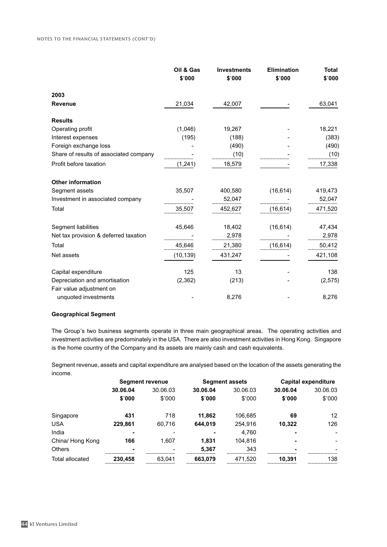|                                        | Oil & Gas<br>\$'000 | <b>Investments</b><br>\$'000 | <b>Elimination</b><br>\$'000 | <b>Total</b><br>\$'000 |
|----------------------------------------|---------------------|------------------------------|------------------------------|------------------------|
| 2003                                   |                     |                              |                              |                        |
| <b>Revenue</b>                         | 21,034              | 42,007                       |                              | 63,041                 |
| <b>Results</b>                         |                     |                              |                              |                        |
| Operating profit                       | (1,046)             | 19,267                       |                              | 18,221                 |
| Interest expenses                      | (195)               | (188)                        |                              | (383)                  |
| Foreign exchange loss                  |                     | (490)                        |                              | (490)                  |
| Share of results of associated company |                     | (10)                         |                              | (10)                   |
| Profit before taxation                 | (1, 241)            | 18,579                       |                              | 17,338                 |
| <b>Other information</b>               |                     |                              |                              |                        |
| Segment assets                         | 35,507              | 400,580                      | (16, 614)                    | 419,473                |
| Investment in associated company       |                     | 52,047                       |                              | 52,047                 |
| Total                                  | 35,507              | 452,627                      | (16, 614)                    | 471,520                |
| Segment liabilities                    | 45,646              | 18,402                       | (16, 614)                    | 47,434                 |
| Net tax provision & deferred taxation  |                     | 2,978                        |                              | 2,978                  |
| Total                                  | 45,646              | 21,380                       | (16, 614)                    | 50,412                 |
| Net assets                             | (10, 139)           | 431,247                      |                              | 421,108                |
| Capital expenditure                    | 125                 | 13                           |                              | 138                    |
| Depreciation and amortisation          | (2,362)             | (213)                        |                              | (2, 575)               |
| Fair value adjustment on               |                     |                              |                              |                        |
| unquoted investments                   |                     | 8,276                        |                              | 8,276                  |

#### **Geographical Segment**

The Group's two business segments operate in three main geographical areas. The operating activities and investment activities are predominately in the USA. There are also investment activities in Hong Kong. Singapore is the home country of the Company and its assets are mainly cash and cash equivalents.

Segment revenue, assets and capital expenditure are analysed based on the location of the assets generating the income.

|                        | <b>Segment revenue</b> |          |          | <b>Segment assets</b> |                | <b>Capital expenditure</b> |  |
|------------------------|------------------------|----------|----------|-----------------------|----------------|----------------------------|--|
|                        | 30.06.04               | 30.06.03 | 30.06.04 | 30.06.03              | 30.06.04       | 30.06.03                   |  |
|                        | \$'000                 | \$'000   | \$'000   | \$'000                | \$'000         | \$'000                     |  |
| Singapore              | 431                    | 718      | 11,862   | 106,685               | 69             | 12 <sup>°</sup>            |  |
| <b>USA</b>             | 229,861                | 60.716   | 644.019  | 254,916               | 10.322         | 126                        |  |
| India                  | $\blacksquare$         |          | ۰        | 4,760                 | $\blacksquare$ |                            |  |
| China/ Hong Kong       | 166                    | 1,607    | 1.831    | 104.816               | $\blacksquare$ |                            |  |
| <b>Others</b>          | $\blacksquare$         |          | 5,367    | 343                   | $\blacksquare$ |                            |  |
| <b>Total allocated</b> | 230,458                | 63,041   | 663,079  | 471,520               | 10.391         | 138                        |  |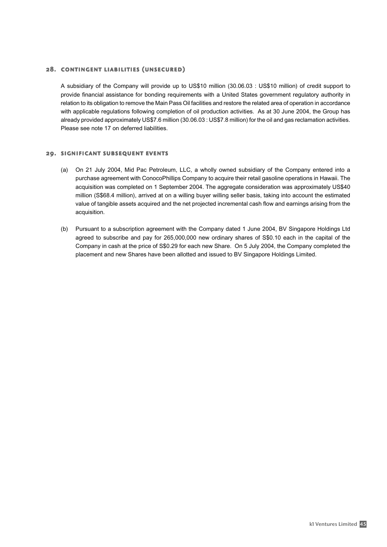#### 28. contingent liabilities (unsecured)

A subsidiary of the Company will provide up to US\$10 million (30.06.03 : US\$10 million) of credit support to provide financial assistance for bonding requirements with a United States government regulatory authority in relation to its obligation to remove the Main Pass Oil facilities and restore the related area of operation in accordance with applicable regulations following completion of oil production activities. As at 30 June 2004, the Group has already provided approximately US\$7.6 million (30.06.03 : US\$7.8 million) for the oil and gas reclamation activities. Please see note 17 on deferred liabilities.

#### 29. significant subsequent events

- (a) On 21 July 2004, Mid Pac Petroleum, LLC, a wholly owned subsidiary of the Company entered into a purchase agreement with ConocoPhillips Company to acquire their retail gasoline operations in Hawaii. The acquisition was completed on 1 September 2004. The aggregate consideration was approximately US\$40 million (S\$68.4 million), arrived at on a willing buyer willing seller basis, taking into account the estimated value of tangible assets acquired and the net projected incremental cash flow and earnings arising from the acquisition.
- (b) Pursuant to a subscription agreement with the Company dated 1 June 2004, BV Singapore Holdings Ltd agreed to subscribe and pay for 265,000,000 new ordinary shares of S\$0.10 each in the capital of the Company in cash at the price of S\$0.29 for each new Share. On 5 July 2004, the Company completed the placement and new Shares have been allotted and issued to BV Singapore Holdings Limited.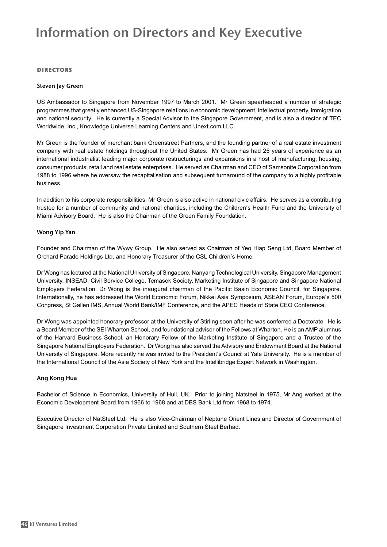#### directors

#### Steven Jay Green

US Ambassador to Singapore from November 1997 to March 2001. Mr Green spearheaded a number of strategic programmes that greatly enhanced US-Singapore relations in economic development, intellectual property, immigration and national security. He is currently a Special Advisor to the Singapore Government, and is also a director of TEC Worldwide, Inc., Knowledge Universe Learning Centers and Unext.com LLC.

Mr Green is the founder of merchant bank Greenstreet Partners, and the founding partner of a real estate investment company with real estate holdings throughout the United States. Mr Green has had 25 years of experience as an international industrialist leading major corporate restructurings and expansions in a host of manufacturing, housing, consumer products, retail and real estate enterprises. He served as Chairman and CEO of Samsonite Corporation from 1988 to 1996 where he oversaw the recapitalisation and subsequent turnaround of the company to a highly profitable business.

In addition to his corporate responsibilities, Mr Green is also active in national civic affairs. He serves as a contributing trustee for a number of community and national charities, including the Children's Health Fund and the University of Miami Advisory Board. He is also the Chairman of the Green Family Foundation.

#### Wong Yip Yan

Founder and Chairman of the Wywy Group. He also served as Chairman of Yeo Hiap Seng Ltd, Board Member of Orchard Parade Holdings Ltd, and Honorary Treasurer of the CSL Children's Home.

Dr Wong has lectured at the National University of Singapore, Nanyang Technological University, Singapore Management University, INSEAD, Civil Service College, Temasek Society, Marketing Institute of Singapore and Singapore National Employers Federation. Dr Wong is the inaugural chairman of the Pacific Basin Economic Council, for Singapore. Internationally, he has addressed the World Economic Forum, Nikkei Asia Symposium, ASEAN Forum, Europe's 500 Congress, St Gallen IMS, Annual World Bank/IMF Conference, and the APEC Heads of State CEO Conference.

Dr Wong was appointed honorary professor at the University of Stirling soon after he was conferred a Doctorate. He is a Board Member of the SEI Wharton School, and foundational advisor of the Fellows at Wharton. He is an AMP alumnus of the Harvard Business School, an Honorary Fellow of the Marketing Institute of Singapore and a Trustee of the Singapore National Employers Federation. Dr Wong has also served the Advisory and Endowment Board at the National University of Singapore. More recently he was invited to the President's Council at Yale University. He is a member of the International Council of the Asia Society of New York and the Intellibridge Expert Network in Washington.

#### Ang Kong Hua

Bachelor of Science in Economics, University of Hull, UK. Prior to joining Natsteel in 1975, Mr Ang worked at the Economic Development Board from 1966 to 1968 and at DBS Bank Ltd from 1968 to 1974.

Executive Director of NatSteel Ltd. He is also Vice-Chairman of Neptune Orient Lines and Director of Government of Singapore Investment Corporation Private Limited and Southern Steel Berhad.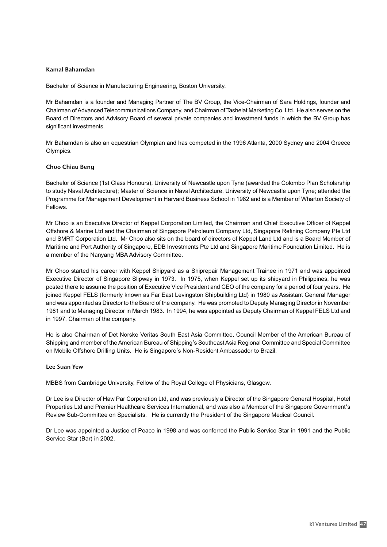#### Kamal Bahamdan

Bachelor of Science in Manufacturing Engineering, Boston University.

Mr Bahamdan is a founder and Managing Partner of The BV Group, the Vice-Chairman of Sara Holdings, founder and Chairman of Advanced Telecommunications Company, and Chairman of Tashelat Marketing Co. Ltd. He also serves on the Board of Directors and Advisory Board of several private companies and investment funds in which the BV Group has significant investments.

Mr Bahamdan is also an equestrian Olympian and has competed in the 1996 Atlanta, 2000 Sydney and 2004 Greece Olympics.

#### Choo Chiau Beng

Bachelor of Science (1st Class Honours), University of Newcastle upon Tyne (awarded the Colombo Plan Scholarship to study Naval Architecture); Master of Science in Naval Architecture, University of Newcastle upon Tyne; attended the Programme for Management Development in Harvard Business School in 1982 and is a Member of Wharton Society of Fellows.

Mr Choo is an Executive Director of Keppel Corporation Limited, the Chairman and Chief Executive Officer of Keppel Offshore & Marine Ltd and the Chairman of Singapore Petroleum Company Ltd, Singapore Refining Company Pte Ltd and SMRT Corporation Ltd. Mr Choo also sits on the board of directors of Keppel Land Ltd and is a Board Member of Maritime and Port Authority of Singapore, EDB Investments Pte Ltd and Singapore Maritime Foundation Limited. He is a member of the Nanyang MBA Advisory Committee.

Mr Choo started his career with Keppel Shipyard as a Shiprepair Management Trainee in 1971 and was appointed Executive Director of Singapore Slipway in 1973. In 1975, when Keppel set up its shipyard in Philippines, he was posted there to assume the position of Executive Vice President and CEO of the company for a period of four years. He joined Keppel FELS (formerly known as Far East Levingston Shipbuilding Ltd) in 1980 as Assistant General Manager and was appointed as Director to the Board of the company. He was promoted to Deputy Managing Director in November 1981 and to Managing Director in March 1983. In 1994, he was appointed as Deputy Chairman of Keppel FELS Ltd and in 1997, Chairman of the company.

He is also Chairman of Det Norske Veritas South East Asia Committee, Council Member of the American Bureau of Shipping and member of the American Bureau of Shipping's Southeast Asia Regional Committee and Special Committee on Mobile Offshore Drilling Units. He is Singapore's Non-Resident Ambassador to Brazil.

#### Lee Suan Yew

MBBS from Cambridge University, Fellow of the Royal College of Physicians, Glasgow.

Dr Lee is a Director of Haw Par Corporation Ltd, and was previously a Director of the Singapore General Hospital, Hotel Properties Ltd and Premier Healthcare Services International, and was also a Member of the Singapore Government's Review Sub-Committee on Specialists. He is currently the President of the Singapore Medical Council.

Dr Lee was appointed a Justice of Peace in 1998 and was conferred the Public Service Star in 1991 and the Public Service Star (Bar) in 2002.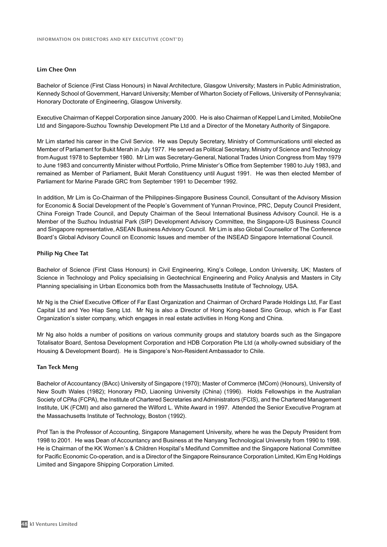#### Lim Chee Onn

Bachelor of Science (First Class Honours) in Naval Architecture, Glasgow University; Masters in Public Administration, Kennedy School of Government, Harvard University; Member of Wharton Society of Fellows, University of Pennsylvania; Honorary Doctorate of Engineering, Glasgow University.

Executive Chairman of Keppel Corporation since January 2000. He is also Chairman of Keppel Land Limited, MobileOne Ltd and Singapore-Suzhou Township Development Pte Ltd and a Director of the Monetary Authority of Singapore.

Mr Lim started his career in the Civil Service. He was Deputy Secretary, Ministry of Communications until elected as Member of Parliament for Bukit Merah in July 1977. He served as Political Secretary, Ministry of Science and Technology from August 1978 to September 1980. Mr Lim was Secretary-General, National Trades Union Congress from May 1979 to June 1983 and concurrently Minister without Portfolio, Prime Minister's Office from September 1980 to July 1983, and remained as Member of Parliament, Bukit Merah Constituency until August 1991. He was then elected Member of Parliament for Marine Parade GRC from September 1991 to December 1992.

In addition, Mr Lim is Co-Chairman of the Philippines-Singapore Business Council, Consultant of the Advisory Mission for Economic & Social Development of the People's Government of Yunnan Province, PRC, Deputy Council President, China Foreign Trade Council, and Deputy Chairman of the Seoul International Business Advisory Council. He is a Member of the Suzhou Industrial Park (SIP) Development Advisory Committee, the Singapore-US Business Council and Singapore representative, ASEAN Business Advisory Council. Mr Lim is also Global Counsellor of The Conference Board's Global Advisory Council on Economic Issues and member of the INSEAD Singapore International Council.

#### Philip Ng Chee Tat

Bachelor of Science (First Class Honours) in Civil Engineering, King's College, London University, UK; Masters of Science in Technology and Policy specialising in Geotechnical Engineering and Policy Analysis and Masters in City Planning specialising in Urban Economics both from the Massachusetts Institute of Technology, USA.

Mr Ng is the Chief Executive Officer of Far East Organization and Chairman of Orchard Parade Holdings Ltd, Far East Capital Ltd and Yeo Hiap Seng Ltd. Mr Ng is also a Director of Hong Kong-based Sino Group, which is Far East Organization's sister company, which engages in real estate activities in Hong Kong and China.

Mr Ng also holds a number of positions on various community groups and statutory boards such as the Singapore Totalisator Board, Sentosa Development Corporation and HDB Corporation Pte Ltd (a wholly-owned subsidiary of the Housing & Development Board). He is Singapore's Non-Resident Ambassador to Chile.

#### Tan Teck Meng

Bachelor of Accountancy (BAcc) University of Singapore (1970); Master of Commerce (MCom) (Honours), University of New South Wales (1982); Honorary PhD, Liaoning University (China) (1996). Holds Fellowships in the Australian Society of CPAs (FCPA), the Institute of Chartered Secretaries and Administrators (FCIS), and the Chartered Management Institute, UK (FCMI) and also garnered the Wilford L. White Award in 1997. Attended the Senior Executive Program at the Massachusetts Institute of Technology, Boston (1992).

Prof Tan is the Professor of Accounting, Singapore Management University, where he was the Deputy President from 1998 to 2001. He was Dean of Accountancy and Business at the Nanyang Technological University from 1990 to 1998. He is Chairman of the KK Women's & Children Hospital's Medifund Committee and the Singapore National Committee for Pacific Economic Co-operation, and is a Director of the Singapore Reinsurance Corporation Limited, Kim Eng Holdings Limited and Singapore Shipping Corporation Limited.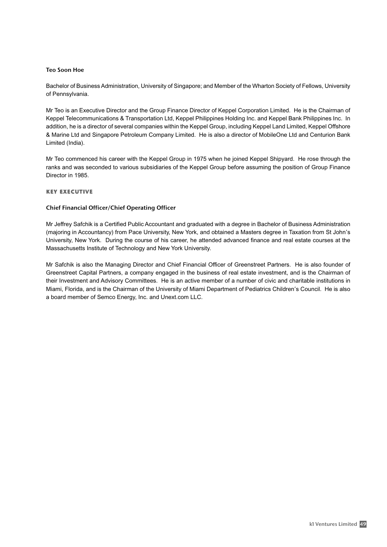#### Teo Soon Hoe

Bachelor of Business Administration, University of Singapore; and Member of the Wharton Society of Fellows, University of Pennsylvania.

Mr Teo is an Executive Director and the Group Finance Director of Keppel Corporation Limited. He is the Chairman of Keppel Telecommunications & Transportation Ltd, Keppel Philippines Holding Inc. and Keppel Bank Philippines Inc. In addition, he is a director of several companies within the Keppel Group, including Keppel Land Limited, Keppel Offshore & Marine Ltd and Singapore Petroleum Company Limited. He is also a director of MobileOne Ltd and Centurion Bank Limited (India).

Mr Teo commenced his career with the Keppel Group in 1975 when he joined Keppel Shipyard. He rose through the ranks and was seconded to various subsidiaries of the Keppel Group before assuming the position of Group Finance Director in 1985.

#### key executive

#### Chief Financial Officer/Chief Operating Officer

Mr Jeffrey Safchik is a Certified Public Accountant and graduated with a degree in Bachelor of Business Administration (majoring in Accountancy) from Pace University, New York, and obtained a Masters degree in Taxation from St John's University, New York. During the course of his career, he attended advanced finance and real estate courses at the Massachusetts Institute of Technology and New York University.

Mr Safchik is also the Managing Director and Chief Financial Officer of Greenstreet Partners. He is also founder of Greenstreet Capital Partners, a company engaged in the business of real estate investment, and is the Chairman of their Investment and Advisory Committees. He is an active member of a number of civic and charitable institutions in Miami, Florida, and is the Chairman of the University of Miami Department of Pediatrics Children's Council. He is also a board member of Semco Energy, Inc. and Unext.com LLC.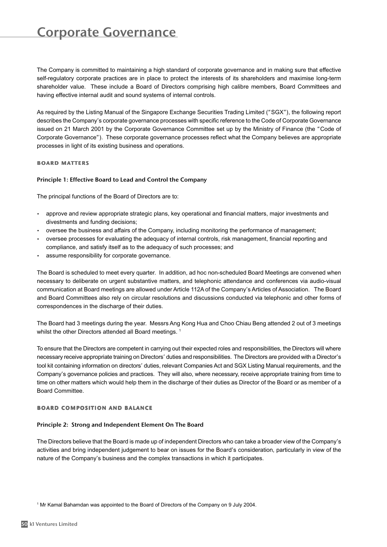### Corporate Governance

The Company is committed to maintaining a high standard of corporate governance and in making sure that effective self-regulatory corporate practices are in place to protect the interests of its shareholders and maximise long-term shareholder value. These include a Board of Directors comprising high calibre members, Board Committees and having effective internal audit and sound systems of internal controls.

As required by the Listing Manual of the Singapore Exchange Securities Trading Limited ("SGX"), the following report describes the Company's corporate governance processes with specific reference to the Code of Corporate Governance issued on 21 March 2001 by the Corporate Governance Committee set up by the Ministry of Finance (the "Code of Corporate Governance"). These corporate governance processes reflect what the Company believes are appropriate processes in light of its existing business and operations.

#### board matters

#### Principle 1: Effective Board to Lead and Control the Company

The principal functions of the Board of Directors are to:

- approve and review appropriate strategic plans, key operational and financial matters, major investments and divestments and funding decisions;
- oversee the business and affairs of the Company, including monitoring the performance of management;
- oversee processes for evaluating the adequacy of internal controls, risk management, financial reporting and compliance, and satisfy itself as to the adequacy of such processes; and
- assume responsibility for corporate governance.

The Board is scheduled to meet every quarter. In addition, ad hoc non-scheduled Board Meetings are convened when necessary to deliberate on urgent substantive matters, and telephonic attendance and conferences via audio-visual communication at Board meetings are allowed under Article 112A of the Company's Articles of Association. The Board and Board Committees also rely on circular resolutions and discussions conducted via telephonic and other forms of correspondences in the discharge of their duties.

The Board had 3 meetings during the year. Messrs Ang Kong Hua and Choo Chiau Beng attended 2 out of 3 meetings whilst the other Directors attended all Board meetings.<sup>1</sup>

To ensure that the Directors are competent in carrying out their expected roles and responsibilities, the Directors will where necessary receive appropriate training on Directors' duties and responsibilities. The Directors are provided with a Director's tool kit containing information on directors' duties, relevant Companies Act and SGX Listing Manual requirements, and the Company's governance policies and practices. They will also, where necessary, receive appropriate training from time to time on other matters which would help them in the discharge of their duties as Director of the Board or as member of a Board Committee.

#### board composition and balance

#### Principle 2: Strong and Independent Element On The Board

The Directors believe that the Board is made up of independent Directors who can take a broader view of the Company's activities and bring independent judgement to bear on issues for the Board's consideration, particularly in view of the nature of the Company's business and the complex transactions in which it participates.

<sup>1</sup> Mr Kamal Bahamdan was appointed to the Board of Directors of the Company on 9 July 2004.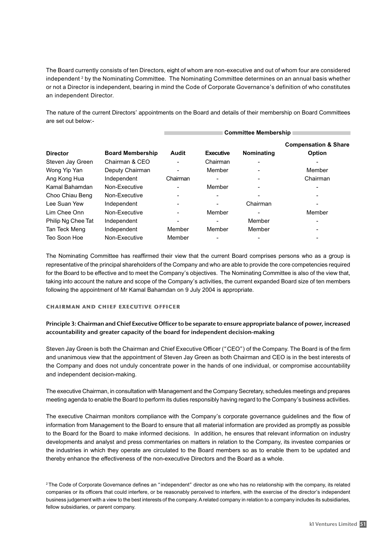The Board currently consists of ten Directors, eight of whom are non-executive and out of whom four are considered independent <sup>2</sup> by the Nominating Committee. The Nominating Committee determines on an annual basis whether or not a Director is independent, bearing in mind the Code of Corporate Governance's definition of who constitutes an independent Director.

The nature of the current Directors' appointments on the Board and details of their membership on Board Committees are set out below:-

|                    |                         | <b>Committee Membership</b> |                  |                          |                                 |
|--------------------|-------------------------|-----------------------------|------------------|--------------------------|---------------------------------|
|                    |                         |                             |                  |                          | <b>Compensation &amp; Share</b> |
| <b>Director</b>    | <b>Board Membership</b> | <b>Audit</b>                | <b>Executive</b> | <b>Nominating</b>        | Option                          |
| Steven Jay Green   | Chairman & CEO          | $\overline{a}$              | Chairman         | $\overline{\phantom{0}}$ |                                 |
| Wong Yip Yan       | Deputy Chairman         | $\blacksquare$              | Member           |                          | Member                          |
| Ang Kong Hua       | Independent             | Chairman                    |                  | $\blacksquare$           | Chairman                        |
| Kamal Bahamdan     | Non-Executive           | $\blacksquare$              | Member           |                          |                                 |
| Choo Chiau Beng    | Non-Executive           | $\blacksquare$              |                  | $\blacksquare$           |                                 |
| Lee Suan Yew       | Independent             |                             |                  | Chairman                 |                                 |
| Lim Chee Onn       | Non-Executive           | $\overline{\phantom{0}}$    | Member           |                          | Member                          |
| Philip Ng Chee Tat | Independent             | $\blacksquare$              |                  | Member                   |                                 |
| Tan Teck Meng      | Independent             | Member                      | Member           | Member                   |                                 |
| Teo Soon Hoe       | Non-Executive           | Member                      |                  |                          |                                 |

The Nominating Committee has reaffirmed their view that the current Board comprises persons who as a group is representative of the principal shareholders of the Company and who are able to provide the core competencies required for the Board to be effective and to meet the Company's objectives. The Nominating Committee is also of the view that, taking into account the nature and scope of the Company's activities, the current expanded Board size of ten members following the appointment of Mr Kamal Bahamdan on 9 July 2004 is appropriate.

#### chairman and chief executive officer

#### Principle 3: Chairman and Chief Executive Officer to be separate to ensure appropriate balance of power, increased accountability and greater capacity of the board for independent decision-making

Steven Jay Green is both the Chairman and Chief Executive Officer ("CEO") of the Company. The Board is of the firm and unanimous view that the appointment of Steven Jay Green as both Chairman and CEO is in the best interests of the Company and does not unduly concentrate power in the hands of one individual, or compromise accountability and independent decision-making.

The executive Chairman, in consultation with Management and the Company Secretary, schedules meetings and prepares meeting agenda to enable the Board to perform its duties responsibly having regard to the Company's business activities.

The executive Chairman monitors compliance with the Company's corporate governance guidelines and the flow of information from Management to the Board to ensure that all material information are provided as promptly as possible to the Board for the Board to make informed decisions. In addition, he ensures that relevant information on industry developments and analyst and press commentaries on matters in relation to the Company, its investee companies or the industries in which they operate are circulated to the Board members so as to enable them to be updated and thereby enhance the effectiveness of the non-executive Directors and the Board as a whole.

<sup>2</sup> The Code of Corporate Governance defines an "independent" director as one who has no relationship with the company, its related companies or its officers that could interfere, or be reasonably perceived to interfere, with the exercise of the director's independent business judgement with a view to the best interests of the company. A related company in relation to a company includes its subsidiaries, fellow subsidiaries, or parent company.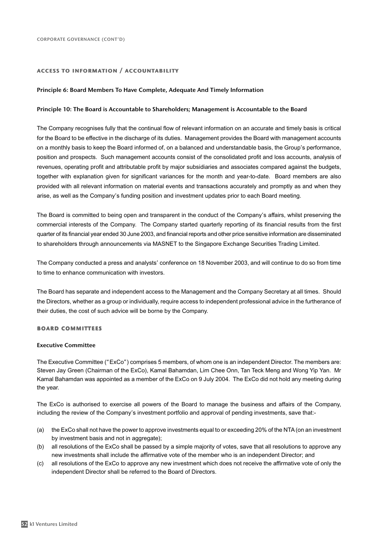#### access to information / accountability

#### Principle 6: Board Members To Have Complete, Adequate And Timely Information

#### Principle 10: The Board is Accountable to Shareholders; Management is Accountable to the Board

The Company recognises fully that the continual flow of relevant information on an accurate and timely basis is critical for the Board to be effective in the discharge of its duties. Management provides the Board with management accounts on a monthly basis to keep the Board informed of, on a balanced and understandable basis, the Group's performance, position and prospects. Such management accounts consist of the consolidated profit and loss accounts, analysis of revenues, operating profit and attributable profit by major subsidiaries and associates compared against the budgets, together with explanation given for significant variances for the month and year-to-date. Board members are also provided with all relevant information on material events and transactions accurately and promptly as and when they arise, as well as the Company's funding position and investment updates prior to each Board meeting.

The Board is committed to being open and transparent in the conduct of the Company's affairs, whilst preserving the commercial interests of the Company. The Company started quarterly reporting of its financial results from the first quarter of its financial year ended 30 June 2003, and financial reports and other price sensitive information are disseminated to shareholders through announcements via MASNET to the Singapore Exchange Securities Trading Limited.

The Company conducted a press and analysts' conference on 18 November 2003, and will continue to do so from time to time to enhance communication with investors.

The Board has separate and independent access to the Management and the Company Secretary at all times. Should the Directors, whether as a group or individually, require access to independent professional advice in the furtherance of their duties, the cost of such advice will be borne by the Company.

#### board committees

#### Executive Committee

The Executive Committee ("ExCo") comprises 5 members, of whom one is an independent Director. The members are: Steven Jay Green (Chairman of the ExCo), Kamal Bahamdan, Lim Chee Onn, Tan Teck Meng and Wong Yip Yan. Mr Kamal Bahamdan was appointed as a member of the ExCo on 9 July 2004. The ExCo did not hold any meeting during the year.

The ExCo is authorised to exercise all powers of the Board to manage the business and affairs of the Company, including the review of the Company's investment portfolio and approval of pending investments, save that:-

- (a) the ExCo shall not have the power to approve investments equal to or exceeding 20% of the NTA (on an investment by investment basis and not in aggregate);
- (b) all resolutions of the ExCo shall be passed by a simple majority of votes, save that all resolutions to approve any new investments shall include the affirmative vote of the member who is an independent Director; and
- (c) all resolutions of the ExCo to approve any new investment which does not receive the affirmative vote of only the independent Director shall be referred to the Board of Directors.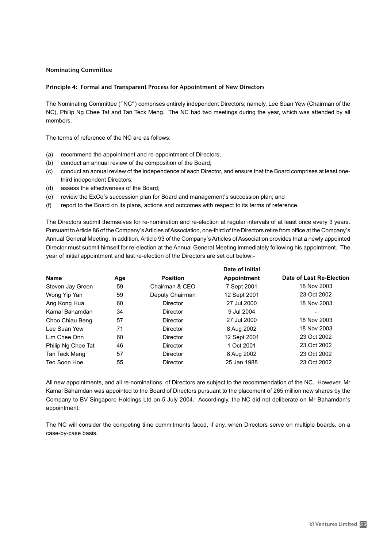#### Nominating Committee

#### Principle 4: Formal and Transparent Process for Appointment of New Directors

The Nominating Committee ("NC") comprises entirely independent Directors; namely, Lee Suan Yew (Chairman of the NC), Philip Ng Chee Tat and Tan Teck Meng. The NC had two meetings during the year, which was attended by all members.

The terms of reference of the NC are as follows:

- (a) recommend the appointment and re-appointment of Directors;
- (b) conduct an annual review of the composition of the Board;
- (c) conduct an annual review of the independence of each Director, and ensure that the Board comprises at least onethird independent Directors;
- (d) assess the effectiveness of the Board;
- (e) review the ExCo's succession plan for Board and management's succession plan; and
- (f) report to the Board on its plans, actions and outcomes with respect to its terms of reference.

The Directors submit themselves for re-nomination and re-election at regular intervals of at least once every 3 years. Pursuant to Article 86 of the Company's Articles of Association, one-third of the Directors retire from office at the Company's Annual General Meeting. In addition, Article 93 of the Company's Articles of Association provides that a newly appointed Director must submit himself for re-election at the Annual General Meeting immediately following his appointment. The year of initial appointment and last re-election of the Directors are set out below:-

|     |                 | Date of Initial    |                          |
|-----|-----------------|--------------------|--------------------------|
| Age | <b>Position</b> | <b>Appointment</b> | Date of Last Re-Election |
| 59  | Chairman & CEO  | 7 Sept 2001        | 18 Nov 2003              |
| 59  | Deputy Chairman | 12 Sept 2001       | 23 Oct 2002              |
| 60  | Director        | 27 Jul 2000        | 18 Nov 2003              |
| 34  | Director        | 9 Jul 2004         |                          |
| 57  | Director        | 27 Jul 2000        | 18 Nov 2003              |
| 71  | Director        | 8 Aug 2002         | 18 Nov 2003              |
| 60  | Director        | 12 Sept 2001       | 23 Oct 2002              |
| 46  | Director        | 1 Oct 2001         | 23 Oct 2002              |
| 57  | Director        | 8 Aug 2002         | 23 Oct 2002              |
| 55  | Director        | 25 Jan 1988        | 23 Oct 2002              |
|     |                 |                    |                          |

All new appointments, and all re-nominations, of Directors are subject to the recommendation of the NC. However, Mr Kamal Bahamdan was appointed to the Board of Directors pursuant to the placement of 265 million new shares by the Company to BV Singapore Holdings Ltd on 5 July 2004. Accordingly, the NC did not deliberate on Mr Bahamdan's appointment.

The NC will consider the competing time commitments faced, if any, when Directors serve on multiple boards, on a case-by-case basis.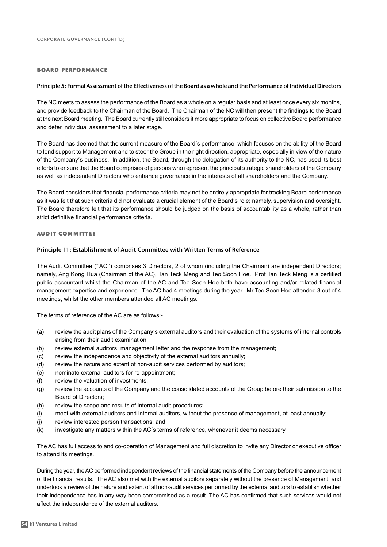#### board performance

#### Principle 5: Formal Assessment of the Effectiveness of the Board as a whole and the Performance of Individual Directors

The NC meets to assess the performance of the Board as a whole on a regular basis and at least once every six months, and provide feedback to the Chairman of the Board. The Chairman of the NC will then present the findings to the Board at the next Board meeting. The Board currently still considers it more appropriate to focus on collective Board performance and defer individual assessment to a later stage.

The Board has deemed that the current measure of the Board's performance, which focuses on the ability of the Board to lend support to Management and to steer the Group in the right direction, appropriate, especially in view of the nature of the Company's business. In addition, the Board, through the delegation of its authority to the NC, has used its best efforts to ensure that the Board comprises of persons who represent the principal strategic shareholders of the Company as well as independent Directors who enhance governance in the interests of all shareholders and the Company.

The Board considers that financial performance criteria may not be entirely appropriate for tracking Board performance as it was felt that such criteria did not evaluate a crucial element of the Board's role; namely, supervision and oversight. The Board therefore felt that its performance should be judged on the basis of accountability as a whole, rather than strict definitive financial performance criteria.

#### audit committee

#### Principle 11: Establishment of Audit Committee with Written Terms of Reference

The Audit Committee ("AC") comprises 3 Directors, 2 of whom (including the Chairman) are independent Directors; namely, Ang Kong Hua (Chairman of the AC), Tan Teck Meng and Teo Soon Hoe. Prof Tan Teck Meng is a certified public accountant whilst the Chairman of the AC and Teo Soon Hoe both have accounting and/or related financial management expertise and experience. The AC had 4 meetings during the year. Mr Teo Soon Hoe attended 3 out of 4 meetings, whilst the other members attended all AC meetings.

The terms of reference of the AC are as follows:-

- (a) review the audit plans of the Company's external auditors and their evaluation of the systems of internal controls arising from their audit examination;
- (b) review external auditors' management letter and the response from the management;
- (c) review the independence and objectivity of the external auditors annually;
- (d) review the nature and extent of non-audit services performed by auditors;
- (e) nominate external auditors for re-appointment;
- (f) review the valuation of investments;
- (g) review the accounts of the Company and the consolidated accounts of the Group before their submission to the Board of Directors;
- (h) review the scope and results of internal audit procedures;
- (i) meet with external auditors and internal auditors, without the presence of management, at least annually;
- (j) review interested person transactions; and
- (k) investigate any matters within the AC's terms of reference, whenever it deems necessary.

The AC has full access to and co-operation of Management and full discretion to invite any Director or executive officer to attend its meetings.

During the year, the AC performed independent reviews of the financial statements of the Company before the announcement of the financial results. The AC also met with the external auditors separately without the presence of Management, and undertook a review of the nature and extent of all non-audit services performed by the external auditors to establish whether their independence has in any way been compromised as a result. The AC has confirmed that such services would not affect the independence of the external auditors.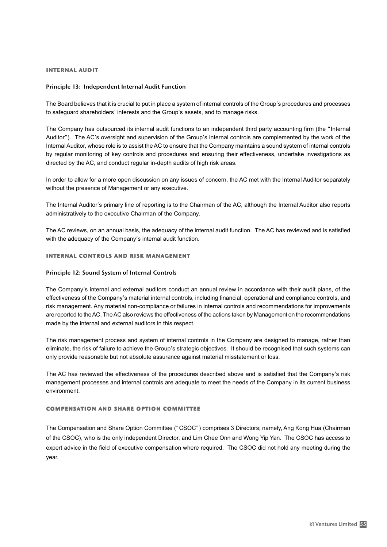#### internal audit

#### Principle 13: Independent Internal Audit Function

The Board believes that it is crucial to put in place a system of internal controls of the Group's procedures and processes to safeguard shareholders' interests and the Group's assets, and to manage risks.

The Company has outsourced its internal audit functions to an independent third party accounting firm (the "Internal Auditor"). The AC's oversight and supervision of the Group's internal controls are complemented by the work of the Internal Auditor, whose role is to assist the AC to ensure that the Company maintains a sound system of internal controls by regular monitoring of key controls and procedures and ensuring their effectiveness, undertake investigations as directed by the AC, and conduct regular in-depth audits of high risk areas.

In order to allow for a more open discussion on any issues of concern, the AC met with the Internal Auditor separately without the presence of Management or any executive.

The Internal Auditor's primary line of reporting is to the Chairman of the AC, although the Internal Auditor also reports administratively to the executive Chairman of the Company.

The AC reviews, on an annual basis, the adequacy of the internal audit function. The AC has reviewed and is satisfied with the adequacy of the Company's internal audit function.

#### internal controls and risk management

#### Principle 12: Sound System of Internal Controls

The Company's internal and external auditors conduct an annual review in accordance with their audit plans, of the effectiveness of the Company's material internal controls, including financial, operational and compliance controls, and risk management. Any material non-compliance or failures in internal controls and recommendations for improvements are reported to the AC. The AC also reviews the effectiveness of the actions taken by Management on the recommendations made by the internal and external auditors in this respect.

The risk management process and system of internal controls in the Company are designed to manage, rather than eliminate, the risk of failure to achieve the Group's strategic objectives. It should be recognised that such systems can only provide reasonable but not absolute assurance against material misstatement or loss.

The AC has reviewed the effectiveness of the procedures described above and is satisfied that the Company's risk management processes and internal controls are adequate to meet the needs of the Company in its current business environment.

#### compensation and share option committee

The Compensation and Share Option Committee ("CSOC") comprises 3 Directors; namely, Ang Kong Hua (Chairman of the CSOC), who is the only independent Director, and Lim Chee Onn and Wong Yip Yan. The CSOC has access to expert advice in the field of executive compensation where required. The CSOC did not hold any meeting during the year.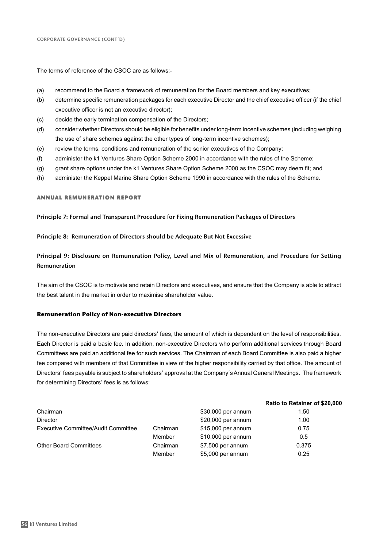The terms of reference of the CSOC are as follows:-

- (a) recommend to the Board a framework of remuneration for the Board members and key executives;
- (b) determine specific remuneration packages for each executive Director and the chief executive officer (if the chief executive officer is not an executive director);
- (c) decide the early termination compensation of the Directors;
- (d) consider whether Directors should be eligible for benefits under long-term incentive schemes (including weighing the use of share schemes against the other types of long-term incentive schemes);
- (e) review the terms, conditions and remuneration of the senior executives of the Company;
- (f) administer the k1 Ventures Share Option Scheme 2000 in accordance with the rules of the Scheme;
- (g) grant share options under the k1 Ventures Share Option Scheme 2000 as the CSOC may deem fit; and
- (h) administer the Keppel Marine Share Option Scheme 1990 in accordance with the rules of the Scheme.

#### annual remuneration report

#### Principle 7: Formal and Transparent Procedure for Fixing Remuneration Packages of Directors

#### Principle 8: Remuneration of Directors should be Adequate But Not Excessive

Principal 9: Disclosure on Remuneration Policy, Level and Mix of Remuneration, and Procedure for Setting Remuneration

The aim of the CSOC is to motivate and retain Directors and executives, and ensure that the Company is able to attract the best talent in the market in order to maximise shareholder value.

#### **Remuneration Policy of Non-executive Directors**

The non-executive Directors are paid directors' fees, the amount of which is dependent on the level of responsibilities. Each Director is paid a basic fee. In addition, non-executive Directors who perform additional services through Board Committees are paid an additional fee for such services. The Chairman of each Board Committee is also paid a higher fee compared with members of that Committee in view of the higher responsibility carried by that office. The amount of Directors' fees payable is subject to shareholders' approval at the Company's Annual General Meetings. The framework for determining Directors' fees is as follows:

|                                     |          |                    | Ratio to Retainer of \$20,000 |
|-------------------------------------|----------|--------------------|-------------------------------|
| Chairman                            |          | \$30,000 per annum | 1.50                          |
| <b>Director</b>                     |          | \$20,000 per annum | 1.00                          |
| Executive Committee/Audit Committee | Chairman | \$15,000 per annum | 0.75                          |
|                                     | Member   | \$10,000 per annum | 0.5                           |
| <b>Other Board Committees</b>       | Chairman | $$7,500$ per annum | 0.375                         |
|                                     | Member   | \$5,000 per annum  | 0.25                          |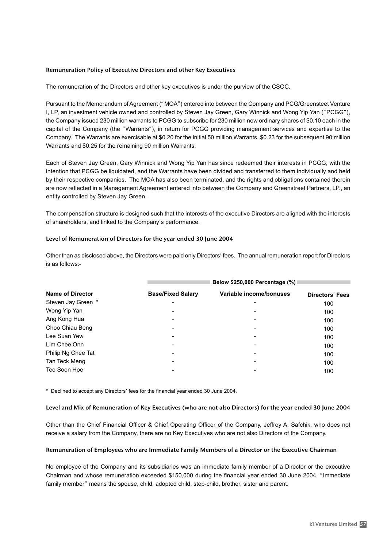#### Remuneration Policy of Executive Directors and other Key Executives

The remuneration of the Directors and other key executives is under the purview of the CSOC.

Pursuant to the Memorandum of Agreement ("MOA") entered into between the Company and PCG/Greensteet Venture I, LP, an investment vehicle owned and controlled by Steven Jay Green, Gary Winnick and Wong Yip Yan ("PCGG"), the Company issued 230 million warrants to PCGG to subscribe for 230 million new ordinary shares of \$0.10 each in the capital of the Company (the "Warrants"), in return for PCGG providing management services and expertise to the Company. The Warrants are exercisable at \$0.20 for the initial 50 million Warrants, \$0.23 for the subsequent 90 million Warrants and \$0.25 for the remaining 90 million Warrants.

Each of Steven Jay Green, Gary Winnick and Wong Yip Yan has since redeemed their interests in PCGG, with the intention that PCGG be liquidated, and the Warrants have been divided and transferred to them individually and held by their respective companies. The MOA has also been terminated, and the rights and obligations contained therein are now reflected in a Management Agreement entered into between the Company and Greenstreet Partners, LP., an entity controlled by Steven Jay Green.

The compensation structure is designed such that the interests of the executive Directors are aligned with the interests of shareholders, and linked to the Company's performance.

#### Level of Remuneration of Directors for the year ended 30 June 2004

Other than as disclosed above, the Directors were paid only Directors' fees. The annual remuneration report for Directors is as follows:-

|                    | Below \$250,000 Percentage (%) |                          |                 |  |  |  |
|--------------------|--------------------------------|--------------------------|-----------------|--|--|--|
| Name of Director   | <b>Base/Fixed Salary</b>       | Variable income/bonuses  | Directors' Fees |  |  |  |
| Steven Jay Green * | $\blacksquare$                 |                          | 100             |  |  |  |
| Wong Yip Yan       | $\blacksquare$                 | -                        | 100             |  |  |  |
| Ang Kong Hua       |                                | -                        | 100             |  |  |  |
| Choo Chiau Beng    | -                              |                          | 100             |  |  |  |
| Lee Suan Yew       | $\blacksquare$                 | $\overline{\phantom{0}}$ | 100             |  |  |  |
| Lim Chee Onn       |                                |                          | 100             |  |  |  |
| Philip Ng Chee Tat | $\blacksquare$                 | $\overline{\phantom{0}}$ | 100             |  |  |  |
| Tan Teck Meng      | $\overline{\phantom{0}}$       | -                        | 100             |  |  |  |
| Teo Soon Hoe       |                                |                          | 100             |  |  |  |

\* Declined to accept any Directors' fees for the financial year ended 30 June 2004.

#### Level and Mix of Remuneration of Key Executives (who are not also Directors) for the year ended 30 June 2004

Other than the Chief Financial Officer & Chief Operating Officer of the Company, Jeffrey A. Safchik, who does not receive a salary from the Company, there are no Key Executives who are not also Directors of the Company.

#### Remuneration of Employees who are Immediate Family Members of a Director or the Executive Chairman

No employee of the Company and its subsidiaries was an immediate family member of a Director or the executive Chairman and whose remuneration exceeded \$150,000 during the financial year ended 30 June 2004. "Immediate family member" means the spouse, child, adopted child, step-child, brother, sister and parent.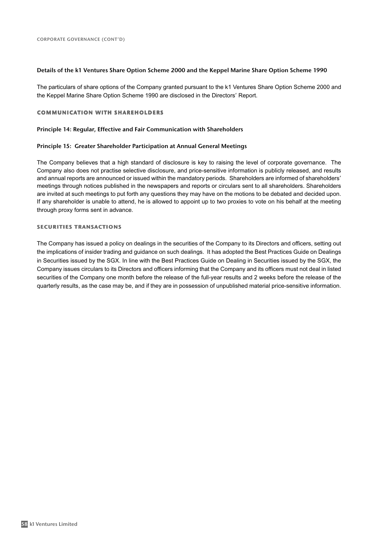#### Details of the k1 Ventures Share Option Scheme 2000 and the Keppel Marine Share Option Scheme 1990

The particulars of share options of the Company granted pursuant to the k1 Ventures Share Option Scheme 2000 and the Keppel Marine Share Option Scheme 1990 are disclosed in the Directors' Report.

#### communication with shareholders

#### Principle 14: Regular, Effective and Fair Communication with Shareholders

#### Principle 15: Greater Shareholder Participation at Annual General Meetings

The Company believes that a high standard of disclosure is key to raising the level of corporate governance. The Company also does not practise selective disclosure, and price-sensitive information is publicly released, and results and annual reports are announced or issued within the mandatory periods. Shareholders are informed of shareholders' meetings through notices published in the newspapers and reports or circulars sent to all shareholders. Shareholders are invited at such meetings to put forth any questions they may have on the motions to be debated and decided upon. If any shareholder is unable to attend, he is allowed to appoint up to two proxies to vote on his behalf at the meeting through proxy forms sent in advance.

#### securities transactions

The Company has issued a policy on dealings in the securities of the Company to its Directors and officers, setting out the implications of insider trading and guidance on such dealings. It has adopted the Best Practices Guide on Dealings in Securities issued by the SGX. In line with the Best Practices Guide on Dealing in Securities issued by the SGX, the Company issues circulars to its Directors and officers informing that the Company and its officers must not deal in listed securities of the Company one month before the release of the full-year results and 2 weeks before the release of the quarterly results, as the case may be, and if they are in possession of unpublished material price-sensitive information.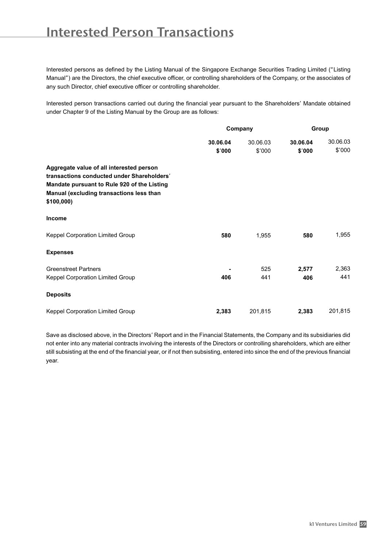### Interested Person Transactions

Interested persons as defined by the Listing Manual of the Singapore Exchange Securities Trading Limited ("Listing Manual") are the Directors, the chief executive officer, or controlling shareholders of the Company, or the associates of any such Director, chief executive officer or controlling shareholder.

Interested person transactions carried out during the financial year pursuant to the Shareholders' Mandate obtained under Chapter 9 of the Listing Manual by the Group are as follows:

|                                                                                                                                                                                                |                    | Company            | Group              |                    |
|------------------------------------------------------------------------------------------------------------------------------------------------------------------------------------------------|--------------------|--------------------|--------------------|--------------------|
|                                                                                                                                                                                                | 30.06.04<br>\$'000 | 30.06.03<br>\$'000 | 30.06.04<br>\$'000 | 30.06.03<br>\$'000 |
| Aggregate value of all interested person<br>transactions conducted under Shareholders'<br>Mandate pursuant to Rule 920 of the Listing<br>Manual (excluding transactions less than<br>\$100,000 |                    |                    |                    |                    |
| <b>Income</b>                                                                                                                                                                                  |                    |                    |                    |                    |
| <b>Keppel Corporation Limited Group</b>                                                                                                                                                        | 580                | 1,955              | 580                | 1,955              |
| <b>Expenses</b>                                                                                                                                                                                |                    |                    |                    |                    |
| <b>Greenstreet Partners</b><br>Keppel Corporation Limited Group                                                                                                                                | 406                | 525<br>441         | 2,577<br>406       | 2,363<br>441       |
| <b>Deposits</b>                                                                                                                                                                                |                    |                    |                    |                    |
| Keppel Corporation Limited Group                                                                                                                                                               | 2,383              | 201,815            | 2,383              | 201,815            |

Save as disclosed above, in the Directors' Report and in the Financial Statements, the Company and its subsidiaries did not enter into any material contracts involving the interests of the Directors or controlling shareholders, which are either still subsisting at the end of the financial year, or if not then subsisting, entered into since the end of the previous financial year.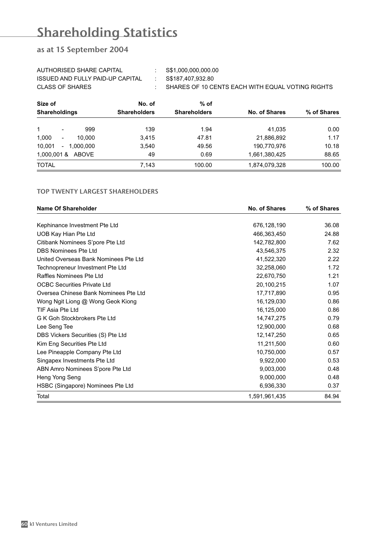# Shareholding Statistics

### as at 15 September 2004

| AUTHORISED SHARE CAPITAL         | S\$1,000,000,000.00                              |
|----------------------------------|--------------------------------------------------|
| ISSUED AND FULLY PAID-UP CAPITAL | S\$187.407.932.80                                |
| CLASS OF SHARES                  | SHARES OF 10 CENTS EACH WITH EQUAL VOTING RIGHTS |

| Size of                                     | No. of              | $%$ of              |                      |             |
|---------------------------------------------|---------------------|---------------------|----------------------|-------------|
| <b>Shareholdings</b>                        | <b>Shareholders</b> | <b>Shareholders</b> | <b>No. of Shares</b> | % of Shares |
| 999<br>$\overline{\phantom{a}}$             | 139                 | 1.94                | 41.035               | 0.00        |
| 1,000<br>10.000<br>$\overline{\phantom{a}}$ | 3,415               | 47.81               | 21,886,892           | 1.17        |
| 10,001<br>$-1.000.000$                      | 3,540               | 49.56               | 190,770,976          | 10.18       |
| 1,000,001 & ABOVE                           | 49                  | 0.69                | 1,661,380,425        | 88.65       |
| <b>TOTAL</b>                                | 7,143               | 100.00              | 1,874,079,328        | 100.00      |

#### TOP TWENTY LARGEST SHAREHOLDERS

| <b>Name Of Shareholder</b>            | <b>No. of Shares</b> | % of Shares |  |
|---------------------------------------|----------------------|-------------|--|
|                                       |                      |             |  |
| Kephinance Investment Pte Ltd         | 676,128,190          | 36.08       |  |
| UOB Kay Hian Pte Ltd                  | 466,363,450          | 24.88       |  |
| Citibank Nominees S'pore Pte Ltd      | 142,782,800          | 7.62        |  |
| DBS Nominees Pte Ltd                  | 43,546,375           | 2.32        |  |
| United Overseas Bank Nominees Pte Ltd | 41,522,320           | 2.22        |  |
| Technopreneur Investment Pte Ltd      | 32,258,060           | 1.72        |  |
| Raffles Nominees Pte Ltd              | 22,670,750           | 1.21        |  |
| <b>OCBC Securities Private Ltd</b>    | 20,100,215           | 1.07        |  |
| Oversea Chinese Bank Nominees Pte Ltd | 17,717,890           | 0.95        |  |
| Wong Ngit Liong @ Wong Geok Kiong     | 16,129,030           | 0.86        |  |
| TIF Asia Pte Ltd                      | 16,125,000           | 0.86        |  |
| G K Goh Stockbrokers Pte Ltd          | 14,747,275           | 0.79        |  |
| Lee Seng Tee                          | 12,900,000           | 0.68        |  |
| DBS Vickers Securities (S) Pte Ltd    | 12,147,250           | 0.65        |  |
| Kim Eng Securities Pte Ltd            | 11,211,500           | 0.60        |  |
| Lee Pineapple Company Pte Ltd         | 10,750,000           | 0.57        |  |
| Singapex Investments Pte Ltd          | 9,922,000            | 0.53        |  |
| ABN Amro Nominees S'pore Pte Ltd      | 9,003,000            | 0.48        |  |
| Heng Yong Seng                        | 9,000,000            | 0.48        |  |
| HSBC (Singapore) Nominees Pte Ltd     | 6,936,330            | 0.37        |  |
| Total                                 | 1,591,961,435        | 84.94       |  |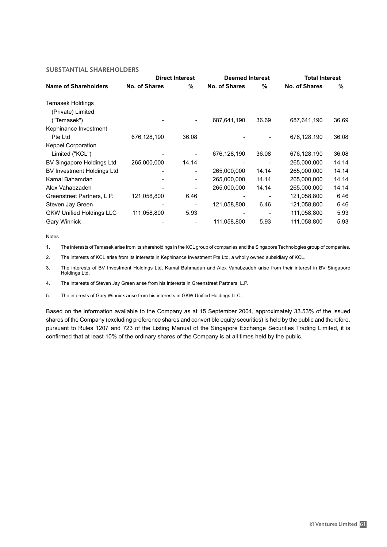#### SUBSTANTIAL SHAREHOLDERS

|                                   | <b>Direct Interest</b> |       | <b>Deemed Interest</b> |       | <b>Total Interest</b> |       |
|-----------------------------------|------------------------|-------|------------------------|-------|-----------------------|-------|
| <b>Name of Shareholders</b>       | No. of Shares          | %     | <b>No. of Shares</b>   | %     | <b>No. of Shares</b>  | %     |
| Temasek Holdings                  |                        |       |                        |       |                       |       |
| (Private) Limited                 |                        |       |                        |       |                       |       |
| ("Temasek")                       |                        |       | 687,641,190            | 36.69 | 687,641,190           | 36.69 |
| Kephinance Investment             |                        |       |                        |       |                       |       |
| Pte Ltd                           | 676,128,190            | 36.08 |                        |       | 676,128,190           | 36.08 |
| <b>Keppel Corporation</b>         |                        |       |                        |       |                       |       |
| Limited ("KCL")                   |                        |       | 676,128,190            | 36.08 | 676,128,190           | 36.08 |
| BV Singapore Holdings Ltd         | 265,000,000            | 14.14 |                        |       | 265,000,000           | 14.14 |
| <b>BV Investment Holdings Ltd</b> |                        |       | 265,000,000            | 14.14 | 265,000,000           | 14.14 |
| Kamal Bahamdan                    |                        |       | 265,000,000            | 14.14 | 265,000,000           | 14.14 |
| Alex Vahabzadeh                   |                        |       | 265,000,000            | 14.14 | 265,000,000           | 14.14 |
| Greenstreet Partners, L.P.        | 121,058,800            | 6.46  |                        |       | 121,058,800           | 6.46  |
| Steven Jay Green                  |                        |       | 121,058,800            | 6.46  | 121,058,800           | 6.46  |
| <b>GKW Unified Holdings LLC</b>   | 111,058,800            | 5.93  |                        |       | 111,058,800           | 5.93  |
| <b>Gary Winnick</b>               |                        |       | 111,058,800            | 5.93  | 111,058,800           | 5.93  |

Notes

1. The interests of Temasek arise from its shareholdings in the KCL group of companies and the Singapore Technologies group of companies.

2. The interests of KCL arise from its interests in Kephinance Investment Pte Ltd, a wholly owned subsidiary of KCL.

3. The interests of BV Investment Holdings Ltd, Kamal Bahmadan and Alex Vahabzadeh arise from their interest in BV Singapore Holdings Ltd.

4. The interests of Steven Jay Green arise from his interests in Greenstreet Partners, L.P.

5. The interests of Gary Winnick arise from his interests in GKW Unified Holdings LLC.

Based on the information available to the Company as at 15 September 2004, approximately 33.53% of the issued shares of the Company (excluding preference shares and convertible equity securities) is held by the public and therefore, pursuant to Rules 1207 and 723 of the Listing Manual of the Singapore Exchange Securities Trading Limited, it is confirmed that at least 10% of the ordinary shares of the Company is at all times held by the public.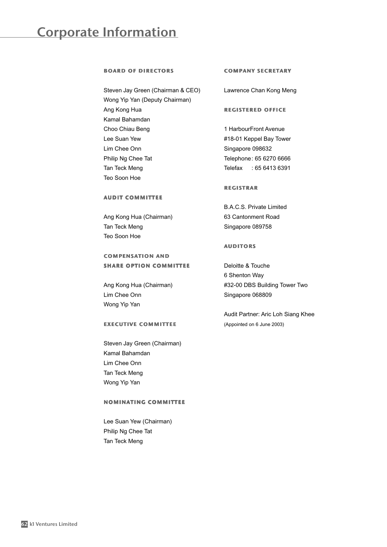### Corporate Information

#### board of directors

Steven Jay Green (Chairman & CEO) Wong Yip Yan (Deputy Chairman) Ang Kong Hua Kamal Bahamdan Choo Chiau Beng Lee Suan Yew Lim Chee Onn Philip Ng Chee Tat Tan Teck Meng Teo Soon Hoe

#### audit committee

Ang Kong Hua (Chairman) Tan Teck Meng Teo Soon Hoe

### compensation and share option committee

Ang Kong Hua (Chairman) Lim Chee Onn Wong Yip Yan

#### executive committee

Steven Jay Green (Chairman) Kamal Bahamdan Lim Chee Onn Tan Teck Meng Wong Yip Yan

#### nominating committee

Lee Suan Yew (Chairman) Philip Ng Chee Tat Tan Teck Meng

#### company secretary

Lawrence Chan Kong Meng

#### registered office

1 HarbourFront Avenue #18-01 Keppel Bay Tower Singapore 098632 Telephone: 65 6270 6666 Telefax : 65 6413 6391

#### registrar

B.A.C.S. Private Limited 63 Cantonment Road Singapore 089758

#### **AUDITORS**

Deloitte & Touche 6 Shenton Way #32-00 DBS Building Tower Two Singapore 068809

Audit Partner: Aric Loh Siang Khee (Appointed on 6 June 2003)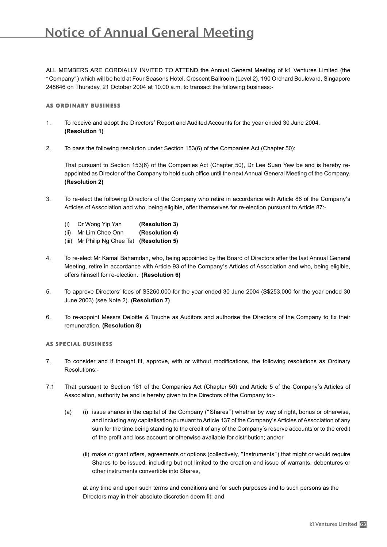# Notice of Annual General Meeting

ALL MEMBERS ARE CORDIALLY INVITED TO ATTEND the Annual General Meeting of k1 Ventures Limited (the "Company") which will be held at Four Seasons Hotel, Crescent Ballroom (Level 2), 190 Orchard Boulevard, Singapore 248646 on Thursday, 21 October 2004 at 10.00 a.m. to transact the following business:-

#### as ordinary business

- 1. To receive and adopt the Directors' Report and Audited Accounts for the year ended 30 June 2004. **(Resolution 1)**
- 2. To pass the following resolution under Section 153(6) of the Companies Act (Chapter 50):

That pursuant to Section 153(6) of the Companies Act (Chapter 50), Dr Lee Suan Yew be and is hereby reappointed as Director of the Company to hold such office until the next Annual General Meeting of the Company. **(Resolution 2)**

- 3. To re-elect the following Directors of the Company who retire in accordance with Article 86 of the Company's Articles of Association and who, being eligible, offer themselves for re-election pursuant to Article 87:-
	- (i) Dr Wong Yip Yan **(Resolution 3)**
	- (ii) Mr Lim Chee Onn **(Resolution 4)**
	- (iii) Mr Philip Ng Chee Tat **(Resolution 5)**
- 4. To re-elect Mr Kamal Bahamdan, who, being appointed by the Board of Directors after the last Annual General Meeting, retire in accordance with Article 93 of the Company's Articles of Association and who, being eligible, offers himself for re-election. **(Resolution 6)**
- 5. To approve Directors' fees of S\$260,000 for the year ended 30 June 2004 (S\$253,000 for the year ended 30 June 2003) (see Note 2). **(Resolution 7)**
- 6. To re-appoint Messrs Deloitte & Touche as Auditors and authorise the Directors of the Company to fix their remuneration. **(Resolution 8)**

#### as special business

- 7. To consider and if thought fit, approve, with or without modifications, the following resolutions as Ordinary Resolutions:-
- 7.1 That pursuant to Section 161 of the Companies Act (Chapter 50) and Article 5 of the Company's Articles of Association, authority be and is hereby given to the Directors of the Company to:-
	- (a) (i) issue shares in the capital of the Company ("Shares") whether by way of right, bonus or otherwise, and including any capitalisation pursuant to Article 137 of the Company's Articles of Association of any sum for the time being standing to the credit of any of the Company's reserve accounts or to the credit of the profit and loss account or otherwise available for distribution; and/or
		- (ii) make or grant offers, agreements or options (collectively, "Instruments") that might or would require Shares to be issued, including but not limited to the creation and issue of warrants, debentures or other instruments convertible into Shares,

at any time and upon such terms and conditions and for such purposes and to such persons as the Directors may in their absolute discretion deem fit; and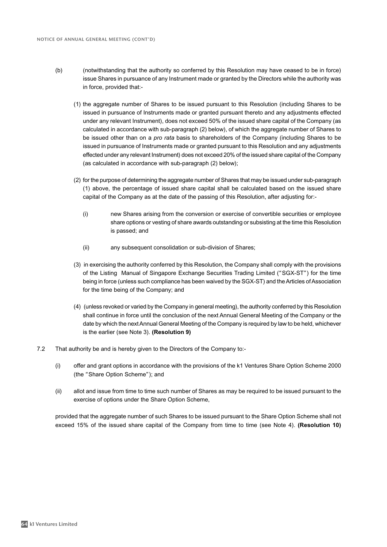- (b) (notwithstanding that the authority so conferred by this Resolution may have ceased to be in force) issue Shares in pursuance of any Instrument made or granted by the Directors while the authority was in force, provided that:-
	- (1) the aggregate number of Shares to be issued pursuant to this Resolution (including Shares to be issued in pursuance of Instruments made or granted pursuant thereto and any adjustments effected under any relevant Instrument), does not exceed 50% of the issued share capital of the Company (as calculated in accordance with sub-paragraph (2) below), of which the aggregate number of Shares to be issued other than on a pro rata basis to shareholders of the Company (including Shares to be issued in pursuance of Instruments made or granted pursuant to this Resolution and any adjustments effected under any relevant Instrument) does not exceed 20% of the issued share capital of the Company (as calculated in accordance with sub-paragraph (2) below);
	- (2) for the purpose of determining the aggregate number of Shares that may be issued under sub-paragraph (1) above, the percentage of issued share capital shall be calculated based on the issued share capital of the Company as at the date of the passing of this Resolution, after adjusting for:-
		- (i) new Shares arising from the conversion or exercise of convertible securities or employee share options or vesting of share awards outstanding or subsisting at the time this Resolution is passed; and
		- (ii) any subsequent consolidation or sub-division of Shares;
	- (3) in exercising the authority conferred by this Resolution, the Company shall comply with the provisions of the Listing Manual of Singapore Exchange Securities Trading Limited ("SGX-ST") for the time being in force (unless such compliance has been waived by the SGX-ST) and the Articles of Association for the time being of the Company; and
	- (4) (unless revoked or varied by the Company in general meeting), the authority conferred by this Resolution shall continue in force until the conclusion of the next Annual General Meeting of the Company or the date by which the next Annual General Meeting of the Company is required by law to be held, whichever is the earlier (see Note 3). **(Resolution 9)**
- 7.2 That authority be and is hereby given to the Directors of the Company to:-
	- (i) offer and grant options in accordance with the provisions of the k1 Ventures Share Option Scheme 2000 (the "Share Option Scheme"); and
	- (ii) allot and issue from time to time such number of Shares as may be required to be issued pursuant to the exercise of options under the Share Option Scheme,

provided that the aggregate number of such Shares to be issued pursuant to the Share Option Scheme shall not exceed 15% of the issued share capital of the Company from time to time (see Note 4). **(Resolution 10)**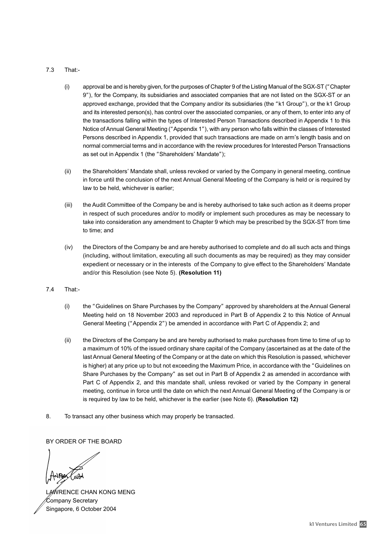#### 7.3 That:-

- (i) approval be and is hereby given, for the purposes of Chapter 9 of the Listing Manual of the SGX-ST ("Chapter 9"), for the Company, its subsidiaries and associated companies that are not listed on the SGX-ST or an approved exchange, provided that the Company and/or its subsidiaries (the "k1 Group"), or the k1 Group and its interested person(s), has control over the associated companies, or any of them, to enter into any of the transactions falling within the types of Interested Person Transactions described in Appendix 1 to this Notice of Annual General Meeting ("Appendix 1"), with any person who falls within the classes of Interested Persons described in Appendix 1, provided that such transactions are made on arm's length basis and on normal commercial terms and in accordance with the review procedures for Interested Person Transactions as set out in Appendix 1 (the "Shareholders' Mandate");
- (ii) the Shareholders' Mandate shall, unless revoked or varied by the Company in general meeting, continue in force until the conclusion of the next Annual General Meeting of the Company is held or is required by law to be held, whichever is earlier;
- (iii) the Audit Committee of the Company be and is hereby authorised to take such action as it deems proper in respect of such procedures and/or to modify or implement such procedures as may be necessary to take into consideration any amendment to Chapter 9 which may be prescribed by the SGX-ST from time to time; and
- (iv) the Directors of the Company be and are hereby authorised to complete and do all such acts and things (including, without limitation, executing all such documents as may be required) as they may consider expedient or necessary or in the interests of the Company to give effect to the Shareholders' Mandate and/or this Resolution (see Note 5). **(Resolution 11)**
- 7.4 That:-
	- (i) the "Guidelines on Share Purchases by the Company" approved by shareholders at the Annual General Meeting held on 18 November 2003 and reproduced in Part B of Appendix 2 to this Notice of Annual General Meeting ("Appendix 2") be amended in accordance with Part C of Appendix 2; and
	- (ii) the Directors of the Company be and are hereby authorised to make purchases from time to time of up to a maximum of 10% of the issued ordinary share capital of the Company (ascertained as at the date of the last Annual General Meeting of the Company or at the date on which this Resolution is passed, whichever is higher) at any price up to but not exceeding the Maximum Price, in accordance with the "Guidelines on Share Purchases by the Company" as set out in Part B of Appendix 2 as amended in accordance with Part C of Appendix 2, and this mandate shall, unless revoked or varied by the Company in general meeting, continue in force until the date on which the next Annual General Meeting of the Company is or is required by law to be held, whichever is the earlier (see Note 6). **(Resolution 12)**
- 8. To transact any other business which may properly be transacted.

BY ORDER OF THE BOARD

LAWRENCE CHAN KONG MENG Company Secretary Singapore, 6 October 2004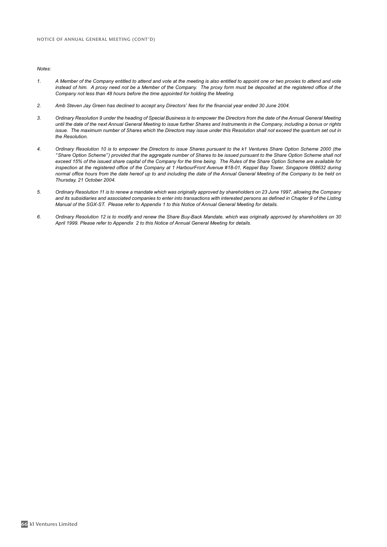Notes:

- 1. A Member of the Company entitled to attend and vote at the meeting is also entitled to appoint one or two proxies to attend and vote instead of him. A proxy need not be a Member of the Company. The proxy form must be deposited at the registered office of the Company not less than 48 hours before the time appointed for holding the Meeting.
- 2. Amb Steven Jay Green has declined to accept any Directors' fees for the financial year ended 30 June 2004.
- 3. Ordinary Resolution 9 under the heading of Special Business is to empower the Directors from the date of the Annual General Meeting until the date of the next Annual General Meeting to issue further Shares and Instruments in the Company, including a bonus or rights issue. The maximum number of Shares which the Directors may issue under this Resolution shall not exceed the quantum set out in the Resolution.
- 4. Ordinary Resolution 10 is to empower the Directors to issue Shares pursuant to the k1 Ventures Share Option Scheme 2000 (the "Share Option Scheme") provided that the aggregate number of Shares to be issued pursuant to the Share Option Scheme shall not exceed 15% of the issued share capital of the Company for the time being. The Rules of the Share Option Scheme are available for inspection at the registered office of the Company at 1 HarbourFront Avenue #18-01, Keppel Bay Tower, Singapore 098632 during normal office hours from the date hereof up to and including the date of the Annual General Meeting of the Company to be held on Thursday, 21 October 2004.
- 5. Ordinary Resolution 11 is to renew a mandate which was originally approved by shareholders on 23 June 1997, allowing the Company and its subsidiaries and associated companies to enter into transactions with interested persons as defined in Chapter 9 of the Listing Manual of the SGX-ST. Please refer to Appendix 1 to this Notice of Annual General Meeting for details.
- 6. Ordinary Resolution 12 is to modify and renew the Share Buy-Back Mandate, which was originally approved by shareholders on 30 April 1999. Please refer to Appendix 2 to this Notice of Annual General Meeting for details.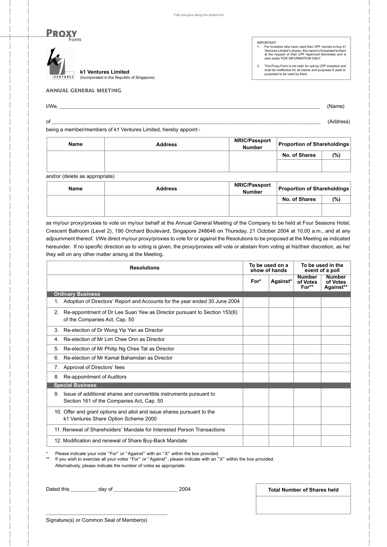

IMPORTANT:<br>1. For inves

1. For investors who have used their CPF monies to buy k1 Ventures Limited's shares, this report is forwarded to them at the request of their CPF Approved Nominees and is sent solely FOR INFORMATION ONLY.

2. This Proxy Form is not valid for use by CPF Investors and shall be ineffective for all intents and purposes if used or purported to be used by them.

#### ANNUAL GENERAL MEETING

| I/We.<br>--        | (Name)    |
|--------------------|-----------|
| of<br>_____<br>$-$ | (Address) |

being a member/members of k1 Ventures Limited, hereby appoint:-

(Incorporated in the Republic of Singapore)

| Name | <b>Address</b> | <b>NRIC/Passport</b><br><b>Number</b> | <b>Proportion of Shareholdings</b> |     |  |
|------|----------------|---------------------------------------|------------------------------------|-----|--|
|      |                |                                       | No. of Shares                      | (%) |  |
|      |                |                                       |                                    |     |  |

and/or (delete as appropriate)

| Name | <b>Address</b> | <b>NRIC/Passport</b><br><b>Number</b> | <b>Proportion of Shareholdings</b> |     |  |
|------|----------------|---------------------------------------|------------------------------------|-----|--|
|      |                |                                       | No. of Shares                      | (%) |  |
|      |                |                                       |                                    |     |  |

as my/our proxy/proxies to vote on my/our behalf at the Annual General Meeting of the Company to be held at Four Seasons Hotel, Crescent Ballroom (Level 2), 190 Orchard Boulevard, Singapore 248646 on Thursday, 21 October 2004 at 10.00 a.m., and at any adjournment thereof. I/We direct my/our proxy/proxies to vote for or against the Resolutions to be proposed at the Meeting as indicated hereunder. If no specific direction as to voting is given, the proxy/proxies will vote or abstain from voting at his/their discretion, as he/ they will on any other matter arising at the Meeting.

| <b>Resolutions</b>                                                                                                    |      | To be used on a<br>show of hands |                                      | To be used in the<br>event of a poll   |  |
|-----------------------------------------------------------------------------------------------------------------------|------|----------------------------------|--------------------------------------|----------------------------------------|--|
|                                                                                                                       | For* | Against*                         | <b>Number</b><br>of Votes<br>$For**$ | <b>Number</b><br>of Votes<br>Against** |  |
| <b>Ordinary Business</b>                                                                                              |      |                                  |                                      |                                        |  |
| Adoption of Directors' Report and Accounts for the year ended 30 June 2004<br>1.                                      |      |                                  |                                      |                                        |  |
| Re-appointment of Dr Lee Suan Yew as Director pursuant to Section 153(6)<br>2.<br>of the Companies Act, Cap. 50       |      |                                  |                                      |                                        |  |
| Re-election of Dr Wong Yip Yan as Director<br>3.                                                                      |      |                                  |                                      |                                        |  |
| Re-election of Mr Lim Chee Onn as Director<br>4.                                                                      |      |                                  |                                      |                                        |  |
| Re-election of Mr Philip Ng Chee Tat as Director<br>5.                                                                |      |                                  |                                      |                                        |  |
| Re-election of Mr Kamal Bahamdan as Director<br>6.                                                                    |      |                                  |                                      |                                        |  |
| Approval of Directors' fees<br>7.                                                                                     |      |                                  |                                      |                                        |  |
| Re-appointment of Auditors<br>8.                                                                                      |      |                                  |                                      |                                        |  |
| <b>Special Business</b>                                                                                               |      |                                  |                                      |                                        |  |
| Issue of additional shares and convertible instruments pursuant to<br>9.<br>Section 161 of the Companies Act, Cap. 50 |      |                                  |                                      |                                        |  |
| 10. Offer and grant options and allot and issue shares pursuant to the<br>k1 Ventures Share Option Scheme 2000        |      |                                  |                                      |                                        |  |
| 11. Renewal of Shareholders' Mandate for Interested Person Transactions                                               |      |                                  |                                      |                                        |  |
| 12. Modification and renewal of Share Buy-Back Mandate                                                                |      |                                  |                                      |                                        |  |
|                                                                                                                       |      |                                  |                                      |                                        |  |

\* Please indicate your vote "For" or "Against" with an "X" within the box provided.<br>\*\* If you wish to exercise all your votes "For" or "Against", please indicate with an "

If you wish to exercise all your votes "For" or "Against", please indicate with an "X" within the box provided. Alternatively, please indicate the number of votes as appropriate.

Dated this \_\_\_\_\_\_\_\_\_ day of \_\_\_\_\_\_\_\_\_\_\_\_\_\_\_\_\_\_\_\_\_\_ 2004

**Total Number of Shares held**

\_\_\_\_\_\_\_\_\_\_\_\_\_\_\_\_\_\_\_\_\_\_\_\_\_\_\_\_\_\_\_\_\_\_\_\_\_\_\_\_\_\_